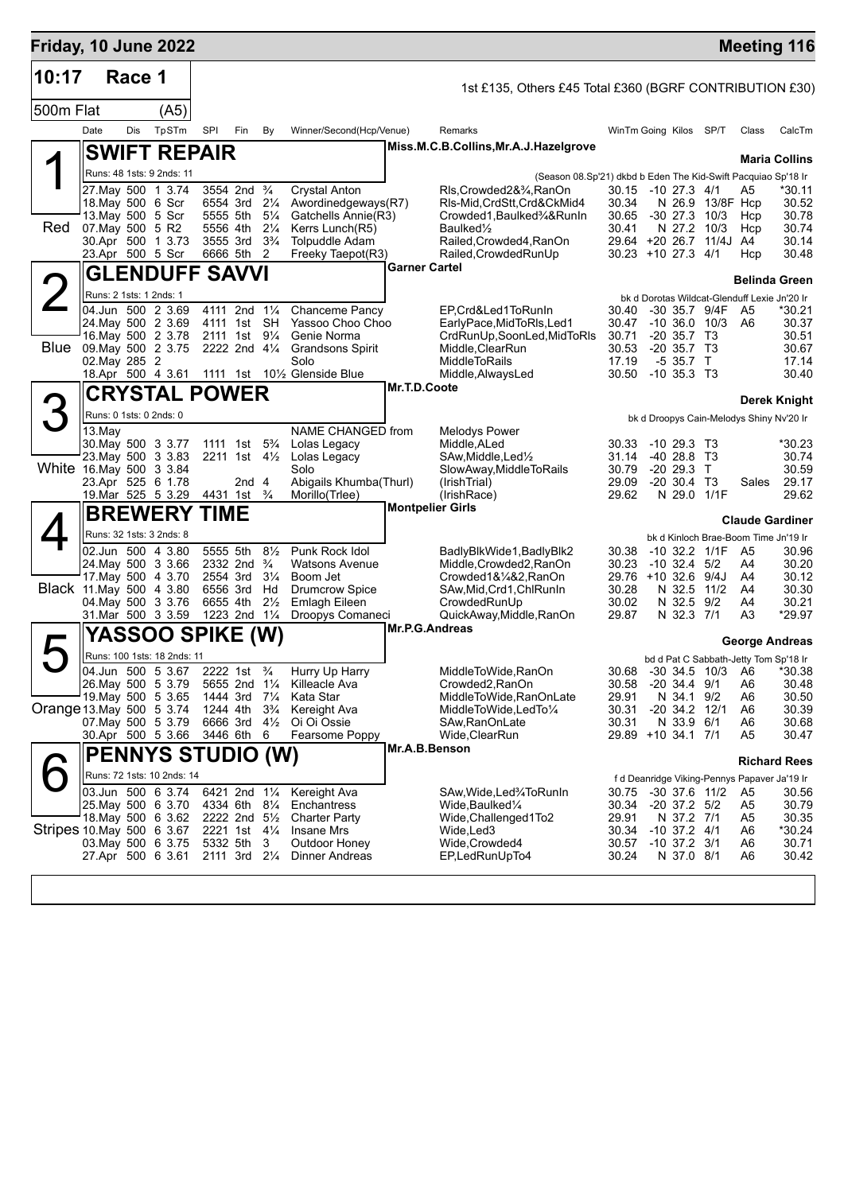| Friday, 10 June 2022      |               |        |                                                  |     |                                               |                                  |                                                |              |                                                               |                                               |                                    |                                     |                                                    | <b>Meeting 116</b>     |
|---------------------------|---------------|--------|--------------------------------------------------|-----|-----------------------------------------------|----------------------------------|------------------------------------------------|--------------|---------------------------------------------------------------|-----------------------------------------------|------------------------------------|-------------------------------------|----------------------------------------------------|------------------------|
| 10:17                     |               | Race 1 |                                                  |     |                                               |                                  |                                                |              | 1st £135, Others £45 Total £360 (BGRF CONTRIBUTION £30)       |                                               |                                    |                                     |                                                    |                        |
| 500m Flat                 |               |        | (A5)                                             |     |                                               |                                  |                                                |              |                                                               |                                               |                                    |                                     |                                                    |                        |
|                           | Date          | Dis    | TpSTm                                            | SPI | Fin                                           | By                               | Winner/Second(Hcp/Venue)                       |              | Remarks                                                       | WinTm Going Kilos SP/T                        |                                    |                                     | Class                                              | CalcTm                 |
|                           |               |        | <b>SWIFT REPAIR</b>                              |     |                                               |                                  |                                                |              | Miss.M.C.B.Collins, Mr.A.J.Hazelgrove                         |                                               |                                    |                                     |                                                    | <b>Maria Collins</b>   |
|                           |               |        | Runs: 48 1sts: 9 2nds: 11                        |     |                                               |                                  |                                                |              | (Season 08.Sp'21) dkbd b Eden The Kid-Swift Pacquiao Sp'18 Ir |                                               |                                    |                                     |                                                    |                        |
|                           |               |        | 27. May 500 1 3.74                               |     | 3554 2nd <sup>3</sup> / <sub>4</sub>          |                                  | <b>Crystal Anton</b>                           |              | Rls,Crowded2&3⁄4,RanOn                                        | 30.15 -10 27.3 4/1                            |                                    |                                     | A5                                                 | *30.11                 |
|                           |               |        | 18. May 500 6 Scr<br>13. May 500 5 Scr           |     | 6554 3rd 21/4<br>5555 5th                     | $5\frac{1}{4}$                   | Awordinedgeways(R7)<br>Gatchells Annie(R3)     |              | RIs-Mid,CrdStt,Crd&CkMid4<br>Crowded1,Baulked3⁄4&RunIn        | 30.34<br>30.65                                |                                    | N 26.9 13/8F Hcp<br>$-30$ 27.3 10/3 | Hcp                                                | 30.52<br>30.78         |
| Red                       |               |        | 07. May 500 5 R2                                 |     | 5556 4th                                      | $2\frac{1}{4}$                   | Kerrs Lunch(R5)                                |              | Baulked <sup>1</sup> / <sub>2</sub>                           | 30.41                                         |                                    | N 27.2 10/3                         | Hcp                                                | 30.74                  |
|                           |               |        | 30.Apr 500 1 3.73<br>23.Apr 500 5 Scr            |     | 3555 3rd<br>6666 5th                          | $3\frac{3}{4}$<br>2              | <b>Tolpuddle Adam</b><br>Freeky Taepot(R3)     |              | Railed, Crowded4, RanOn<br>Railed, Crowded RunUp              | 29.64 +20 26.7 11/4J A4<br>30.23 +10 27.3 4/1 |                                    |                                     | Hcp                                                | 30.14<br>30.48         |
|                           |               |        | <b>GLENDUFF SAVVI</b>                            |     |                                               |                                  |                                                |              | <b>Garner Cartel</b>                                          |                                               |                                    |                                     |                                                    |                        |
|                           |               |        | Runs: 2 1sts: 1 2nds: 1                          |     |                                               |                                  |                                                |              |                                                               |                                               |                                    |                                     |                                                    | <b>Belinda Green</b>   |
|                           |               |        | 04.Jun 500 2 3.69                                |     | 4111 2nd 11/4                                 |                                  | Chanceme Pancy                                 |              | EP.Crd&Led1ToRunIn                                            | 30.40                                         |                                    | -30 35.7 9/4F                       | bk d Dorotas Wildcat-Glenduff Lexie Jn'20 Ir<br>A5 | *30.21                 |
|                           |               |        | 24. May 500 2 3.69                               |     | 4111 1st SH                                   |                                  | Yassoo Choo Choo                               |              | EarlyPace, MidToRIs, Led1                                     | 30.47                                         |                                    | $-10,36.0$ $10/3$ A6                |                                                    | 30.37                  |
| Blue                      |               |        | 16. May 500 2 3.78<br>09. May 500 2 3.75         |     | 2111 1st 91/4<br>2222 2nd $4\frac{1}{4}$      |                                  | Genie Norma<br><b>Grandsons Spirit</b>         |              | CrdRunUp, SoonLed, MidToRIs<br>Middle, ClearRun               | 30.71<br>30.53                                | $-20, 35.7, 73$<br>$-20, 35.7, 73$ |                                     |                                                    | 30.51<br>30.67         |
|                           | 02. May 285 2 |        |                                                  |     |                                               |                                  | Solo                                           |              | <b>MiddleToRails</b>                                          | 17.19                                         | $-535.7$ T                         |                                     |                                                    | 17.14                  |
|                           |               |        |                                                  |     |                                               |                                  | 18.Apr 500 4 3.61 1111 1st 101/2 Glenside Blue | Mr.T.D.Coote | Middle, AlwaysLed                                             | 30.50                                         | $-10, 35.3, T3$                    |                                     |                                                    | 30.40                  |
|                           |               |        | <b>CRYSTAL POWER</b>                             |     |                                               |                                  |                                                |              |                                                               |                                               |                                    |                                     |                                                    | Derek Knight           |
|                           |               |        | Runs: 0 1sts: 0 2nds: 0                          |     |                                               |                                  |                                                |              |                                                               |                                               |                                    |                                     | bk d Droopys Cain-Melodys Shiny Nv'20 Ir           |                        |
|                           | 13.May        |        | 30. May 500 3 3.77                               |     | 1111 1st                                      | $5\frac{3}{4}$                   | NAME CHANGED from<br>Lolas Legacy              |              | <b>Melodys Power</b><br>Middle, ALed                          | 30.33                                         | $-1029.3$ T3                       |                                     |                                                    | $*30.23$               |
|                           |               |        | 23. May 500 3 3.83                               |     | 2211 1st $4\frac{1}{2}$                       |                                  | Lolas Legacy                                   |              | SAw, Middle, Led <sup>1</sup> / <sub>2</sub>                  | 31.14                                         | $-4028.8$ T <sub>3</sub>           |                                     |                                                    | 30.74                  |
| White 16 May 500 3 3.84   |               |        |                                                  |     |                                               |                                  | Solo                                           |              | SlowAway, MiddleToRails                                       | 30.79<br>29.09                                | $-2029.3$ T<br>$-20$ 30.4 T3       |                                     |                                                    | 30.59<br>29.17         |
|                           |               |        | 23.Apr 525 6 1.78<br>19.Mar 525 5 3.29           |     | 2nd 4<br>4431 1st <sup>3</sup> / <sub>4</sub> |                                  | Abigails Khumba(Thurl)<br>Morillo(Trlee)       |              | (IrishTrial)<br>(IrishRace)                                   | 29.62                                         |                                    | N 29.0 1/1F                         | Sales                                              | 29.62                  |
|                           |               |        | <b>BREWERY TIME</b>                              |     |                                               |                                  |                                                |              | <b>Montpelier Girls</b>                                       |                                               |                                    |                                     |                                                    | <b>Claude Gardiner</b> |
|                           |               |        | Runs: 32 1sts: 3 2nds: 8                         |     |                                               |                                  |                                                |              |                                                               |                                               |                                    |                                     | bk d Kinloch Brae-Boom Time Jn'19 Ir               |                        |
|                           |               |        | 02.Jun 500 4 3.80                                |     | 5555 5th                                      | $8\frac{1}{2}$                   | Punk Rock Idol                                 |              | BadlyBlkWide1, BadlyBlk2                                      | 30.38                                         |                                    | $-10$ 32.2 $1/1F$                   | A5                                                 | 30.96                  |
|                           |               |        | 24. May 500 3 3.66<br>17. May 500 4 3.70         |     | 2332 2nd $\frac{3}{4}$<br>2554 3rd            | $3\frac{1}{4}$                   | <b>Watsons Avenue</b><br>Boom Jet              |              | Middle,Crowded2,RanOn<br>Crowded1&¼&2,RanOn                   | 30.23<br>29.76 +10 32.6                       | $-10$ 32.4 $5/2$                   | 9/4J                                | A4<br>A4                                           | 30.20<br>30.12         |
| Black 11 May 500 4 3.80   |               |        |                                                  |     | 6556 3rd                                      | Hd                               | <b>Drumcrow Spice</b>                          |              | SAw, Mid, Crd1, ChlRunIn                                      | 30.28                                         |                                    | N 32.5 11/2                         | A4                                                 | 30.30                  |
|                           |               |        | 04. May 500 3 3.76<br>31.Mar 500 3 3.59          |     | 6655 4th<br>1223 2nd                          | $2\frac{1}{2}$<br>$1\frac{1}{4}$ | Emlagh Eileen                                  |              | CrowdedRunUp                                                  | 30.02<br>29.87                                | N 32.5 9/2<br>N 32.3 7/1           |                                     | A4<br>A3                                           | 30.21<br>*29.97        |
|                           |               |        |                                                  |     |                                               |                                  | Droopys Comaneci                               |              | QuickAway, Middle, RanOn<br>Mr.P.G.Andreas                    |                                               |                                    |                                     |                                                    |                        |
|                           |               |        | <b>YASSOO SPIKE (W)</b>                          |     |                                               |                                  |                                                |              |                                                               |                                               |                                    |                                     |                                                    | <b>George Andreas</b>  |
|                           |               |        | Runs: 100 1sts: 18 2nds: 11<br>04.Jun 500 5 3.67 |     | 2222 1st <sup>3</sup> / <sub>4</sub>          |                                  | Hurry Up Harry                                 |              | MiddleToWide, RanOn                                           | 30.68 -30 34.5 10/3 A6                        |                                    |                                     | bd d Pat C Sabbath-Jetty Tom Sp'18 Ir              | *30.38                 |
|                           |               |        | 26. May 500 5 3.79                               |     | 5655 2nd 1¼                                   |                                  | Killeacle Ava                                  |              | Crowded2, RanOn                                               | 30.58                                         | $-20$ 34.4 $9/1$                   |                                     | A6                                                 | 30.48                  |
|                           |               |        | 19. May 500 5 3.65                               |     | 1444 3rd 71/4                                 |                                  | Kata Star                                      |              | MiddleToWide,RanOnLate                                        | 29.91                                         | N 34.1 9/2                         |                                     | A6                                                 | 30.50                  |
| Orange 13 May 500 5 3.74  |               |        | 07. May 500 5 3.79                               |     | 1244 4th<br>6666 3rd                          | $3\frac{3}{4}$<br>$4\frac{1}{2}$ | Kereight Ava<br>Oi Oi Ossie                    |              | MiddleToWide,LedTo1/4<br>SAw, RanOnLate                       | 30.31<br>30.31                                | $-20$ 34.2 12/1<br>N 33.9 6/1      |                                     | A6<br>A6                                           | 30.39<br>30.68         |
|                           |               |        | 30.Apr 500 5 3.66                                |     | 3446 6th                                      | -6                               | Fearsome Poppy                                 |              | Wide,ClearRun                                                 | 29.89 +10 34.1 7/1                            |                                    |                                     | A5                                                 | 30.47                  |
|                           |               |        | <b>PENNYS STUDIO (W)</b>                         |     |                                               |                                  |                                                |              | Mr.A.B.Benson                                                 |                                               |                                    |                                     |                                                    | <b>Richard Rees</b>    |
|                           |               |        | Runs: 72 1sts: 10 2nds: 14                       |     |                                               |                                  |                                                |              |                                                               |                                               |                                    |                                     | f d Deanridge Viking-Pennys Papaver Ja'19 Ir       |                        |
|                           |               |        | 03.Jun 500 6 3.74                                |     | 6421 2nd 11/4                                 |                                  | Kereight Ava                                   |              | SAw,Wide,Led¾ToRunIn                                          | 30.75                                         |                                    | $-30$ 37.6 11/2                     | A5                                                 | 30.56                  |
|                           |               |        | 25.May 500 6 3.70<br>18. May 500 6 3.62          |     | 4334 6th 81/4<br>2222 2nd 5 <sup>1/2</sup>    |                                  | Enchantress<br><b>Charter Party</b>            |              | Wide,Baulked¼<br>Wide, Challenged 1To 2                       | 30.34<br>29.91                                | $-20$ 37.2 $5/2$<br>N 37.2 7/1     |                                     | A5<br>A5                                           | 30.79<br>30.35         |
| Stripes 10 May 500 6 3.67 |               |        |                                                  |     | 2221 1st 41/4                                 |                                  | <b>Insane Mrs</b>                              |              | Wide,Led3                                                     | 30.34                                         | $-10$ 37.2 $4/1$                   |                                     | A6                                                 | *30.24                 |
|                           |               |        | 03. May 500 6 3.75<br>27.Apr 500 6 3.61          |     | 5332 5th<br>2111 3rd 21/4                     | 3                                | Outdoor Honey<br>Dinner Andreas                |              | Wide, Crowded4<br>EP, Led Run Up To 4                         | 30.57<br>30.24                                | $-10$ 37.2 3/1<br>N 37.0 8/1       |                                     | A6<br>A6                                           | 30.71<br>30.42         |
|                           |               |        |                                                  |     |                                               |                                  |                                                |              |                                                               |                                               |                                    |                                     |                                                    |                        |
|                           |               |        |                                                  |     |                                               |                                  |                                                |              |                                                               |                                               |                                    |                                     |                                                    |                        |
|                           |               |        |                                                  |     |                                               |                                  |                                                |              |                                                               |                                               |                                    |                                     |                                                    |                        |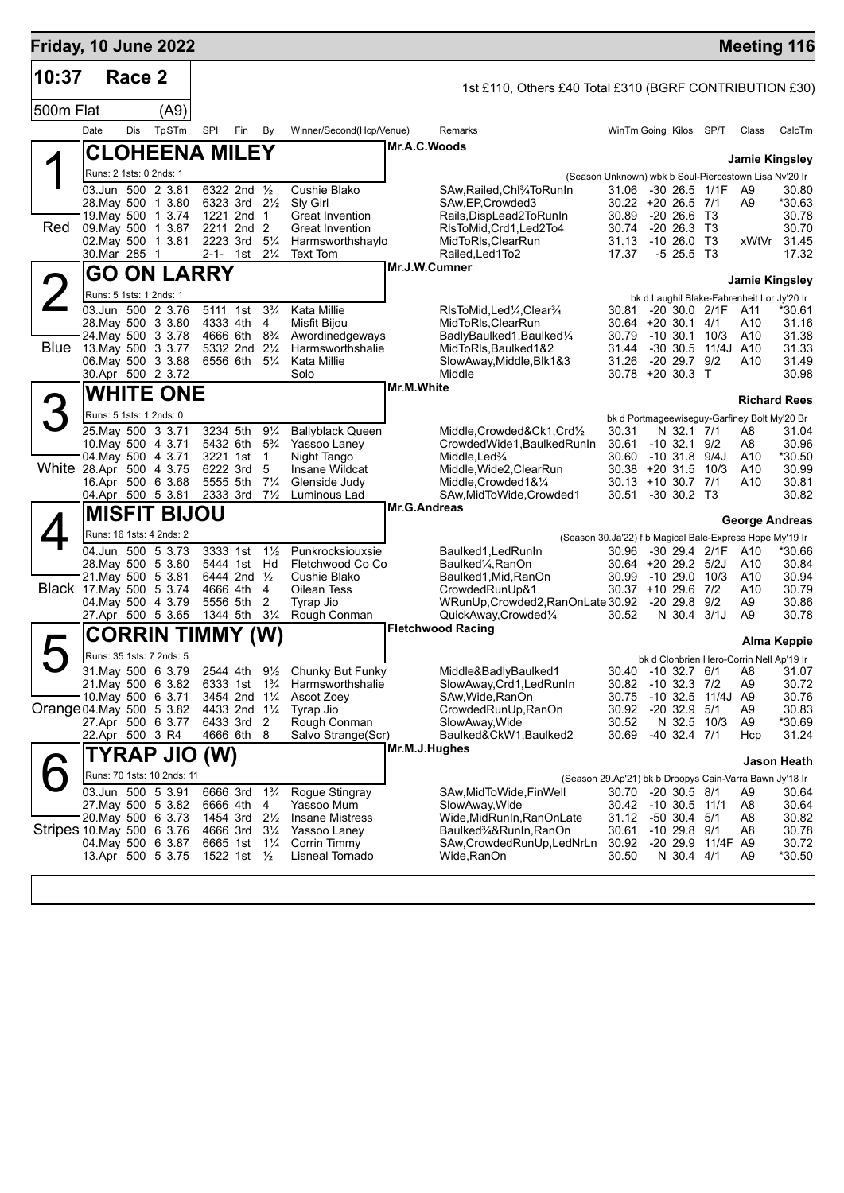| Friday, 10 June 2022      |                         |        |                                               |                      |                                        |                                  |                                      |                     |                                                                                  |                                                         |                                 |                     |                                                   | <b>Meeting 116</b>  |
|---------------------------|-------------------------|--------|-----------------------------------------------|----------------------|----------------------------------------|----------------------------------|--------------------------------------|---------------------|----------------------------------------------------------------------------------|---------------------------------------------------------|---------------------------------|---------------------|---------------------------------------------------|---------------------|
| 10:37                     |                         | Race 2 |                                               |                      |                                        |                                  |                                      |                     | 1st £110, Others £40 Total £310 (BGRF CONTRIBUTION £30)                          |                                                         |                                 |                     |                                                   |                     |
| 500m Flat                 |                         |        | (A9)                                          |                      |                                        |                                  |                                      |                     |                                                                                  |                                                         |                                 |                     |                                                   |                     |
|                           | Date                    | Dis    | TpSTm                                         | SPI                  | Fin                                    | By                               | Winner/Second(Hcp/Venue)             |                     | Remarks                                                                          | WinTm Going Kilos SP/T                                  |                                 |                     | Class                                             | CalcTm              |
| ◢                         |                         |        | CLOHEENA MILEY                                |                      |                                        |                                  |                                      |                     | Mr.A.C.Woods                                                                     |                                                         |                                 |                     | <b>Jamie Kingsley</b>                             |                     |
|                           | Runs: 2 1sts: 0 2nds: 1 |        |                                               |                      |                                        |                                  |                                      |                     |                                                                                  | (Season Unknown) wbk b Soul-Piercestown Lisa Nv'20 Ir   |                                 |                     |                                                   |                     |
|                           |                         |        | 03.Jun 500 2 3.81                             |                      | 6322 2nd 1/2                           |                                  | Cushie Blako                         |                     | SAw, Railed, Chl3/4To Run In                                                     | 31.06                                                   | -30 26.5 1/1F                   |                     | A9                                                | 30.80               |
|                           |                         |        | 28. May 500 1 3.80<br>19 May 500 1 3.74       |                      | 6323 3rd $2\frac{1}{2}$<br>1221 2nd    | $\overline{1}$                   | Sly Girl<br>Great Invention          |                     | SAw, EP, Crowded 3<br>Rails, DispLead 2 To Run In                                | 30.22 +20 26.5 7/1<br>30.89                             | $-20\,26.6$                     | - ТЗ                | A <sub>9</sub>                                    | *30.63<br>30.78     |
| Red                       |                         |        | 09. May 500 1 3.87                            |                      | 2211 2nd 2                             |                                  | <b>Great Invention</b>               |                     | RIsToMid, Crd1, Led2To4                                                          | 30.74                                                   | $-2026.3$                       | - ТЗ                |                                                   | 30.70               |
|                           |                         |        | 02. May 500 1 3.81                            | 2223 3rd             |                                        | $5\frac{1}{4}$                   | Harmsworthshaylo                     |                     | MidToRIs, ClearRun                                                               | 31.13                                                   | $-10, 26.0$                     | T <sub>3</sub>      | xWtVr                                             | 31.45               |
|                           | 30.Mar 285 1            |        |                                               | 2-1-                 | 1st                                    | $2\frac{1}{4}$                   | <b>Text Tom</b>                      |                     | Railed, Led 1 To 2<br>Mr.J.W.Cumner                                              | 17.37                                                   | $-525.5$ T3                     |                     |                                                   | 17.32               |
|                           |                         |        | <b>GO ON LARRY</b>                            |                      |                                        |                                  |                                      |                     |                                                                                  |                                                         |                                 |                     | <b>Jamie Kingsley</b>                             |                     |
|                           | Runs: 5 1sts: 1 2nds: 1 |        | 03.Jun 500 2 3.76                             |                      | 5111 1st                               | $3\frac{3}{4}$                   | Kata Millie                          |                     | RIsToMid, Led <sup>1</sup> / <sub>4</sub> , Clear <sup>3</sup> / <sub>4</sub>    | 30.81                                                   |                                 | -20 30.0 2/1F       | bk d Laughil Blake-Fahrenheit Lor Jy'20 Ir<br>A11 | *30.61              |
|                           |                         |        | 28. May 500 3 3.80                            | 4333 4th             |                                        | 4                                | Misfit Bijou                         |                     | MidToRIs, ClearRun                                                               | $30.64$ +20 30.1 4/1                                    |                                 |                     | A10                                               | 31.16               |
|                           |                         |        | 24 May 500 3 3.78                             |                      | 4666 6th 8 <sup>3</sup> / <sub>4</sub> |                                  | Awordinedgeways                      |                     | BadlyBaulked1, Baulked1/4                                                        | 30.79                                                   |                                 | $-10, 30.1, 10/3$   | A10                                               | 31.38               |
| <b>Blue</b>               |                         |        | 13. May 500 3 3.77<br>06. May 500 3 3.88      |                      | 5332 2nd 21/4<br>6556 6th 51/4         |                                  | Harmsworthshalie<br>Kata Millie      |                     | MidToRIs, Baulked1&2<br>SlowAway, Middle, Blk1&3                                 | 31.44<br>31.26                                          | $-20$ 29.7 $9/2$                | -30 30.5 11/4J A10  | A10                                               | 31.33<br>31.49      |
|                           |                         |        | 30.Apr 500 2 3.72                             |                      |                                        |                                  | Solo                                 |                     | Middle                                                                           | 30.78 +20 30.3 T                                        |                                 |                     |                                                   | 30.98               |
|                           |                         |        | <b>WHITE ONE</b>                              |                      |                                        |                                  |                                      | <b>Mr.M.White</b>   |                                                                                  |                                                         |                                 |                     |                                                   | <b>Richard Rees</b> |
|                           | Runs: 5 1sts: 1 2nds: 0 |        |                                               |                      |                                        |                                  |                                      |                     |                                                                                  |                                                         |                                 |                     | bk d Portmageewiseguy-Garfiney Bolt My'20 Br      |                     |
|                           |                         |        | 25. May 500 3 3.71                            | 3234 5th             |                                        | $9\frac{1}{4}$                   | <b>Ballyblack Queen</b>              |                     | Middle, Crowded&Ck1, Crd1/2                                                      | 30.31                                                   | N 32.1 7/1                      |                     | A8                                                | 31.04               |
|                           |                         |        | 10 May 500 4 3.71<br>04. May 500 4 3.71       | 5432 6th<br>3221 1st |                                        | $5\frac{3}{4}$<br>$\overline{1}$ | Yassoo Laney<br>Night Tango          |                     | CrowdedWide1, BaulkedRunIn<br>Middle, Led%                                       | 30.61<br>30.60                                          | $-10.32.1$<br>$-10$ 31.8 $9/4J$ | 9/2                 | A8<br>A10                                         | 30.96<br>*30.50     |
| White 28.Apr 500 4 3.75   |                         |        |                                               | 6222 3rd             |                                        | 5                                | Insane Wildcat                       |                     | Middle, Wide2, ClearRun                                                          | $30.38 + 20.31.5$                                       |                                 | 10/3                | A10                                               | 30.99               |
|                           |                         |        | 16.Apr 500 6 3.68                             | 5555 5th             |                                        | $7\frac{1}{4}$                   | Glenside Judy                        |                     | Middle, Crowded 1& 1/4                                                           | 30.13 +10 30.7 7/1                                      |                                 |                     | A <sub>10</sub>                                   | 30.81               |
|                           |                         |        | 04.Apr 500 5 3.81                             | 2333 3rd             |                                        | $7\frac{1}{2}$                   | Luminous Lad                         | <b>Mr.G.Andreas</b> | SAw, MidToWide, Crowded1                                                         | 30.51                                                   | $-30$ 30.2 T <sub>3</sub>       |                     |                                                   | 30.82               |
|                           |                         |        | <b>MISFIT BIJOU</b>                           |                      |                                        |                                  |                                      |                     |                                                                                  |                                                         |                                 |                     | George Andreas                                    |                     |
|                           |                         |        | Runs: 16 1sts: 4 2nds: 2<br>04.Jun 500 5 3.73 | 3333 1st             |                                        | $1\frac{1}{2}$                   | Punkrocksiouxsie                     |                     | (Season 30.Ja'22) f b Magical Bale-Express Hope My'19 Ir<br>Baulked1, Led Run In | 30.96                                                   | -30 29.4 2/1F                   |                     | A10                                               | *30.66              |
|                           |                         |        | 28. May 500 5 3.80                            |                      | 5444 1st                               | Hd                               | Fletchwood Co Co                     |                     | Baulked¼,RanOn                                                                   | 30.64 +20 29.2 5/2J                                     |                                 |                     | A10                                               | 30.84               |
|                           |                         |        | 21. May 500 5 3.81                            |                      | 6444 2nd 1/2                           |                                  | Cushie Blako                         |                     | Baulked1, Mid, RanOn                                                             | 30.99                                                   | -10 29.0                        | 10/3                | A10                                               | 30.94               |
| Black 17. May 500 5 3.74  |                         |        | 04 May 500 4 3.79                             | 4666 4th<br>5556 5th |                                        | 4<br>2                           | Oilean Tess<br>Tyrap Jio             |                     | CrowdedRunUp&1<br>WRunUp, Crowded2, RanOnLate 30.92                              | 30.37 +10 29.6 7/2                                      | $-20$ 29.8 $9/2$                |                     | A10<br>A9                                         | 30.79<br>30.86      |
|                           |                         |        | 27.Apr 500 5 3.65                             | 1344 5th             |                                        | $3\frac{1}{4}$                   | Rough Conman                         |                     | QuickAway,Crowded1/4                                                             | 30.52                                                   | N 30.4 3/1J                     |                     | A9                                                | 30.78               |
|                           |                         |        | CORRIN TIMMY                                  |                      |                                        | (W)                              |                                      |                     | <b>Fletchwood Racing</b>                                                         |                                                         |                                 |                     |                                                   |                     |
|                           |                         |        | Runs: 35 1sts: 7 2nds: 5                      |                      |                                        |                                  |                                      |                     |                                                                                  |                                                         |                                 |                     | bk d Clonbrien Hero-Corrin Nell Ap'19 Ir          | Alma Keppie         |
|                           |                         |        | 31. May 500 6 3.79                            |                      | 2544 4th 91/2                          |                                  | Chunky But Funky                     |                     | Middle&BadlyBaulked1                                                             |                                                         |                                 |                     | 30.40 -10 32.7 6/1 A8                             | 31.07               |
|                           |                         |        | 21. May 500 6 3.82                            |                      | 6333 1st 1 <sup>3</sup> / <sub>4</sub> |                                  | Harmsworthshalie                     |                     | SlowAway, Crd1, Led Run In                                                       | 30.82 -10 32.3 7/2                                      |                                 |                     | A9                                                | 30.72               |
| Orange 04 May 500 5 3.82  |                         |        | 10. May 500 6 3.71                            |                      | 3454 2nd 11/4<br>4433 2nd 11/4         |                                  | Ascot Zoey<br>Tyrap Jio              |                     | SAw, Wide, RanOn<br>CrowdedRunUp, RanOn                                          | 30.75<br>30.92                                          | $-20$ 32.9 $5/1$                | $-10$ 32.5 11/4J A9 | A9                                                | 30.76<br>30.83      |
|                           |                         |        | 27.Apr 500 6 3.77                             |                      | 6433 3rd 2                             |                                  | Rough Conman                         |                     | SlowAway, Wide                                                                   | 30.52                                                   | N 32.5 10/3                     |                     | A9                                                | *30.69              |
|                           | 22.Apr 500 3 R4         |        |                                               |                      | 4666 6th 8                             |                                  | Salvo Strange(Scr)                   |                     | Baulked&CkW1, Baulked2                                                           | 30.69                                                   | -40 32.4 7/1                    |                     | Hcp                                               | 31.24               |
|                           |                         |        | TYRAP JIO                                     | (W)                  |                                        |                                  |                                      |                     | Mr.M.J.Hughes                                                                    |                                                         |                                 |                     |                                                   | Jason Heath         |
|                           |                         |        | Runs: 70 1sts: 10 2nds: 11                    |                      |                                        |                                  |                                      |                     |                                                                                  | (Season 29.Ap'21) bk b Droopys Cain-Varra Bawn Jy'18 Ir |                                 |                     |                                                   |                     |
|                           |                         |        | 03.Jun 500 5 3.91                             | 6666 3rd             |                                        | $1\frac{3}{4}$                   | Rogue Stingray                       |                     | SAw, MidToWide, Fin Well                                                         | 30.70 -20 30.5 8/1                                      |                                 |                     | A9                                                | 30.64               |
|                           |                         |        | 27. May 500 5 3.82<br>20. May 500 6 3.73      | 6666 4th<br>1454 3rd |                                        | 4<br>$2\frac{1}{2}$              | Yassoo Mum<br><b>Insane Mistress</b> |                     | SlowAway, Wide<br>Wide, MidRunIn, RanOnLate                                      | 30.42 -10 30.5 11/1<br>31.12                            | -50 30.4 5/1                    |                     | A8<br>A8                                          | 30.64<br>30.82      |
| Stripes 10 May 500 6 3.76 |                         |        |                                               | 4666 3rd             |                                        | $3\frac{1}{4}$                   | Yassoo Laney                         |                     | Baulked3⁄4&RunIn,RanOn                                                           | 30.61                                                   | $-10$ 29.8 $9/1$                |                     | A8                                                | 30.78               |
|                           |                         |        | 04. May 500 6 3.87<br>13.Apr 500 5 3.75       | 6665 1st             | 1522 1st $\frac{1}{2}$                 | $1\frac{1}{4}$                   | Corrin Timmy<br>Lisneal Tornado      |                     | SAw,CrowdedRunUp,LedNrLn<br>Wide,RanOn                                           | 30.92<br>30.50                                          | N 30.4 4/1                      | -20 29.9 11/4F A9   | A9                                                | 30.72<br>*30.50     |
|                           |                         |        |                                               |                      |                                        |                                  |                                      |                     |                                                                                  |                                                         |                                 |                     |                                                   |                     |
|                           |                         |        |                                               |                      |                                        |                                  |                                      |                     |                                                                                  |                                                         |                                 |                     |                                                   |                     |
|                           |                         |        |                                               |                      |                                        |                                  |                                      |                     |                                                                                  |                                                         |                                 |                     |                                                   |                     |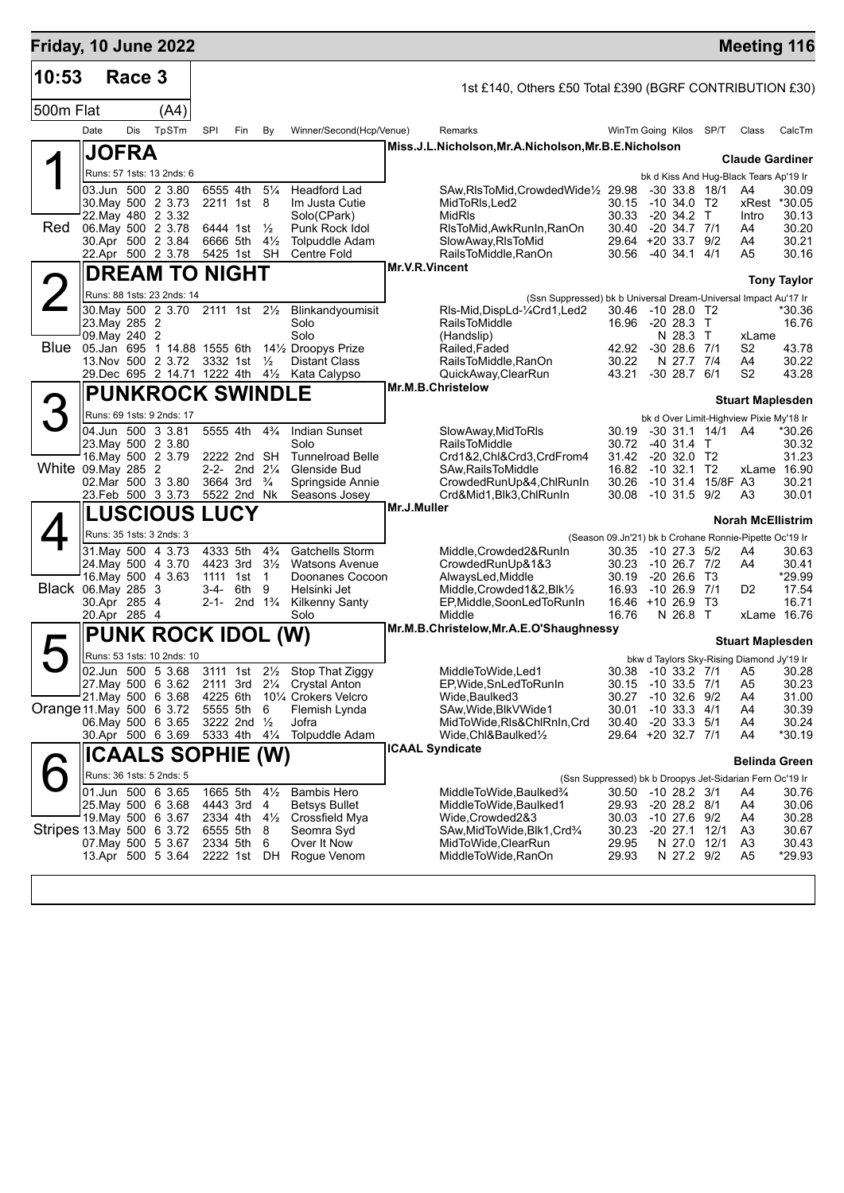| Friday, 10 June 2022      |                                              |        |                                  |                      |                              |                      |                                                                                                   |                |                                                                                                  |                |                                          |      |                                                          | <b>Meeting 116</b>                   |
|---------------------------|----------------------------------------------|--------|----------------------------------|----------------------|------------------------------|----------------------|---------------------------------------------------------------------------------------------------|----------------|--------------------------------------------------------------------------------------------------|----------------|------------------------------------------|------|----------------------------------------------------------|--------------------------------------|
| 10:53                     |                                              | Race 3 |                                  |                      |                              |                      |                                                                                                   |                | 1st £140, Others £50 Total £390 (BGRF CONTRIBUTION £30)                                          |                |                                          |      |                                                          |                                      |
| 500m Flat                 |                                              |        | (A4)                             |                      |                              |                      |                                                                                                   |                |                                                                                                  |                |                                          |      |                                                          |                                      |
|                           | Date                                         | Dis    | TpSTm                            | SPI                  | Fin                          | By                   | Winner/Second(Hcp/Venue)                                                                          |                | Remarks                                                                                          |                | WinTm Going Kilos                        | SP/T | Class                                                    | CalcTm                               |
|                           | <b>JOFRA</b>                                 |        |                                  |                      |                              |                      |                                                                                                   |                | Miss.J.L.Nicholson, Mr.A.Nicholson, Mr.B.E.Nicholson                                             |                |                                          |      |                                                          |                                      |
|                           |                                              |        | Runs: 57 1sts: 13 2nds: 6        |                      |                              |                      |                                                                                                   |                |                                                                                                  |                |                                          |      | <b>Claude Gardiner</b>                                   |                                      |
|                           | 03.Jun 500 2 3.80                            |        |                                  |                      | 6555 4th                     | $5\frac{1}{4}$       | Headford Lad                                                                                      |                | SAw, RIsToMid, Crowded Wide <sup>1</sup> / <sub>2</sub> 29.98                                    |                | $-30$ 33.8 18/1                          |      | bk d Kiss And Hug-Black Tears Ap'19 Ir<br>A4             | 30.09                                |
|                           | 30. May 500 2 3.73                           |        |                                  |                      | 2211 1st 8                   |                      | Im Justa Cutie                                                                                    |                | MidToRIs.Led2                                                                                    | 30.15          | -10 34.0 T2                              |      |                                                          | xRest *30.05                         |
| Red                       | 22. May 480 2 3.32<br>06. May 500 2 3.78     |        |                                  |                      | 6444 1st $\frac{1}{2}$       |                      | Solo(CPark)<br>Punk Rock Idol                                                                     |                | <b>MidRIs</b><br>RIsToMid, AwkRunIn, RanOn                                                       | 30.33<br>30.40 | -20 34.2 T<br>$-20, 34.7, 7/1$           |      | Intro<br>A4                                              | 30.13<br>30.20                       |
|                           | 30.Apr 500 2 3.84<br>22.Apr 500 2 3.78       |        |                                  |                      | 6666 5th 41/2<br>5425 1st SH |                      | <b>Tolpuddle Adam</b><br><b>Centre Fold</b>                                                       |                | SlowAway, RIsToMid<br>RailsToMiddle, RanOn                                                       | 29.64<br>30.56 | $+20$ 33.7 $9/2$<br>-40 34.1 4/1         |      | A4<br>A5                                                 | 30.21<br>30.16                       |
|                           |                                              |        | <b>DREAM TO NIGHT</b>            |                      |                              |                      |                                                                                                   | Mr.V.R.Vincent |                                                                                                  |                |                                          |      |                                                          |                                      |
|                           |                                              |        | Runs: 88 1sts: 23 2nds: 14       |                      |                              |                      |                                                                                                   |                |                                                                                                  |                |                                          |      |                                                          | <b>Tony Taylor</b>                   |
|                           |                                              |        | 30. May 500 2 3.70 2111 1st 21/2 |                      |                              |                      | Blinkandyoumisit                                                                                  |                | (Ssn Suppressed) bk b Universal Dream-Universal Impact Au'17 Ir<br>RIs-Mid, DispLd-1/4Crd1, Led2 | 30.46          | -10 28.0 T2                              |      |                                                          | *30.36                               |
|                           | 23. May 285 2                                |        |                                  |                      |                              |                      | Solo                                                                                              |                | <b>RailsToMiddle</b>                                                                             |                | 16.96 -20 28.3 T                         |      |                                                          | 16.76                                |
| <b>Blue</b>               | 09. May 240 2<br>05.Jan 695 1 14.88 1555 6th |        |                                  |                      |                              |                      | Solo<br>141/ <sub>2</sub> Droopys Prize                                                           |                | (Handslip)<br>Railed, Faded                                                                      | 42.92          | N 28.3 T<br>$-30$ 28.6 $7/1$             |      | xLame<br>S2                                              | 43.78                                |
|                           | 13. Nov 500 2 3.72 3332 1st                  |        |                                  |                      |                              | $\frac{1}{2}$        | <b>Distant Class</b>                                                                              |                | RailsToMiddle, RanOn                                                                             | 30.22          | N 27.7 7/4                               |      | A4                                                       | 30.22                                |
|                           |                                              |        |                                  |                      |                              |                      | 29. Dec 695 2 14.71 1222 4th 41/2 Kata Calypso                                                    |                | QuickAway, ClearRun<br>Mr.M.B.Christelow                                                         | 43.21          | $-30$ 28.7 $6/1$                         |      | S2                                                       | 43.28                                |
|                           |                                              |        | <b>PUNKROCK SWINDLE</b>          |                      |                              |                      |                                                                                                   |                |                                                                                                  |                |                                          |      | <b>Stuart Maplesden</b>                                  |                                      |
|                           | 04.Jun 500 3 3.81                            |        | Runs: 69 1sts: 9 2nds: 17        |                      | 5555 4th                     | $4\frac{3}{4}$       | <b>Indian Sunset</b>                                                                              |                | SlowAway, MidToRIs                                                                               | 30.19          | $-30$ 31.1 14/1 A4                       |      | bk d Over Limit-Highview Pixie My'18 Ir                  | *30.26                               |
|                           | 23. May 500 2 3.80                           |        |                                  |                      |                              |                      | Solo                                                                                              |                | <b>RailsToMiddle</b>                                                                             | 30.72          | -40 31.4 T                               |      |                                                          | 30.32                                |
| White 09. May 285 2       | 16 May 500 2 3.79                            |        |                                  |                      | 2222 2nd SH<br>2-2- 2nd 21/4 |                      | <b>Tunnelroad Belle</b><br>Glenside Bud                                                           |                | Crd1&2,Chl&Crd3,CrdFrom4<br>SAw, Rails To Middle                                                 | 31.42<br>16.82 | $-20$ 32.0 T2<br>$-10$ 32.1 T2           |      |                                                          | 31.23<br>xLame 16.90                 |
|                           | 02. Mar 500 3 3.80                           |        |                                  |                      | 3664 3rd                     | $\frac{3}{4}$        | Springside Annie                                                                                  |                | CrowdedRunUp&4,ChlRunIn                                                                          | 30.26          | -10 31.4 15/8F A3                        |      |                                                          | 30.21                                |
|                           | 23.Feb 500 3 3.73                            |        |                                  |                      | 5522 2nd Nk                  |                      | Seasons Josey                                                                                     | Mr.J.Muller    | Crd&Mid1,Blk3,ChlRunIn                                                                           | 30.08          | $-10$ 31.5 $9/2$                         |      | A3                                                       | 30.01                                |
|                           |                                              |        | <b>LUSCIOUS LUCY</b>             |                      |                              |                      |                                                                                                   |                |                                                                                                  |                |                                          |      | <b>Norah McEllistrim</b>                                 |                                      |
|                           | Runs: 35 1sts: 3 2nds: 3                     |        |                                  |                      |                              | $4\frac{3}{4}$       | <b>Gatchells Storm</b>                                                                            |                |                                                                                                  |                |                                          |      | (Season 09.Jn'21) bk b Crohane Ronnie-Pipette Oc'19 Ir   |                                      |
|                           | 31. May 500 4 3.73<br>24. May 500 4 3.70     |        |                                  | 4333 5th             | 4423 3rd 31/ <sub>2</sub>    |                      | <b>Watsons Avenue</b>                                                                             |                | Middle, Crowded 2& Run In<br>CrowdedRunUp&1&3                                                    | 30.23          | 30.35 -10 27.3 5/2<br>-10 26.7 7/2       |      | A4<br>A4                                                 | 30.63<br>30.41                       |
| Black 06. May 285 3       | 16. May 500 4 3.63                           |        |                                  | 1111 1st             | 3-4- 6th                     | $\overline{1}$<br>9  | Doonanes Cocoon<br>Helsinki Jet                                                                   |                | AlwaysLed, Middle<br>Middle, Crowded 1&2, Blk1/2                                                 | 30.19          | $-20, 26.6$ T3<br>16.93 -10 26.9 7/1     |      | D2                                                       | *29.99<br>17.54                      |
|                           | 30.Apr 285 4                                 |        |                                  |                      | 2-1- 2nd $1\frac{3}{4}$      |                      | <b>Kilkenny Santy</b>                                                                             |                | EP, Middle, SoonLedToRunIn                                                                       |                | 16.46 +10 26.9                           | Т3   |                                                          | 16.71                                |
|                           | 20.Apr 285 4                                 |        |                                  |                      |                              |                      | Solo                                                                                              |                | Middle<br>Mr.M.B.Christelow, Mr.A.E.O'Shaughnessy                                                | 16.76          | N 26.8 T                                 |      |                                                          | xLame 16.76                          |
|                           |                                              |        | <b>PUNK ROCK IDOL (W)</b>        |                      |                              |                      |                                                                                                   |                |                                                                                                  |                |                                          |      | <b>Stuart Maplesden</b>                                  |                                      |
|                           |                                              |        | Runs: 53 1sts: 10 2nds: 10       |                      |                              |                      |                                                                                                   |                |                                                                                                  |                |                                          |      | bkw d Taylors Sky-Rising Diamond Jy'19 Ir                |                                      |
|                           |                                              |        |                                  |                      |                              |                      | 02.Jun 500 5 3.68 3111 1st 21/2 Stop That Ziggy<br>27. May 500 6 3.62 2111 3rd 21/4 Crystal Anton |                | MiddleToWide,Led1<br>EP, Wide, SnLed To RunIn                                                    |                | 30.15 -10 33.5 7/1                       |      | A5                                                       | 30.38 -10 33.2 7/1 A5 30.28<br>30.23 |
|                           | 21 May 500 6 3.68                            |        |                                  |                      |                              |                      | 4225 6th 101/4 Crokers Velcro                                                                     |                | Wide, Baulked 3                                                                                  | 30.27          | $-10$ 32.6 $9/2$                         |      | A4                                                       | 31.00                                |
| Orange 11 May 500 6 3.72  | 06. May 500 6 3.65                           |        |                                  |                      | 5555 5th 6<br>3222 2nd 1/2   |                      | Flemish Lynda<br>Jofra                                                                            |                | SAw, Wide, Blk V Wide 1<br>MidToWide,RIs&ChlRnIn,Crd                                             | 30.01<br>30.40 | $-10$ 33.3 $4/1$<br>-20 33.3 5/1         |      | A4<br>A4                                                 | 30.39<br>30.24                       |
|                           | 30.Apr 500 6 3.69                            |        |                                  |                      | 5333 4th 41/4                |                      | <b>Tolpuddle Adam</b>                                                                             |                | Wide,Chl&Baulked½                                                                                |                | 29.64 +20 32.7 7/1                       |      | A4                                                       | *30.19                               |
|                           |                                              |        | ICAALS SOPHIE (W)                |                      |                              |                      |                                                                                                   |                | <b>ICAAL Syndicate</b>                                                                           |                |                                          |      |                                                          | Belinda Green                        |
|                           | Runs: 36 1sts: 5 2nds: 5                     |        |                                  |                      |                              |                      |                                                                                                   |                |                                                                                                  |                |                                          |      | (Ssn Suppressed) bk b Droopys Jet-Sidarian Fern Oc'19 Ir |                                      |
|                           | 01.Jun 500 6 3.65<br>25. May 500 6 3.68      |        |                                  | 1665 5th<br>4443 3rd |                              | $4\frac{1}{2}$<br>-4 | <b>Bambis Hero</b><br>Betsys Bullet                                                               |                | MiddleToWide,Baulked3⁄4<br>MiddleToWide,Baulked1                                                 |                | 30.50 -10 28.2 3/1<br>29.93 -20 28.2 8/1 |      | A4<br>A4                                                 | 30.76<br>30.06                       |
|                           | 19. May 500 6 3.67                           |        |                                  |                      | 2334 4th $4\frac{1}{2}$      |                      | Crossfield Mya                                                                                    |                | Wide,Crowded2&3                                                                                  | 30.03          | $-10$ 27.6 $9/2$                         |      | A4                                                       | 30.28                                |
| Stripes 13 May 500 6 3.72 | 07. May 500 5 3.67                           |        |                                  | 6555 5th<br>2334 5th |                              | - 8<br>6             | Seomra Syd<br>Over It Now                                                                         |                | SAw, MidToWide, Blk1, Crd3/4<br>MidToWide, ClearRun                                              | 30.23<br>29.95 | -20 27.1 12/1<br>N 27.0 12/1             |      | A3<br>A3                                                 | 30.67<br>30.43                       |
|                           | 13.Apr 500 5 3.64                            |        |                                  |                      | 2222 1st DH                  |                      | Rogue Venom                                                                                       |                | MiddleToWide, RanOn                                                                              | 29.93          | N 27.2 9/2                               |      | A5                                                       | *29.93                               |
|                           |                                              |        |                                  |                      |                              |                      |                                                                                                   |                |                                                                                                  |                |                                          |      |                                                          |                                      |
|                           |                                              |        |                                  |                      |                              |                      |                                                                                                   |                |                                                                                                  |                |                                          |      |                                                          |                                      |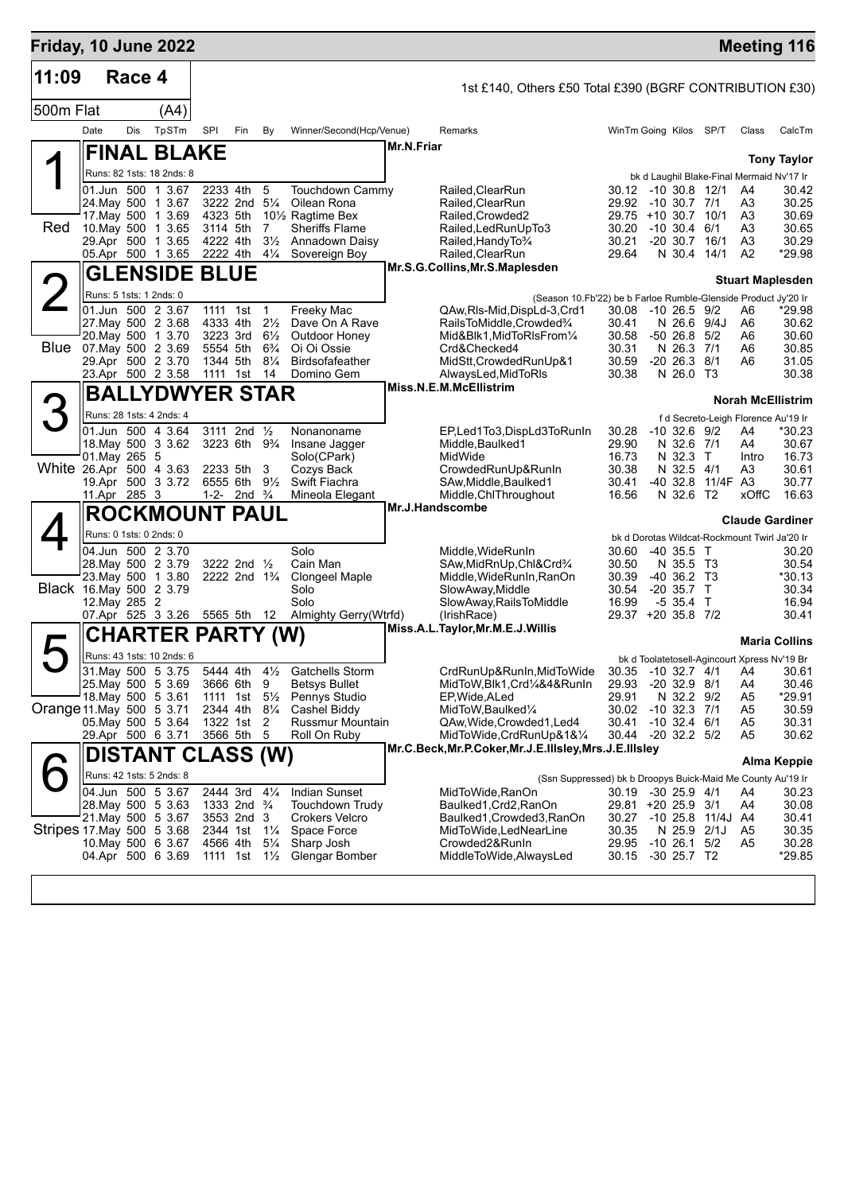| Friday, 10 June 2022      |                         |            |                                          |                                                      |                                                        |                                  |                                                                     |            |                                                                                     |                |                                               |          |                                     | <b>Meeting 116</b>       |
|---------------------------|-------------------------|------------|------------------------------------------|------------------------------------------------------|--------------------------------------------------------|----------------------------------|---------------------------------------------------------------------|------------|-------------------------------------------------------------------------------------|----------------|-----------------------------------------------|----------|-------------------------------------|--------------------------|
| 11:09                     |                         | Race 4     |                                          |                                                      |                                                        |                                  |                                                                     |            | 1st £140, Others £50 Total £390 (BGRF CONTRIBUTION £30)                             |                |                                               |          |                                     |                          |
| 500m Flat                 |                         |            | (A4)                                     |                                                      |                                                        |                                  |                                                                     |            |                                                                                     |                |                                               |          |                                     |                          |
|                           | Date                    | <b>Dis</b> | TpSTm                                    | SPI                                                  | Fin                                                    | By                               | Winner/Second(Hcp/Venue)                                            |            | Remarks                                                                             |                | WinTm Going Kilos SP/T                        |          | Class                               | CalcTm                   |
|                           |                         |            | <b>FINAL BLAKE</b>                       |                                                      |                                                        |                                  |                                                                     | Mr.N.Friar |                                                                                     |                |                                               |          |                                     |                          |
|                           |                         |            | Runs: 82 1sts: 18 2nds: 8                |                                                      |                                                        |                                  |                                                                     |            |                                                                                     |                | bk d Laughil Blake-Final Mermaid Nv'17 Ir     |          |                                     | <b>Tony Taylor</b>       |
|                           |                         |            | 01.Jun 500 1 3.67                        | 2233 4th                                             |                                                        | 5                                | Touchdown Cammy                                                     |            | Railed, ClearRun                                                                    |                | 30.12 -10 30.8 12/1                           |          | A4                                  | 30.42                    |
|                           |                         |            | 24. May 500 1 3.67                       |                                                      | 3222 2nd 51/4                                          |                                  | Oilean Rona                                                         |            | Railed, ClearRun                                                                    | 29.92          | -10 30.7 7/1                                  |          | A <sub>3</sub>                      | 30.25                    |
| Red                       |                         |            | 17. May 500 1 3.69<br>10. May 500 1 3.65 | 4323 5th<br>3114 5th                                 |                                                        | 7                                | 10 <sup>1</sup> / <sub>2</sub> Ragtime Bex<br><b>Sheriffs Flame</b> |            | Railed, Crowded2<br>Railed, Led Run Up To 3                                         | 30.20          | 29.75 +10 30.7 10/1<br>$-10, 30.4, 6/1$       |          | A <sub>3</sub><br>A <sub>3</sub>    | 30.69<br>30.65           |
|                           |                         |            | 29.Apr 500 1 3.65                        | 4222 4th                                             |                                                        | $3\frac{1}{2}$                   | Annadown Daisy                                                      |            | Railed, Handy To 3/4                                                                | 30.21          | $-20$ 30.7 16/1                               |          | A <sub>3</sub>                      | 30.29                    |
|                           |                         |            | 05.Apr 500 1 3.65                        | 2222 4th                                             |                                                        | $4\frac{1}{4}$                   | Sovereign Boy                                                       |            | Railed, ClearRun                                                                    | 29.64          | N 30.4 14/1                                   |          | A <sub>2</sub>                      | *29.98                   |
|                           |                         |            | <b>GLENSIDE BLUE</b>                     |                                                      |                                                        |                                  |                                                                     |            | Mr.S.G.Collins, Mr.S.Maplesden                                                      |                |                                               |          |                                     | <b>Stuart Maplesden</b>  |
|                           | Runs: 5 1sts: 1 2nds: 0 |            |                                          |                                                      |                                                        |                                  |                                                                     |            | (Season 10.Fb'22) be b Farloe Rumble-Glenside Product Jy'20 Ir                      |                |                                               |          |                                     |                          |
|                           |                         |            | 01.Jun 500 2 3.67                        | 1111 1st                                             |                                                        | $\overline{1}$                   | Freeky Mac                                                          |            | QAw, RIs-Mid, DispLd-3, Crd1                                                        | 30.08          | $-10$ 26.5 $9/2$                              |          | A6                                  | *29.98                   |
|                           |                         |            | 27. May 500 2 3.68                       | 4333 4th                                             |                                                        | $2\frac{1}{2}$                   | Dave On A Rave                                                      |            | RailsToMiddle,Crowded%                                                              | 30.41          | N 26.6 9/4J                                   |          | A6                                  | 30.62                    |
| Blue                      |                         |            | 20. May 500 1 3.70<br>07. May 500 2 3.69 | 3223 3rd<br>5554 5th                                 |                                                        | $6\frac{1}{2}$<br>$6\frac{3}{4}$ | Outdoor Honey<br>Oi Oi Ossie                                        |            | Mid&Blk1, MidToRIsFrom1/4<br>Crd&Checked4                                           | 30.58<br>30.31 | $-5026.85/2$<br>N 26.3 7/1                    |          | A6<br>A6                            | 30.60<br>30.85           |
|                           |                         |            | 29.Apr 500 2 3.70                        | 1344 5th                                             |                                                        | $8\frac{1}{4}$                   | Birdsofafeather                                                     |            | MidStt, Crowded RunUp&1                                                             | 30.59          | $-20$ 26.3 $8/1$                              |          | A6                                  | 31.05                    |
|                           |                         |            | 23.Apr 500 2 3.58                        | 1111 1st                                             |                                                        | 14                               | Domino Gem                                                          |            | AlwaysLed, MidToRIs                                                                 | 30.38          | N 26.0 T3                                     |          |                                     | 30.38                    |
|                           |                         |            | <b>BALLYDWYER STAR</b>                   |                                                      |                                                        |                                  |                                                                     |            | Miss.N.E.M.McEllistrim                                                              |                |                                               |          |                                     | <b>Norah McEllistrim</b> |
|                           |                         |            | Runs: 28 1sts: 4 2nds: 4                 |                                                      |                                                        |                                  |                                                                     |            |                                                                                     |                |                                               |          | f d Secreto-Leigh Florence Au'19 Ir |                          |
|                           |                         |            | 01.Jun 500 4 3.64                        | 3111                                                 | 2nd $\frac{1}{2}$                                      |                                  | Nonanoname                                                          |            | EP,Led1To3,DispLd3ToRunIn                                                           | 30.28          | $-10$ 32.6 $9/2$                              |          | A4                                  | $*30.23$                 |
|                           |                         |            | 18. May 500 3 3.62                       |                                                      | 3223 6th 9 <sup>3</sup> / <sub>4</sub>                 |                                  | Insane Jagger                                                       |            | Middle, Baulked 1<br>MidWide                                                        | 29.90          | N 32.6 7/1<br>N 32.3 T                        |          | A4                                  | 30.67<br>16.73           |
| White 26.Apr 500 4 3.63   | 01. May 265 5           |            |                                          | 2233 5th                                             |                                                        | 3                                | Solo(CPark)<br>Cozys Back                                           |            | CrowdedRunUp&RunIn                                                                  | 16.73<br>30.38 | N 32.5 4/1                                    |          | Intro<br>A3                         | 30.61                    |
|                           |                         |            | 19.Apr 500 3 3.72                        |                                                      | 6555 6th                                               | $9\frac{1}{2}$                   | Swift Fiachra                                                       |            | SAw, Middle, Baulked1                                                               | 30.41          | $-40$ 32.8                                    | 11/4F A3 |                                     | 30.77                    |
|                           | 11.Apr 285 3            |            |                                          |                                                      | 1-2- 2nd $\frac{3}{4}$                                 |                                  | Mineola Elegant                                                     |            | Middle, ChlThroughout<br><b>Mr.J.Handscombe</b>                                     | 16.56          | N 32.6 T2                                     |          | xOffC                               | 16.63                    |
|                           |                         |            | <b>ROCKMOUNT PAUL</b>                    |                                                      |                                                        |                                  |                                                                     |            |                                                                                     |                |                                               |          |                                     | <b>Claude Gardiner</b>   |
|                           | Runs: 0 1sts: 0 2nds: 0 |            |                                          |                                                      |                                                        |                                  |                                                                     |            |                                                                                     |                | bk d Dorotas Wildcat-Rockmount Twirl Ja'20 Ir |          |                                     |                          |
|                           |                         |            | 04.Jun 500 2 3.70                        |                                                      |                                                        |                                  | Solo                                                                |            | Middle, WideRunIn                                                                   | 30.60          | $-40,35.5$ T                                  |          |                                     | 30.20                    |
|                           |                         |            | 28. May 500 2 3.79<br>23. May 500 1 3.80 |                                                      | 3222 2nd 1/2<br>2222 2nd 1 <sup>3</sup> / <sub>4</sub> |                                  | Cain Man<br>Clongeel Maple                                          |            | SAw, MidRnUp, Chl&Crd3/4<br>Middle, WideRunIn, RanOn                                | 30.50<br>30.39 | N 35.5 T3<br>$-40, 36.2, 73$                  |          |                                     | 30.54<br>*30.13          |
| Black 16. May 500 2 3.79  |                         |            |                                          |                                                      |                                                        |                                  | Solo                                                                |            | SlowAway, Middle                                                                    | 30.54          | $-20$ 35.7 T                                  |          |                                     | 30.34                    |
|                           | 12. May 285 2           |            |                                          |                                                      |                                                        |                                  | Solo                                                                |            | SlowAway, RailsToMiddle                                                             | 16.99          | $-535.4$ T                                    |          |                                     | 16.94                    |
|                           |                         |            | 07.Apr 525 3 3.26                        | 5565 5th 12                                          |                                                        |                                  | Almighty Gerry(Wtrfd)                                               |            | (IrishRace)<br>Miss.A.L.Taylor, Mr.M.E.J. Willis                                    |                | 29.37 +20 35.8 7/2                            |          |                                     | 30.41                    |
|                           |                         |            | CHARTER PARTY (W)                        |                                                      |                                                        |                                  |                                                                     |            |                                                                                     |                |                                               |          |                                     | <b>Maria Collins</b>     |
|                           |                         |            | Runs: 43 1sts: 10 2nds: 6                |                                                      |                                                        |                                  |                                                                     |            |                                                                                     |                | bk d Toolatetosell-Agincourt Xpress Nv'19 Br  |          |                                     |                          |
|                           |                         |            |                                          |                                                      |                                                        |                                  | 31. May 500 5 3.75 5444 4th 41/2 Gatchells Storm                    |            | CrdRunUp&RunIn, MidToWide 30.35 -10 32.7 4/1 A4                                     |                |                                               |          |                                     | 30.61                    |
|                           |                         |            | 25. May 500 5 3.69<br>18. May 500 5 3.61 | 3666 6th 9<br>1111 1st 5 <sup>1</sup> / <sub>2</sub> |                                                        |                                  | <b>Betsys Bullet</b><br>Pennys Studio                               |            | MidToW, Blk1, Crd1/4&4&RunIn<br>EP, Wide, ALed                                      | 29.93<br>29.91 | $-20$ 32.9 $8/1$<br>N 32.2 9/2                |          | A4<br>A5                            | 30.46<br>*29.91          |
| Orange 11 May 500 5 3.71  |                         |            |                                          | 2344 4th                                             |                                                        | $8\frac{1}{4}$                   | Cashel Biddy                                                        |            | MidToW, Baulked1/4                                                                  |                | 30.02 -10 32.3 7/1                            |          | A5                                  | 30.59                    |
|                           |                         |            | 05. May 500 5 3.64                       | 1322 1st                                             |                                                        | 2                                | Russmur Mountain                                                    |            | QAw, Wide, Crowded 1, Led 4                                                         | 30.41          | $-10$ 32.4 $6/1$                              |          | A5                                  | 30.31                    |
|                           |                         |            | 29.Apr 500 6 3.71                        |                                                      | 3566 5th 5                                             |                                  | Roll On Ruby                                                        |            | MidToWide, CrdRunUp&1&1/4<br>Mr.C.Beck, Mr.P.Coker, Mr.J.E.IIIsley, Mrs.J.E.IIIsley |                | 30.44 -20 32.2 5/2                            |          | A5                                  | 30.62                    |
|                           |                         |            | DISTANT CLASS (W)                        |                                                      |                                                        |                                  |                                                                     |            |                                                                                     |                |                                               |          |                                     | Alma Keppie              |
|                           |                         |            | Runs: 42 1sts: 5 2nds: 8                 |                                                      |                                                        |                                  |                                                                     |            | (Ssn Suppressed) bk b Droopys Buick-Maid Me County Au'19 Ir                         |                |                                               |          |                                     |                          |
|                           |                         |            | 04.Jun 500 5 3.67                        | 2444 3rd                                             |                                                        | $4\frac{1}{4}$                   | <b>Indian Sunset</b>                                                |            | MidToWide,RanOn                                                                     |                | 30.19 -30 25.9 4/1                            |          | A4                                  | 30.23                    |
|                           |                         |            | 28. May 500 5 3.63<br>21. May 500 5 3.67 |                                                      | 1333 2nd <sup>3</sup> / <sub>4</sub><br>3553 2nd 3     |                                  | Touchdown Trudy<br><b>Crokers Velcro</b>                            |            | Baulked1, Crd2, RanOn<br>Baulked1, Crowded3, RanOn                                  |                | 29.81 +20 25.9 3/1<br>30.27 -10 25.8 11/4J A4 |          | A4                                  | 30.08<br>30.41           |
| Stripes 17 May 500 5 3.68 |                         |            |                                          |                                                      | 2344 1st 11/4                                          |                                  | Space Force                                                         |            | MidToWide, LedNearLine                                                              | 30.35          | N 25.9 2/1J                                   |          | A5                                  | 30.35                    |
|                           |                         |            | 10. May 500 6 3.67                       | 4566 4th                                             |                                                        | $5\frac{1}{4}$                   | Sharp Josh                                                          |            | Crowded2&RunIn                                                                      |                | 29.95 -10 26.1 5/2                            |          | A5                                  | 30.28                    |
|                           |                         |            | 04.Apr 500 6 3.69                        |                                                      | 1111 1st 11/ <sub>2</sub>                              |                                  | Glengar Bomber                                                      |            | MiddleToWide, AlwaysLed                                                             | 30.15          | $-30$ 25.7 T2                                 |          |                                     | *29.85                   |
|                           |                         |            |                                          |                                                      |                                                        |                                  |                                                                     |            |                                                                                     |                |                                               |          |                                     |                          |
|                           |                         |            |                                          |                                                      |                                                        |                                  |                                                                     |            |                                                                                     |                |                                               |          |                                     |                          |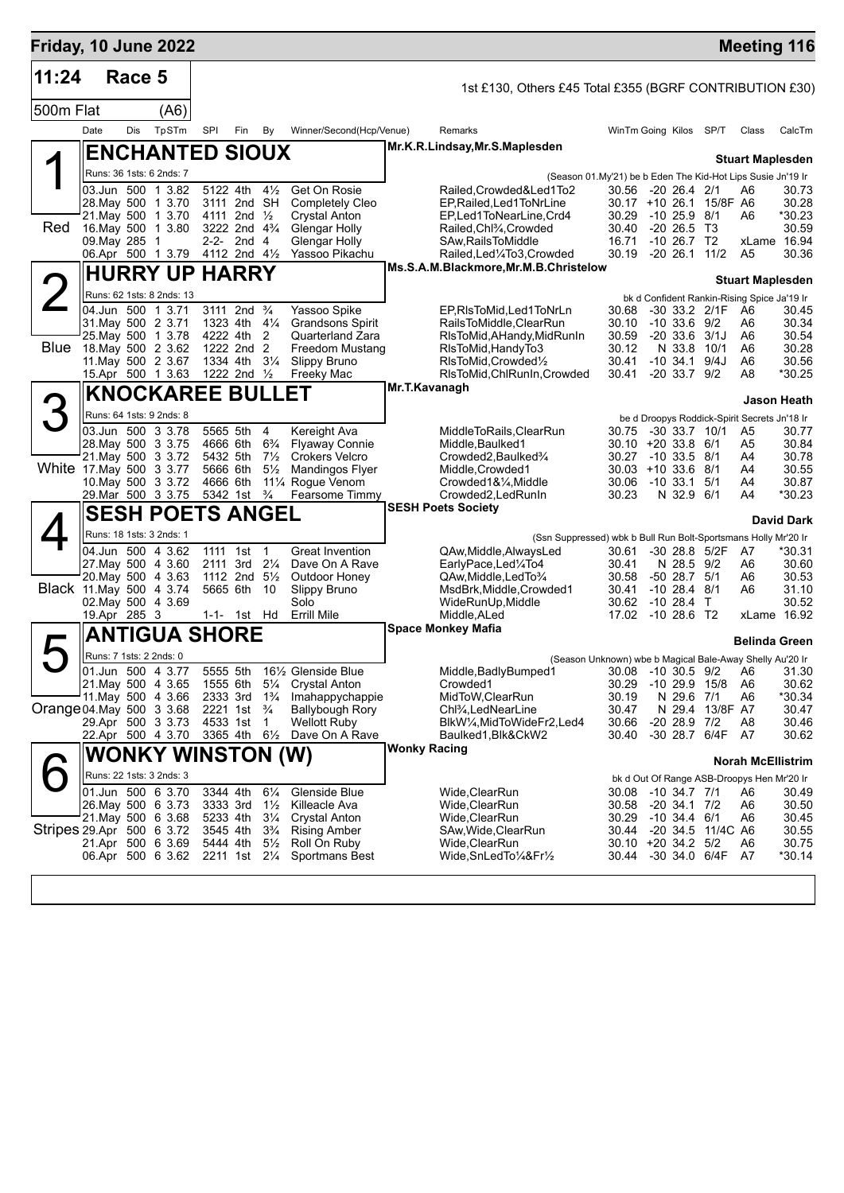| Friday, 10 June 2022      |                                               |        |                                          |     |                                       |                                  |                                                |                     |                                                                                               |                             |                                       |                         | <b>Meeting 116</b>                               |                   |
|---------------------------|-----------------------------------------------|--------|------------------------------------------|-----|---------------------------------------|----------------------------------|------------------------------------------------|---------------------|-----------------------------------------------------------------------------------------------|-----------------------------|---------------------------------------|-------------------------|--------------------------------------------------|-------------------|
| 11:24                     |                                               | Race 5 |                                          |     |                                       |                                  |                                                |                     | 1st £130, Others £45 Total £355 (BGRF CONTRIBUTION £30)                                       |                             |                                       |                         |                                                  |                   |
| 500m Flat                 |                                               |        | (A6)                                     |     |                                       |                                  |                                                |                     |                                                                                               |                             |                                       |                         |                                                  |                   |
|                           | Date                                          | Dis    | TpSTm                                    | SPI | Fin                                   | By                               | Winner/Second(Hcp/Venue)                       |                     | Remarks                                                                                       | WinTm Going Kilos SP/T      |                                       |                         | Class                                            | CalcTm            |
|                           |                                               |        | <b>ENCHANTED SIOUX</b>                   |     |                                       |                                  |                                                |                     | Mr.K.R.Lindsay, Mr.S.Maplesden                                                                |                             |                                       |                         | <b>Stuart Maplesden</b>                          |                   |
|                           |                                               |        | Runs: 36 1sts: 6 2nds: 7                 |     |                                       |                                  |                                                |                     | (Season 01.My'21) be b Eden The Kid-Hot Lips Susie Jn'19 Ir                                   |                             |                                       |                         |                                                  |                   |
|                           |                                               |        | 03.Jun 500 1 3.82                        |     | 5122 4th 41/2                         |                                  | Get On Rosie                                   |                     | Railed,Crowded&Led1To2                                                                        | 30.56 -20 26.4 2/1          |                                       |                         | A6                                               | 30.73             |
|                           |                                               |        | 28. May 500 1 3.70<br>21. May 500 1 3.70 |     | 3111 2nd SH<br>4111 2nd $\frac{1}{2}$ |                                  | <b>Completely Cleo</b><br><b>Crystal Anton</b> |                     | EP, Railed, Led 1 To Nr Line<br>EP,Led1ToNearLine,Crd4                                        | 30.29                       | $-1025.98/1$                          | 30.17 +10 26.1 15/8F A6 | A6                                               | 30.28<br>*30.23   |
| Red                       | 16. May 500 1 3.80                            |        |                                          |     | 3222 2nd $4\frac{3}{4}$               |                                  | Glengar Holly                                  |                     | Railed, Chl3/4, Crowded                                                                       | 30.40                       | $-20, 26.5, 13$                       |                         |                                                  | 30.59             |
|                           | 09. May 285 1                                 |        |                                          |     | $2-2-2nd 4$                           |                                  | Glengar Holly                                  |                     | SAw, Rails To Middle                                                                          | 16.71                       | $-10, 26.7, T2$                       |                         | xLame 16.94                                      |                   |
|                           |                                               |        | 06.Apr 500 1 3.79                        |     | 4112 2nd $4\frac{1}{2}$               |                                  | Yassoo Pikachu                                 |                     | Railed, Led <sup>1</sup> / <sub>4</sub> To3, Crowded<br>Ms.S.A.M.Blackmore, Mr.M.B.Christelow |                             |                                       | 30.19 -20 26.1 11/2     | A <sub>5</sub>                                   | 30.36             |
|                           |                                               |        | <b>HURRY UP HARRY</b>                    |     |                                       |                                  |                                                |                     |                                                                                               |                             |                                       |                         | <b>Stuart Maplesden</b>                          |                   |
|                           |                                               |        | Runs: 62 1sts: 8 2nds: 13                |     |                                       |                                  |                                                |                     |                                                                                               |                             |                                       |                         | bk d Confident Rankin-Rising Spice Ja'19 Ir      |                   |
|                           | 04.Jun 500 1 3.71                             |        |                                          |     | 3111 2nd <sup>3</sup> / <sub>4</sub>  |                                  | Yassoo Spike                                   |                     | EP, RIsToMid, Led1ToNrLn                                                                      | 30.68                       |                                       | -30 33.2 2/1F           | A6                                               | 30.45             |
|                           | 31. May 500 2 3.71                            |        | 25. May 500 1 3.78                       |     | 1323 4th $4\frac{1}{4}$<br>4222 4th   | 2                                | <b>Grandsons Spirit</b><br>Quarterland Zara    |                     | RailsToMiddle,ClearRun<br>RIsToMid,AHandy,MidRunIn                                            | 30.10<br>30.59              | $-10, 33.6, 9/2$<br>$-20$ 33.6 $3/1J$ |                         | A6<br>A6                                         | 30.34<br>30.54    |
| Blue                      | 18. May 500 2 3.62                            |        |                                          |     | 1222 2nd 2                            |                                  | Freedom Mustang                                |                     | RIsToMid, HandyTo3                                                                            | 30.12                       | N 33.8                                | 10/1                    | A6                                               | 30.28             |
|                           |                                               |        | 11. May 500 2 3.67                       |     | 1334 4th                              | $3\frac{1}{4}$                   | Slippy Bruno                                   |                     | RIsToMid, Crowded <sup>1</sup> / <sub>2</sub>                                                 | 30.41                       | $-10, 34.1, 9/4J$                     |                         | A6                                               | 30.56             |
|                           |                                               |        | 15.Apr 500 1 3.63                        |     | 1222 2nd 1/2                          |                                  | Freeky Mac                                     | Mr.T.Kavanagh       | RIsToMid, ChlRunIn, Crowded                                                                   | 30.41                       | $-20, 33.7, 9/2$                      |                         | A8                                               | *30.25            |
|                           |                                               |        | <b>KNOCKAREE BULLET</b>                  |     |                                       |                                  |                                                |                     |                                                                                               |                             |                                       |                         |                                                  | Jason Heath       |
| 3                         | Runs: 64 1sts: 9 2nds: 8                      |        |                                          |     |                                       |                                  |                                                |                     |                                                                                               |                             |                                       |                         | be d Droopys Roddick-Spirit Secrets Jn'18 Ir     |                   |
|                           | 03.Jun 500 3 3.78                             |        | 28. May 500 3 3.75                       |     | 5565 5th<br>4666 6th                  | 4<br>$6\frac{3}{4}$              | Kereight Ava<br><b>Flyaway Connie</b>          |                     | MiddleToRails,ClearRun<br>Middle, Baulked1                                                    | 30.75<br>30.10 +20 33.8 6/1 | $-30$ 33.7 10/1                       |                         | A5<br>A5                                         | 30.77<br>30.84    |
|                           |                                               |        | 21. May 500 3 3.72                       |     | 5432 5th                              | $7\frac{1}{2}$                   | <b>Crokers Velcro</b>                          |                     | Crowded2, Baulked3/4                                                                          | 30.27 -10 33.5 8/1          |                                       |                         | A4                                               | 30.78             |
| White 17 May 500 3 3.77   |                                               |        |                                          |     | 5666 6th                              | $5\frac{1}{2}$                   | Mandingos Flyer                                |                     | Middle, Crowded1                                                                              | $30.03 + 10.33.6$ 8/1       |                                       |                         | A4                                               | 30.55             |
|                           |                                               |        | 10. May 500 3 3.72<br>29. Mar 500 3 3.75 |     | 4666 6th<br>5342 1st                  | $\frac{3}{4}$                    | 111⁄4 Rogue Venom<br>Fearsome Timmy            |                     | Crowded1&1⁄4, Middle<br>Crowded2, LedRunIn                                                    | 30.06<br>30.23              | $-10$ 33.1 5/1<br>N 32.9 6/1          |                         | A4<br>A4                                         | 30.87<br>*30.23   |
|                           |                                               |        |                                          |     |                                       |                                  |                                                |                     | <b>SESH Poets Society</b>                                                                     |                             |                                       |                         |                                                  |                   |
|                           |                                               |        | <b>SESH POETS ANGEL</b>                  |     |                                       |                                  |                                                |                     |                                                                                               |                             |                                       |                         |                                                  | <b>David Dark</b> |
|                           | Runs: 18 1sts: 3 2nds: 1                      |        | 04.Jun 500 4 3.62                        |     | 1111 1st                              | $\mathbf{1}$                     | <b>Great Invention</b>                         |                     | (Ssn Suppressed) wbk b Bull Run Bolt-Sportsmans Holly Mr'20 Ir                                |                             |                                       |                         |                                                  | *30.31            |
|                           |                                               |        | 27. May 500 4 3.60                       |     | 2111 3rd 21/4                         |                                  | Dave On A Rave                                 |                     | QAw, Middle, Always Led<br>EarlyPace,Led1/4To4                                                | 30.61<br>30.41              | N 28.5 9/2                            | -30 28.8 5/2F           | A7<br>A6                                         | 30.60             |
|                           |                                               |        | 20. May 500 4 3.63                       |     | 1112 2nd $5\frac{1}{2}$               |                                  | Outdoor Honey                                  |                     | QAw, Middle, Led To 3/4                                                                       | 30.58                       | $-50$ 28.7 $5/1$                      |                         | A6                                               | 30.53             |
|                           | Black 11 May 500 4 3.74<br>02. May 500 4 3.69 |        |                                          |     | 5665 6th                              | 10                               | Slippy Bruno<br>Solo                           |                     | MsdBrk, Middle, Crowded1<br>WideRunUp, Middle                                                 | 30.41<br>30.62 -10 28.4 T   | $-10$ 28.4 $8/1$                      |                         | A6                                               | 31.10<br>30.52    |
|                           | 19.Apr 285 3                                  |        |                                          |     | 1-1- 1st Hd                           |                                  | <b>Errill Mile</b>                             |                     | Middle.ALed                                                                                   | 17.02 -10 28.6 T2           |                                       |                         | xLame 16.92                                      |                   |
|                           |                                               |        | <b>ANTIGUA SHORE</b>                     |     |                                       |                                  |                                                |                     | <b>Space Monkey Mafia</b>                                                                     |                             |                                       |                         |                                                  |                   |
|                           | Runs: 7 1sts: 2 2nds: 0                       |        |                                          |     |                                       |                                  |                                                |                     |                                                                                               |                             |                                       |                         | <b>Belinda Green</b>                             |                   |
|                           | 01.Jun 500 4 3.77                             |        |                                          |     | 5555 5th                              |                                  | 161/2 Glenside Blue                            |                     | (Season Unknown) wbe b Magical Bale-Away Shelly Au'20 Ir<br>Middle,BadlyBumped1               |                             |                                       |                         | 30.08 -10 30.5 9/2 A6 31.30                      |                   |
|                           |                                               |        | 21. May 500 4 3.65                       |     |                                       |                                  | 1555 6th 51⁄4 Crystal Anton                    |                     | Crowded1                                                                                      | 30.29 -10 29.9 15/8         |                                       |                         | A6                                               | 30.62             |
|                           |                                               |        | 11. May 500 4 3.66                       |     | 2333 3rd                              | $1\frac{3}{4}$                   | Imahappychappie                                |                     | MidToW, ClearRun                                                                              | 30.19                       | N 29.6 7/1                            |                         | A6                                               | *30.34            |
| Orange 04 May 500 3 3.68  |                                               |        | 29.Apr 500 3 3.73                        |     | 2221 1st<br>4533 1st                  | $\frac{3}{4}$<br>1               | <b>Ballybough Rory</b><br><b>Wellott Ruby</b>  |                     | Chl <sup>3</sup> ⁄ <sub>4</sub> ,LedNearLine<br>BlkW¼,MidToWideFr2,Led4                       | 30.47<br>30.66              | $-20$ 28.9 $7/2$                      | N 29.4 13/8F A7         | A8                                               | 30.47<br>30.46    |
|                           |                                               |        | 22.Apr 500 4 3.70                        |     | 3365 4th 61/2                         |                                  | Dave On A Rave                                 |                     | Baulked1,Blk&CkW2                                                                             | 30.40                       |                                       | -30 28.7 6/4F           | - A7                                             | 30.62             |
|                           |                                               |        | WONKY WINSTON (W)                        |     |                                       |                                  |                                                | <b>Wonky Racing</b> |                                                                                               |                             |                                       |                         |                                                  |                   |
|                           |                                               |        | Runs: 22 1sts: 3 2nds: 3                 |     |                                       |                                  |                                                |                     |                                                                                               |                             |                                       |                         | <b>Norah McEllistrim</b>                         |                   |
|                           |                                               |        | 01.Jun 500 6 3.70                        |     | 3344 4th                              | $6\frac{1}{4}$                   | Glenside Blue                                  |                     | Wide,ClearRun                                                                                 | 30.08 -10 34.7 7/1          |                                       |                         | bk d Out Of Range ASB-Droopys Hen Mr'20 Ir<br>A6 | 30.49             |
|                           |                                               |        | 26. May 500 6 3.73                       |     | 3333 3rd                              | $1\frac{1}{2}$                   | Killeacle Ava                                  |                     | Wide,ClearRun                                                                                 | 30.58 -20 34.1 7/2          |                                       |                         | A6                                               | 30.50             |
|                           | 21. May 500 6 3.68                            |        |                                          |     | 5233 4th                              | $3\frac{1}{4}$                   | <b>Crystal Anton</b>                           |                     | Wide,ClearRun                                                                                 | 30.29                       | $-10,34.4,6/1$                        |                         | A6                                               | 30.45             |
| Stripes 29.Apr 500 6 3.72 |                                               |        | 21.Apr 500 6 3.69                        |     | 3545 4th<br>5444 4th                  | $3\frac{3}{4}$<br>$5\frac{1}{2}$ | <b>Rising Amber</b><br>Roll On Ruby            |                     | SAw,Wide,ClearRun<br>Wide, Clear Run                                                          | 30.10 +20 34.2 5/2          |                                       | 30.44 -20 34.5 11/4C A6 | A6                                               | 30.55<br>30.75    |
|                           |                                               |        | 06.Apr 500 6 3.62 2211 1st 2¼            |     |                                       |                                  | Sportmans Best                                 |                     | Wide,SnLedTo1/4&Fr1/2                                                                         |                             |                                       | 30.44 -30 34.0 6/4F A7  |                                                  | *30.14            |
|                           |                                               |        |                                          |     |                                       |                                  |                                                |                     |                                                                                               |                             |                                       |                         |                                                  |                   |
|                           |                                               |        |                                          |     |                                       |                                  |                                                |                     |                                                                                               |                             |                                       |                         |                                                  |                   |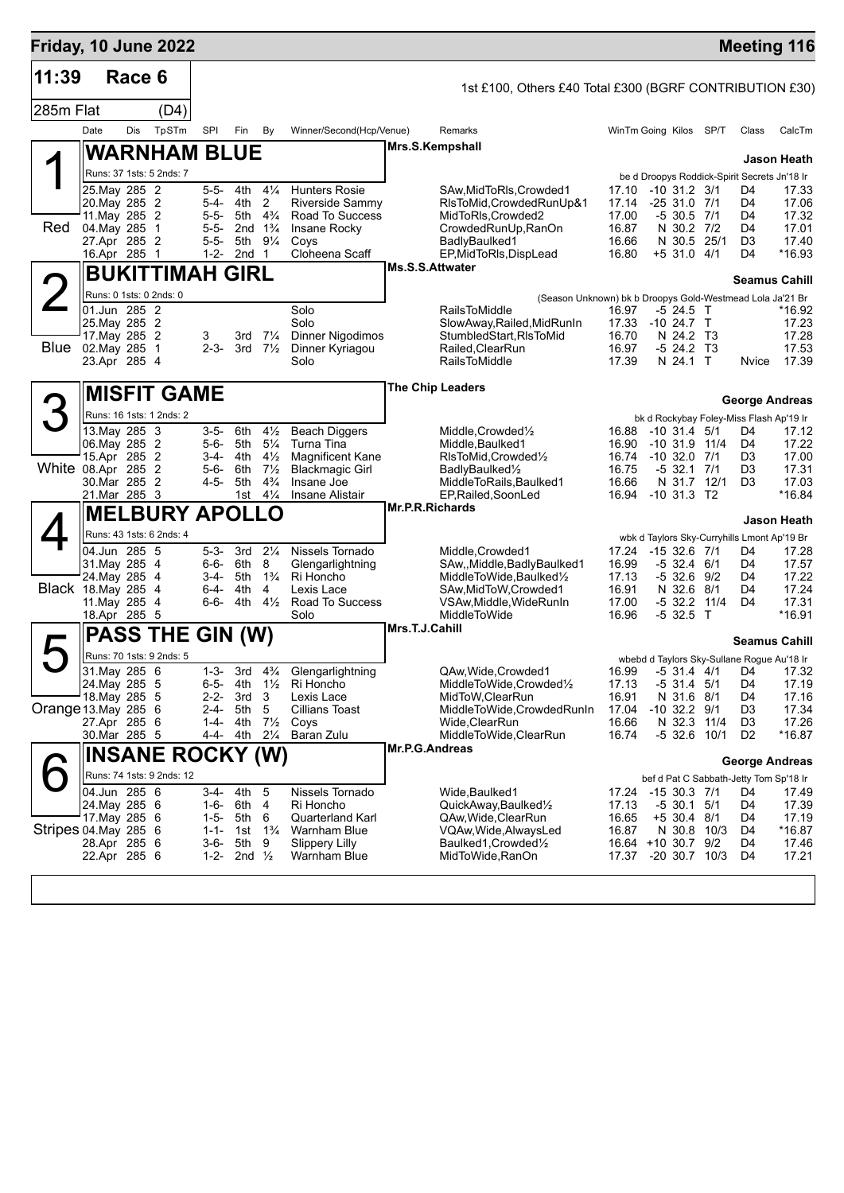| Friday, 10 June 2022       |                                |        |                           |                        |                    |                                  |                                                   |                                                                                   |                |                                                                 |      |                                  | <b>Meeting 116</b>    |
|----------------------------|--------------------------------|--------|---------------------------|------------------------|--------------------|----------------------------------|---------------------------------------------------|-----------------------------------------------------------------------------------|----------------|-----------------------------------------------------------------|------|----------------------------------|-----------------------|
| 11:39                      |                                | Race 6 |                           |                        |                    |                                  |                                                   | 1st £100, Others £40 Total £300 (BGRF CONTRIBUTION £30)                           |                |                                                                 |      |                                  |                       |
| 285m Flat                  |                                |        | (D4)                      |                        |                    |                                  |                                                   |                                                                                   |                |                                                                 |      |                                  |                       |
|                            | Date                           | Dis    | TpSTm                     | SPI                    | Fin                | By                               | Winner/Second(Hcp/Venue)                          | Remarks                                                                           |                | WinTm Going Kilos SP/T                                          |      | Class                            | CalcTm                |
|                            |                                |        | <b>WARNHAM BLUE</b>       |                        |                    |                                  |                                                   | Mrs.S.Kempshall                                                                   |                |                                                                 |      |                                  | Jason Heath           |
|                            |                                |        | Runs: 37 1sts: 5 2nds: 7  |                        |                    |                                  |                                                   |                                                                                   |                | be d Droopys Roddick-Spirit Secrets Jn'18 Ir                    |      |                                  |                       |
|                            | 25. May 285 2                  |        |                           | 5-5-                   | 4th                | $4\frac{1}{4}$                   | <b>Hunters Rosie</b>                              | SAw,MidToRIs,Crowded1                                                             | 17.10          | $-10$ 31.2 3/1                                                  |      | D4                               | 17.33                 |
|                            | 20. May 285 2<br>11. May 285 2 |        |                           | 5-4-<br>$5 - 5 -$      | 4th<br>5th         | $\overline{2}$<br>$4\frac{3}{4}$ | Riverside Sammy<br>Road To Success                | RIsToMid, Crowded RunUp&1<br>MidToRIs, Crowded2                                   | 17.14<br>17.00 | $-2531.07/1$<br>$-5$ 30.5 $7/1$                                 |      | D4<br>D4                         | 17.06<br>17.32        |
| Red                        | 04. May 285                    |        | $\overline{1}$            | $5 - 5 -$              | 2nd $1\frac{3}{4}$ |                                  | Insane Rocky                                      | CrowdedRunUp, RanOn                                                               | 16.87          | N 30.2 7/2                                                      |      | D4                               | 17.01                 |
|                            | 27.Apr 285 2<br>16.Apr 285 1   |        |                           | $5 - 5 -$<br>$1 - 2 -$ | 5th<br>2nd         | $9\frac{1}{4}$<br>$\mathbf{1}$   | Coys<br>Cloheena Scaff                            | BadlyBaulked1<br>EP, MidToRIs, DispLead                                           | 16.66<br>16.80 | N 30.5 25/1<br>$+5$ 31.0 4/1                                    |      | D <sub>3</sub><br>D4             | 17.40<br>*16.93       |
|                            |                                |        | BUKITTIMAH GIRL           |                        |                    |                                  |                                                   | Ms.S.S.Attwater                                                                   |                |                                                                 |      |                                  |                       |
|                            |                                |        | Runs: 0 1sts: 0 2nds: 0   |                        |                    |                                  |                                                   |                                                                                   |                |                                                                 |      |                                  | <b>Seamus Cahill</b>  |
|                            | 01.Jun 285 2                   |        |                           |                        |                    |                                  | Solo                                              | (Season Unknown) bk b Droopys Gold-Westmead Lola Ja'21 Br<br><b>RailsToMiddle</b> | 16.97          | -5 24.5 T                                                       |      |                                  | *16.92                |
|                            | 25. May 285 2<br>17. May 285 2 |        |                           | 3                      |                    | 3rd $7\frac{1}{4}$               | Solo<br><b>Dinner Nigodimos</b>                   | SlowAway, Railed, MidRunIn<br>StumbledStart.RIsToMid                              | 16.70          | 17.33 -10 24.7 T<br>N 24.2 T3                                   |      |                                  | 17.23<br>17.28        |
| Blue 02. May 285 1         |                                |        |                           | $2 - 3 -$              |                    | 3rd $7\frac{1}{2}$               | Dinner Kyriagou                                   | Railed, Clear Run                                                                 | 16.97          | $-5$ 24.2 T3                                                    |      |                                  | 17.53                 |
|                            | 23.Apr 285 4                   |        |                           |                        |                    |                                  | Solo                                              | <b>RailsToMiddle</b>                                                              | 17.39          | N 24.1 T                                                        |      | Nvice                            | 17.39                 |
|                            |                                |        | <b>MISFIT GAME</b>        |                        |                    |                                  |                                                   | <b>The Chip Leaders</b>                                                           |                |                                                                 |      |                                  |                       |
|                            |                                |        | Runs: 16 1sts: 1 2nds: 2  |                        |                    |                                  |                                                   |                                                                                   |                |                                                                 |      |                                  | <b>George Andreas</b> |
|                            | 13. May 285 3                  |        |                           | $3 - 5 -$              | 6th                | $4\frac{1}{2}$                   | <b>Beach Diggers</b>                              | Middle.Crowded1/2                                                                 |                | bk d Rockybay Foley-Miss Flash Ap'19 Ir<br>16.88 -10 31.4 5/1   |      | D4                               | 17.12                 |
|                            | 06. May 285 2                  |        |                           | 5-6-                   | 5th                | $5\frac{1}{4}$                   | Turna Tina                                        | Middle, Baulked1                                                                  | 16.90          | $-10$ 31.9 11/4                                                 |      | D4                               | 17.22                 |
| White 08.Apr 285 2         | 15.Apr 285 2                   |        |                           | $5-6-$                 | 3-4- 4th<br>6th    | $4\frac{1}{2}$<br>$7\frac{1}{2}$ | <b>Magnificent Kane</b><br><b>Blackmagic Girl</b> | RIsToMid, Crowded1/2<br>BadlyBaulked <sup>1/2</sup>                               | 16.74<br>16.75 | $-10$ 32.0 $7/1$<br>-5 32.1                                     | 7/1  | D <sub>3</sub><br>D <sub>3</sub> | 17.00<br>17.31        |
|                            | 30. Mar 285 2                  |        |                           | 4-5-                   | 5th                | $4\frac{3}{4}$                   | Insane Joe                                        | MiddleToRails, Baulked1                                                           | 16.66          | N 31.7 12/1                                                     |      | D <sub>3</sub>                   | 17.03                 |
|                            | 21.Mar 285 3                   |        |                           |                        | 1st                | $4\frac{1}{4}$                   | <b>Insane Alistair</b>                            | EP, Railed, SoonLed<br><b>Mr.P.R.Richards</b>                                     |                | 16.94 - 10 31.3 T2                                              |      |                                  | *16.84                |
|                            |                                |        | <b>MELBURY APOLLO</b>     |                        |                    |                                  |                                                   |                                                                                   |                |                                                                 |      |                                  | <b>Jason Heath</b>    |
|                            | 04.Jun 285 5                   |        | Runs: 43 1sts: 6 2nds: 4  | 5-3-                   | 3rd                | $2\frac{1}{4}$                   | Nissels Tornado                                   | Middle, Crowded1                                                                  | 17.24          | wbk d Taylors Sky-Curryhills Lmont Ap'19 Br<br>$-15$ 32.6 $7/1$ |      | D4                               | 17.28                 |
|                            | 31. May 285 4                  |        |                           | 6-6-                   | 6th                | 8                                | Glengarlightning                                  | SAw,,Middle,BadlyBaulked1                                                         | 16.99          | -5 32.4 6/1                                                     |      | D4                               | 17.57                 |
| <b>Black</b> 18. May 285 4 | 24. May 285 4                  |        |                           | 3-4-<br>6-4-           | 5th<br>4th         | $1\frac{3}{4}$<br>4              | Ri Honcho<br>Lexis Lace                           | MiddleToWide,Baulked1/2<br>SAw, MidToW, Crowded1                                  | 17.13<br>16.91 | -5 32.6 9/2<br>N 32.6                                           | 8/1  | D4<br>D4                         | 17.22<br>17.24        |
|                            | 11. May 285 4                  |        |                           | 6-6-                   | 4th 4½             |                                  | Road To Success                                   | VSAw, Middle, WideRunIn                                                           | 17.00          | $-5$ 32.2 11/4                                                  |      | D4                               | 17.31                 |
|                            | 18.Apr 285 5                   |        |                           |                        |                    |                                  | Solo                                              | <b>MiddleToWide</b><br>Mrs.T.J.Cahill                                             | 16.96          | $-532.5$ T                                                      |      |                                  | *16.91                |
|                            |                                |        | PASS THE GIN (W)          |                        |                    |                                  |                                                   |                                                                                   |                |                                                                 |      |                                  | Seamus Cahill         |
|                            |                                |        | Runs: 70 1sts: 9 2nds: 5  |                        |                    |                                  |                                                   |                                                                                   |                | wbebd d Taylors Sky-Sullane Rogue Au'18 Ir                      |      |                                  |                       |
|                            | 31. May 285 6<br>24. May 285 5 |        |                           | $1 - 3 -$<br>6-5-      | 3rd<br>4th         | $4\frac{3}{4}$<br>$1\frac{1}{2}$ | Glengarlightning<br>Ri Honcho                     | QAw, Wide, Crowded1<br>MiddleToWide,Crowded1/2                                    | 17.13          | 16.99 -5 31.4 4/1 D4 17.32<br>$-5$ 31.4 $5/1$                   |      | D4                               | 17.19                 |
|                            | 18. May 285 5                  |        |                           | 2-2-                   | 3rd                | 3                                | Lexis Lace                                        | MidToW,ClearRun                                                                   | 16.91          | N 31.6 8/1                                                      |      | D4                               | 17.16                 |
| Orange 13. May 285 6       | 27.Apr 285 6                   |        |                           | $2 - 4 -$<br>1-4-      | 5th<br>4th         | 5<br>$7\frac{1}{2}$              | Cillians Toast<br>Coys                            | MiddleToWide,CrowdedRunIn<br>Wide,ClearRun                                        | 17.04<br>16.66 | $-10$ 32.2 $9/1$<br>N 32.3                                      | 11/4 | D3<br>D3                         | 17.34<br>17.26        |
|                            | 30.Mar 285 5                   |        |                           |                        | 4-4- 4th           | $2\frac{1}{4}$                   | Baran Zulu                                        | MiddleToWide,ClearRun                                                             | 16.74          | -5 32.6 10/1                                                    |      | D <sub>2</sub>                   | *16.87                |
|                            |                                |        | <b>INSANE ROCKY (W)</b>   |                        |                    |                                  |                                                   | Mr.P.G.Andreas                                                                    |                |                                                                 |      |                                  | <b>George Andreas</b> |
|                            |                                |        | Runs: 74 1sts: 9 2nds: 12 |                        |                    |                                  |                                                   |                                                                                   |                | bef d Pat C Sabbath-Jetty Tom Sp'18 Ir                          |      |                                  |                       |
|                            | 04.Jun 285 6<br>24.May 285 6   |        |                           | 3-4-                   | 4th<br>1-6- 6th    | 5<br>4                           | Nissels Tornado<br>Ri Honcho                      | Wide, Baulked1<br>QuickAway,Baulked1/2                                            | 17.24<br>17.13 | -15 30.3 7/1<br>-5 30.1 5/1                                     |      | D4<br>D4                         | 17.49<br>17.39        |
|                            | 17. May 285 6                  |        |                           | $1-5-$                 | 5th                | 6                                | Quarterland Karl                                  | QAw, Wide, ClearRun                                                               | 16.65          | +5 30.4 8/1                                                     |      | D4                               | 17.19                 |
| Stripes 04 May 285 6       | 28.Apr 285 6                   |        |                           | $1 - 1 -$              | 1st<br>5th         | $1\frac{3}{4}$                   | Warnham Blue                                      | VQAw,Wide,AlwaysLed<br>Baulked1, Crowded1/2                                       | 16.87          | N 30.8 10/3                                                     |      | D4<br>D4                         | *16.87<br>17.46       |
|                            | 22.Apr 285 6                   |        |                           | 3-6-<br>1-2-           | 2nd $\frac{1}{2}$  | 9                                | <b>Slippery Lilly</b><br>Warnham Blue             | MidToWide, RanOn                                                                  |                | 16.64 +10 30.7 9/2<br>17.37 -20 30.7 10/3                       |      | D4                               | 17.21                 |
|                            |                                |        |                           |                        |                    |                                  |                                                   |                                                                                   |                |                                                                 |      |                                  |                       |
|                            |                                |        |                           |                        |                    |                                  |                                                   |                                                                                   |                |                                                                 |      |                                  |                       |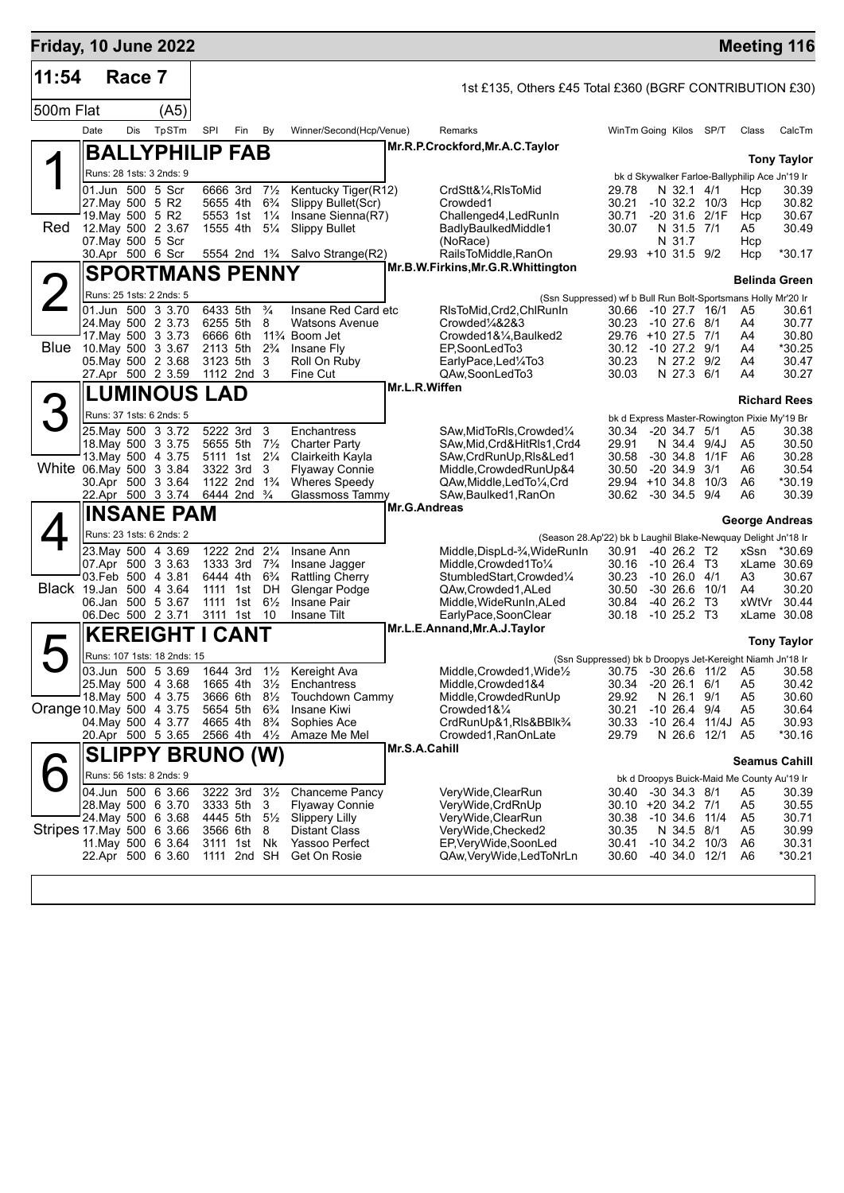| Friday, 10 June 2022      |                                      |        |                                          |     |                                                         |                                  |                                                          |                     |                                                                           |                                                           |                                |                                    | <b>Meeting 116</b>                                                  |                       |
|---------------------------|--------------------------------------|--------|------------------------------------------|-----|---------------------------------------------------------|----------------------------------|----------------------------------------------------------|---------------------|---------------------------------------------------------------------------|-----------------------------------------------------------|--------------------------------|------------------------------------|---------------------------------------------------------------------|-----------------------|
| 11:54                     |                                      | Race 7 |                                          |     |                                                         |                                  |                                                          |                     | 1st £135, Others £45 Total £360 (BGRF CONTRIBUTION £30)                   |                                                           |                                |                                    |                                                                     |                       |
| 500m Flat                 |                                      |        | (A5)                                     |     |                                                         |                                  |                                                          |                     |                                                                           |                                                           |                                |                                    |                                                                     |                       |
|                           | Date                                 | Dis    | TpSTm                                    | SPI | Fin                                                     | By                               | Winner/Second(Hcp/Venue)                                 |                     | Remarks                                                                   | WinTm Going Kilos SP/T                                    |                                |                                    | Class                                                               | CalcTm                |
|                           |                                      |        | <b>BALLYPHILIP FAB</b>                   |     |                                                         |                                  |                                                          |                     | Mr.R.P.Crockford, Mr.A.C. Taylor                                          |                                                           |                                |                                    |                                                                     | <b>Tony Taylor</b>    |
|                           |                                      |        | Runs: 28 1sts: 3 2nds: 9                 |     |                                                         |                                  |                                                          |                     |                                                                           |                                                           |                                |                                    | bk d Skywalker Farloe-Ballyphilip Ace Jn'19 Ir                      |                       |
|                           | 01.Jun 500 5 Scr                     |        |                                          |     | 6666 3rd                                                | $7\frac{1}{2}$                   | Kentucky Tiger(R12)                                      |                     | CrdStt&¼,RIsToMid                                                         | 29.78                                                     | N 32.1 4/1                     |                                    | Hcp                                                                 | 30.39                 |
|                           | 27. May 500 5 R2<br>19. May 500 5 R2 |        |                                          |     | 5655 4th                                                | $6\frac{3}{4}$                   | Slippy Bullet(Scr)                                       |                     | Crowded1                                                                  | 30.21                                                     |                                | $-10$ 32.2 $10/3$                  | Hcp                                                                 | 30.82                 |
| Red                       |                                      |        | 12. May 500 2 3.67                       |     | 5553 1st<br>1555 4th                                    | $1\frac{1}{4}$<br>$5\frac{1}{4}$ | Insane Sienna(R7)<br><b>Slippy Bullet</b>                |                     | Challenged4, Led Run In<br>BadlyBaulkedMiddle1                            | 30.71<br>30.07                                            | N 31.5 7/1                     | -20 31.6 2/1F                      | Hcp<br>A5                                                           | 30.67<br>30.49        |
|                           | 07. May 500 5 Scr                    |        |                                          |     |                                                         |                                  |                                                          |                     | (NoRace)                                                                  |                                                           | N 31.7                         |                                    | Hcp                                                                 |                       |
|                           |                                      |        | 30.Apr 500 6 Scr                         |     |                                                         |                                  | 5554 2nd 1 <sup>3</sup> / <sub>4</sub> Salvo Strange(R2) |                     | RailsToMiddle, RanOn<br>Mr.B.W.Firkins, Mr.G.R. Whittington               | 29.93 +10 31.5 9/2                                        |                                |                                    | Hcp                                                                 | $*30.17$              |
|                           |                                      |        | <b>SPORTMANS PENNY</b>                   |     |                                                         |                                  |                                                          |                     |                                                                           |                                                           |                                |                                    | <b>Belinda Green</b>                                                |                       |
|                           |                                      |        | Runs: 25 1sts: 2 2nds: 5                 |     |                                                         |                                  |                                                          |                     | (Ssn Suppressed) wf b Bull Run Bolt-Sportsmans Holly Mr'20 Ir             |                                                           |                                |                                    |                                                                     |                       |
|                           |                                      |        | 01.Jun 500 3 3.70<br>24. May 500 2 3.73  |     | 6433 5th<br>6255 5th                                    | $\frac{3}{4}$<br>8               | Insane Red Card etc<br><b>Watsons Avenue</b>             |                     | RIsToMid, Crd2, ChlRunIn<br>Crowded1/4&2&3                                | 30.66 -10 27.7 16/1<br>30.23 -10 27.6 8/1                 |                                |                                    | A5<br>A4                                                            | 30.61<br>30.77        |
|                           |                                      |        | 17 May 500 3 3 73                        |     | 6666 6th                                                |                                  | 11% Boom Jet                                             |                     | Crowded1&1/4, Baulked2                                                    | 29.76 +10 27.5 7/1                                        |                                |                                    | A4                                                                  | 30.80                 |
| <b>Blue</b>               |                                      |        | 10.May 500 3 3.67<br>05. May 500 2 3.68  |     | 2113 5th<br>3123 5th                                    | $2\frac{3}{4}$<br>3              | Insane Fly<br>Roll On Ruby                               |                     | EP,SoonLedTo3<br>EarlyPace,Led¼To3                                        | 30.12 -10 27.2 9/1<br>30.23                               | N 27.2 9/2                     |                                    | A4<br>A4                                                            | *30.25<br>30.47       |
|                           |                                      |        | 27.Apr 500 2 3.59                        |     | 1112 2nd 3                                              |                                  | Fine Cut                                                 |                     | QAw,SoonLedTo3                                                            | 30.03                                                     | N 27.3 6/1                     |                                    | A4                                                                  | 30.27                 |
|                           |                                      |        | <b>LUMINOUS LAD</b>                      |     |                                                         |                                  |                                                          | Mr.L.R.Wiffen       |                                                                           |                                                           |                                |                                    |                                                                     |                       |
|                           |                                      |        | Runs: 37 1sts: 6 2nds: 5                 |     |                                                         |                                  |                                                          |                     |                                                                           |                                                           |                                |                                    | <b>Richard Rees</b><br>bk d Express Master-Rowington Pixie My'19 Br |                       |
|                           |                                      |        | 25. May 500 3 3.72                       |     | 5222 3rd                                                | 3                                | Enchantress                                              |                     | SAw.MidToRIs.Crowded1/4                                                   | 30.34                                                     | $-20, 34.7, 5/1$               |                                    | A5                                                                  | 30.38                 |
|                           |                                      |        | 18. May 500 3 3.75                       |     | 5655 5th                                                | $7\frac{1}{2}$                   | <b>Charter Party</b>                                     |                     | SAw, Mid, Crd& HitRIs1, Crd4                                              | 29.91                                                     | N 34.4 9/4J                    |                                    | A <sub>5</sub>                                                      | 30.50                 |
| White 06.May 500 3 3.84   |                                      |        | 13. May 500 4 3.75                       |     | 5111 1st 21/4<br>3322 3rd                               | 3                                | Clairkeith Kayla<br><b>Flyaway Connie</b>                |                     | SAw, CrdRunUp, RIs&Led1<br>Middle, Crowded RunUp&4                        | 30.58<br>30.50                                            | $-20, 34.9, 3/1$               | $-30$ 34.8 $1/1F$                  | A6<br>A6                                                            | 30.28<br>30.54        |
|                           |                                      |        | 30.Apr 500 3 3.64                        |     | 1122 2nd 1 <sup>3</sup> / <sub>4</sub>                  |                                  | <b>Wheres Speedy</b>                                     |                     | QAw, Middle, Led To 1/4, Crd                                              | 29.94 +10 34.8 10/3                                       |                                |                                    | A6                                                                  | *30.19                |
|                           |                                      |        | 22.Apr 500 3 3.74                        |     | 6444 2nd <sup>3</sup> / <sub>4</sub>                    |                                  | Glassmoss Tammy                                          | <b>Mr.G.Andreas</b> | SAw, Baulked 1, RanOn                                                     | 30.62                                                     | $-30$ 34.5 $9/4$               |                                    | A6                                                                  | 30.39                 |
|                           |                                      |        | <b>INSANE PAM</b>                        |     |                                                         |                                  |                                                          |                     |                                                                           |                                                           |                                |                                    | George Andreas                                                      |                       |
|                           |                                      |        | Runs: 23 1sts: 6 2nds: 2                 |     |                                                         |                                  |                                                          |                     | (Season 28.Ap'22) bk b Laughil Blake-Newquay Delight Jn'18 Ir             |                                                           |                                |                                    |                                                                     |                       |
|                           |                                      |        | 23. May 500 4 3.69<br>07.Apr 500 3 3.63  |     | 1222 2nd 21/4<br>1333 3rd 7 <sup>3</sup> / <sub>4</sub> |                                  | Insane Ann<br>Insane Jagger                              |                     | Middle, DispLd-3/4, WideRunIn<br>Middle, Crowded1To1/4                    | 30.91<br>30.16                                            | $-40$ 26.2 T2<br>-10 26.4 T3   |                                    | xSsn                                                                | *30.69<br>xLame 30.69 |
|                           |                                      |        | 03.Feb 500 4 3.81                        |     | 6444 4th                                                | $6\frac{3}{4}$                   | <b>Rattling Cherry</b>                                   |                     | StumbledStart, Crowded1/4                                                 | 30.23                                                     | $-1026.04/1$                   |                                    | A3                                                                  | 30.67                 |
| Black 19.Jan 500 4 3.64   |                                      |        |                                          |     | 1111 1st                                                | DH                               | Glengar Podge                                            |                     | QAw,Crowded1,ALed                                                         | 30.50                                                     | -30 26.6                       | 10/1                               | A4                                                                  | 30.20                 |
|                           |                                      |        | 06.Jan 500 5 3.67<br>06.Dec 500 2 3.71   |     | 1111 1st<br>3111 1st                                    | $6\frac{1}{2}$<br>10             | Insane Pair<br>Insane Tilt                               |                     | Middle, WideRunIn, ALed<br>EarlyPace,SoonClear                            | 30.84<br>30.18                                            | $-40$ 26.2 T3<br>$-1025.2$ T3  |                                    | xWtVr<br>xLame 30.08                                                | 30.44                 |
|                           |                                      |        | <b>KEREIGHT I CANT</b>                   |     |                                                         |                                  |                                                          |                     | Mr.L.E.Annand, Mr.A.J.Taylor                                              |                                                           |                                |                                    |                                                                     |                       |
|                           |                                      |        | Runs: 107 1sts: 18 2nds: 15              |     |                                                         |                                  |                                                          |                     |                                                                           |                                                           |                                |                                    |                                                                     | <b>Tony Taylor</b>    |
|                           |                                      |        | 03.Jun 500 5 3.69                        |     |                                                         |                                  | 1644 3rd 11/2 Kereight Ava                               |                     | Middle, Crowded1, Wide <sup>1</sup> / <sub>2</sub> 30.75 -30 26.6 11/2 A5 | (Ssn Suppressed) bk b Droopys Jet-Kereight Niamh Jn'18 Ir |                                |                                    |                                                                     | 30.58                 |
|                           |                                      |        | 25. May 500 4 3.68                       |     |                                                         |                                  | 1665 4th 3 <sup>1</sup> / <sub>2</sub> Enchantress       |                     | Middle, Crowded 1&4                                                       | 30.34                                                     | $-20$ 26.1 6/1                 |                                    | A5                                                                  | 30.42                 |
| Orange 10 May 500 4 3.75  |                                      |        | 18. May 500 4 3.75                       |     | 3666 6th 8 <sup>1</sup> / <sub>2</sub><br>5654 5th      | $6\frac{3}{4}$                   | Touchdown Cammy<br>Insane Kiwi                           |                     | Middle, Crowded RunUp<br>Crowded1&1/4                                     | 29.92<br>30.21                                            | N 26.1 9/1<br>$-10, 26.4, 9/4$ |                                    | A5<br>A5                                                            | 30.60<br>30.64        |
|                           |                                      |        | 04. May 500 4 3.77                       |     | 4665 4th                                                | $8\frac{3}{4}$                   | Sophies Ace                                              |                     | CrdRunUp&1,RIs&BBlk <sup>3</sup> /4                                       | 30.33                                                     | -10 26.4                       | 11/4J A5                           |                                                                     | 30.93                 |
|                           |                                      |        | 20.Apr 500 5 3.65                        |     | 2566 4th                                                | $4\frac{1}{2}$                   | Amaze Me Mel                                             |                     | Crowded1, RanOnLate                                                       | 29.79                                                     |                                | N 26.6 12/1                        | A5                                                                  | *30.16                |
|                           |                                      |        | <b>SLIPPY BRUNO (W)</b>                  |     |                                                         |                                  |                                                          | Mr.S.A.Cahill       |                                                                           |                                                           |                                |                                    | <b>Seamus Cahill</b>                                                |                       |
|                           |                                      |        | Runs: 56 1sts: 8 2nds: 9                 |     |                                                         |                                  |                                                          |                     |                                                                           |                                                           |                                |                                    | bk d Droopys Buick-Maid Me County Au'19 Ir                          |                       |
|                           |                                      |        | 04.Jun 500 6 3.66                        |     | 3222 3rd                                                | $3\frac{1}{2}$                   | <b>Chanceme Pancy</b>                                    |                     | VeryWide,ClearRun                                                         | 30.40 -30 34.3 8/1                                        |                                |                                    | A5                                                                  | 30.39                 |
|                           |                                      |        | 28. May 500 6 3.70<br>24. May 500 6 3.68 |     | 3333 5th<br>4445 5th 5½                                 | 3                                | <b>Flyaway Connie</b><br>Slippery Lilly                  |                     | VeryWide,CrdRnUp<br>VeryWide, ClearRun                                    | 30.10 +20 34.2 7/1<br>30.38                               | $-10$ 34.6 $11/4$              |                                    | A5<br>A5                                                            | 30.55<br>30.71        |
| Stripes 17 May 500 6 3.66 |                                      |        |                                          |     | 3566 6th                                                | 8                                | <b>Distant Class</b>                                     |                     | VeryWide, Checked2                                                        | 30.35                                                     | N 34.5 8/1                     |                                    | A5                                                                  | 30.99                 |
|                           |                                      |        | 11 May 500 6 3.64<br>22.Apr 500 6 3.60   |     | 3111 1st Nk<br>1111 2nd SH                              |                                  | Yassoo Perfect<br>Get On Rosie                           |                     | EP, VeryWide, SoonLed<br>QAw, Very Wide, Led To NrLn                      | 30.41<br>30.60                                            |                                | $-10$ 34.2 $10/3$<br>-40 34.0 12/1 | A6<br>A6                                                            | 30.31<br>*30.21       |
|                           |                                      |        |                                          |     |                                                         |                                  |                                                          |                     |                                                                           |                                                           |                                |                                    |                                                                     |                       |
|                           |                                      |        |                                          |     |                                                         |                                  |                                                          |                     |                                                                           |                                                           |                                |                                    |                                                                     |                       |
|                           |                                      |        |                                          |     |                                                         |                                  |                                                          |                     |                                                                           |                                                           |                                |                                    |                                                                     |                       |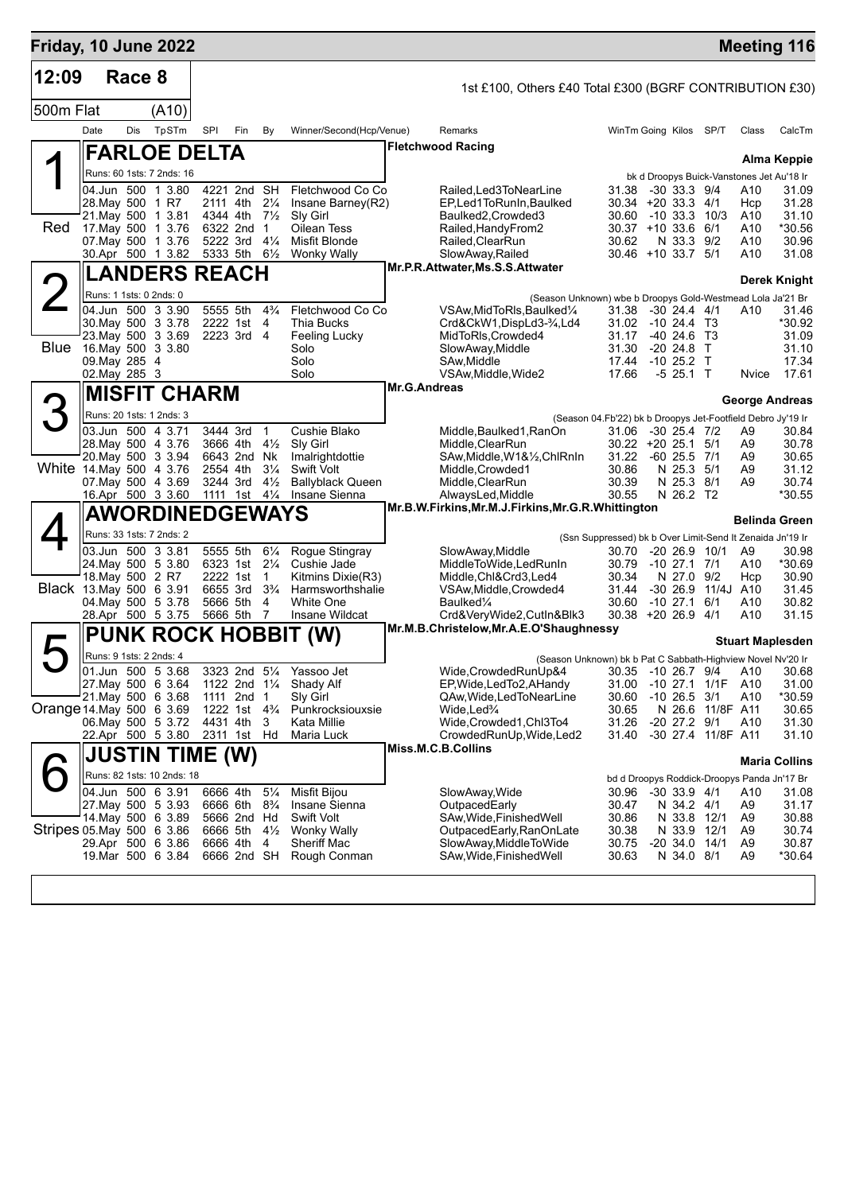| Friday, 10 June 2022      |                  |        |                                                 |          |                                                    |                     |                                          |                     |                                                                                           |                                                                    |                              |                    |                                                    | <b>Meeting 116</b>      |
|---------------------------|------------------|--------|-------------------------------------------------|----------|----------------------------------------------------|---------------------|------------------------------------------|---------------------|-------------------------------------------------------------------------------------------|--------------------------------------------------------------------|------------------------------|--------------------|----------------------------------------------------|-------------------------|
| 12:09                     |                  | Race 8 |                                                 |          |                                                    |                     |                                          |                     | 1st £100, Others £40 Total £300 (BGRF CONTRIBUTION £30)                                   |                                                                    |                              |                    |                                                    |                         |
| 500m Flat                 |                  |        | (A10)                                           |          |                                                    |                     |                                          |                     |                                                                                           |                                                                    |                              |                    |                                                    |                         |
|                           | Date             | Dis    | TpSTm                                           | SPI      | Fin                                                | By                  | Winner/Second(Hcp/Venue)                 |                     | Remarks                                                                                   | WinTm Going Kilos SP/T                                             |                              |                    | Class                                              | CalcTm                  |
|                           |                  |        | <b>FARLOE DELTA</b>                             |          |                                                    |                     |                                          |                     | <b>Fletchwood Racing</b>                                                                  |                                                                    |                              |                    |                                                    |                         |
|                           |                  |        | Runs: 60 1sts: 7 2nds: 16                       |          |                                                    |                     |                                          |                     |                                                                                           |                                                                    |                              |                    | bk d Droopys Buick-Vanstones Jet Au'18 Ir          | Alma Keppie             |
|                           |                  |        | 04.Jun 500 1 3.80                               |          | 4221 2nd SH                                        |                     | Fletchwood Co Co                         |                     | Railed, Led 3 To Near Line                                                                | 31.38 -30 33.3 9/4                                                 |                              |                    | A10                                                | 31.09                   |
|                           | 28. May 500 1 R7 |        | 21. May 500 1 3.81                              |          | 2111 4th<br>4344 4th 7 <sup>1</sup> / <sub>2</sub> | $2\frac{1}{4}$      | Insane Barney(R2)<br>Sly Girl            |                     | EP,Led1ToRunIn,Baulked<br>Baulked2, Crowded3                                              | $30.34 + 20.33.3$ 4/1<br>30.60 -10 33.3 10/3                       |                              |                    | Hcp                                                | 31.28<br>31.10          |
| Red                       |                  |        | 17. May 500 1 3.76                              |          | 6322 2nd 1                                         |                     | Oilean Tess                              |                     | Railed, Handy From 2                                                                      | $30.37 + 10.33.6$ 6/1                                              |                              |                    | A10<br>A10                                         | *30.56                  |
|                           |                  |        | 07. May 500 1 3.76                              |          | 5222 3rd 41/4                                      |                     | Misfit Blonde                            |                     | Railed, ClearRun                                                                          | 30.62                                                              | N 33.3 9/2                   |                    | A10                                                | 30.96                   |
|                           |                  |        | 30.Apr 500 1 3.82                               |          | 5333 5th 61/2                                      |                     | <b>Wonky Wally</b>                       |                     | SlowAway, Railed<br>Mr.P.R.Attwater, Ms.S.S.Attwater                                      | $30.46 + 10.33.75$                                                 |                              |                    | A10                                                | 31.08                   |
|                           |                  |        | <b>LANDERS REACH</b>                            |          |                                                    |                     |                                          |                     |                                                                                           |                                                                    |                              |                    |                                                    | Derek Knight            |
|                           |                  |        | Runs: 1 1sts: 0 2nds: 0<br>04.Jun 500 3 3.90    |          | 5555 5th                                           | $4\frac{3}{4}$      | Fletchwood Co Co                         |                     | (Season Unknown) wbe b Droopys Gold-Westmead Lola Ja'21 Br<br>VSAw, MidToRIs, Baulked 1/4 | 31.38 -30 24.4 4/1                                                 |                              |                    | A10                                                | 31.46                   |
|                           |                  |        | 30. May 500 3 3.78                              |          | 2222 1st 4                                         |                     | Thia Bucks                               |                     | Crd&CkW1,DispLd3-34,Ld4                                                                   | 31.02 -10 24.4 T3                                                  |                              |                    |                                                    | *30.92                  |
|                           |                  |        | 23. May 500 3 3.69                              |          | 2223 3rd 4                                         |                     | Feeling Lucky                            |                     | MidToRIs, Crowded4                                                                        | 31.17                                                              | $-4024.6$ T3                 |                    |                                                    | 31.09                   |
|                           | 09. May 285 4    |        | Blue 16. May 500 3 3.80                         |          |                                                    |                     | Solo<br>Solo                             |                     | SlowAway, Middle<br>SAw, Middle                                                           | 31.30<br>17.44                                                     | -20 24.8 T<br>$-10$ 25.2 T   |                    |                                                    | 31.10<br>17.34          |
|                           | 02. May 285 3    |        |                                                 |          |                                                    |                     | Solo                                     |                     | VSAw, Middle, Wide2                                                                       | 17.66                                                              | $-5$ 25.1 T                  |                    | Nvice                                              | 17.61                   |
|                           |                  |        | <b>MISFIT CHARM</b>                             |          |                                                    |                     |                                          | <b>Mr.G.Andreas</b> |                                                                                           |                                                                    |                              |                    |                                                    | <b>George Andreas</b>   |
|                           |                  |        | Runs: 20 1sts: 1 2nds: 3                        |          |                                                    |                     |                                          |                     |                                                                                           | (Season 04.Fb'22) bk b Droopys Jet-Footfield Debro Jy'19 Ir        |                              |                    |                                                    |                         |
|                           |                  |        | 03.Jun 500 4 3.71                               |          | 3444 3rd                                           | $\overline{1}$      | Cushie Blako                             |                     | Middle, Baulked 1, RanOn                                                                  | 31.06 -30 25.4 7/2                                                 |                              |                    | A9                                                 | 30.84                   |
|                           |                  |        | 28. May 500 4 3.76<br>20. May 500 3 3.94        |          | 3666 4th<br>6643 2nd Nk                            | $4\frac{1}{2}$      | Sly Girl<br>Imalrightdottie              |                     | Middle, ClearRun<br>SAw, Middle, W1&1/2, ChlRnIn                                          | $30.22 + 20.25.1$ 5/1<br>31.22                                     | $-60$ 25.5 $7/1$             |                    | A9<br>A9                                           | 30.78<br>30.65          |
| White 14. May 500 4 3.76  |                  |        |                                                 |          | 2554 4th                                           | $3\frac{1}{4}$      | <b>Swift Volt</b>                        |                     | Middle, Crowded 1                                                                         | 30.86                                                              | N 25.3 5/1                   |                    | A9                                                 | 31.12                   |
|                           |                  |        | 07. May 500 4 3.69<br>16.Apr 500 3 3.60         |          | 3244 3rd<br>1111 1st 41/4                          | $4\frac{1}{2}$      | <b>Ballyblack Queen</b><br>Insane Sienna |                     | Middle, ClearRun<br>AlwaysLed, Middle                                                     | 30.39<br>30.55                                                     | N 25.3 8/1<br>N 26.2 T2      |                    | A9                                                 | 30.74<br>*30.55         |
|                           |                  |        | <b>AWORDINEDGEWAYS</b>                          |          |                                                    |                     |                                          |                     | Mr.B.W.Firkins, Mr.M.J.Firkins, Mr.G.R.Whittington                                        |                                                                    |                              |                    |                                                    |                         |
|                           |                  |        | Runs: 33 1sts: 7 2nds: 2                        |          |                                                    |                     |                                          |                     |                                                                                           |                                                                    |                              |                    |                                                    | Belinda Green           |
|                           |                  |        | 03.Jun 500 3 3.81                               |          | 5555 5th                                           | $6\frac{1}{4}$      | Rogue Stingray                           |                     | SlowAway, Middle                                                                          | (Ssn Suppressed) bk b Over Limit-Send It Zenaida Jn'19 Ir<br>30.70 | $-20$ 26.9 10/1              |                    | A9                                                 | 30.98                   |
|                           |                  |        | 24. May 500 5 3.80                              |          | 6323 1st 21/4                                      |                     | Cushie Jade                              |                     | MiddleToWide,LedRunIn                                                                     | 30.79                                                              | $-10$ 27.1 $7/1$             |                    | A10                                                | *30.69                  |
| Black 13. May 500 6 3.91  | 18. May 500 2 R7 |        |                                                 |          | 2222 1st<br>6655 3rd 3 <sup>3</sup> / <sub>4</sub> | $\overline{1}$      | Kitmins Dixie(R3)<br>Harmsworthshalie    |                     | Middle, Chl&Crd3, Led4                                                                    | 30.34<br>31.44                                                     | N 27.0 9/2                   | -30 26.9 11/4J A10 | Hcp                                                | 30.90<br>31.45          |
|                           |                  |        | 04 May 500 5 3.78                               |          | 5666 5th                                           | 4                   | <b>White One</b>                         |                     | VSAw, Middle, Crowded4<br>Baulked <sup>1/4</sup>                                          | 30.60                                                              | $-10$ 27.1 6/1               |                    | A10                                                | 30.82                   |
|                           |                  |        | 28.Apr 500 5 3.75                               |          | 5666 5th                                           | $\overline{7}$      | Insane Wildcat                           |                     | Crd&VeryWide2,CutIn&Blk3                                                                  | 30.38 +20 26.9 4/1                                                 |                              |                    | A10                                                | 31.15                   |
|                           |                  |        |                                                 |          |                                                    |                     | <b>PUNK ROCK HOBBIT (W)</b>              |                     | Mr.M.B.Christelow, Mr.A.E.O'Shaughnessy                                                   |                                                                    |                              |                    |                                                    | <b>Stuart Maplesden</b> |
|                           |                  |        | Runs: 9 1sts: 2 2nds: 4                         |          |                                                    |                     |                                          |                     | (Season Unknown) bk b Pat C Sabbath-Highview Novel Nv'20 Ir                               |                                                                    |                              |                    |                                                    |                         |
|                           |                  |        | 01.Jun 500 5 3.68                               |          |                                                    |                     | 3323 2nd 51/4 Yassoo Jet                 |                     | Wide, Crowded RunUp&4 30.35 -10 26.7 9/4 A10 30.68                                        |                                                                    |                              |                    |                                                    |                         |
|                           |                  |        | 27. May 500 6 3.64<br>21. May 500 6 3.68        |          | 1111 2nd 1                                         |                     | 1122 2nd 11/4 Shady Alf<br>Sly Girl      |                     | EP, Wide, Led To 2, A Handy<br>QAw, Wide, Led To Near Line                                | 31.00<br>30.60                                                     | $-10$ 26.5 $3/1$             | -10 27.1 1/1F      | A10<br>A10                                         | 31.00<br>*30.59         |
| Orange 14 May 500 6 3.69  |                  |        |                                                 |          | 1222 1st 4 <sup>3</sup> / <sub>4</sub>             |                     | Punkrocksiouxsie                         |                     | Wide,Led <sup>3</sup> /4                                                                  | 30.65                                                              |                              | N 26.6 11/8F A11   |                                                    | 30.65                   |
|                           |                  |        | 06. May 500 5 3.72<br>22.Apr 500 5 3.80         | 4431 4th | 2311 1st Hd                                        | 3                   | Kata Millie<br>Maria Luck                |                     | Wide,Crowded1,Chl3To4<br>CrowdedRunUp, Wide, Led2                                         | 31.26<br>31.40                                                     | $-20$ 27.2 $9/1$             | -30 27.4 11/8F A11 | A10                                                | 31.30<br>31.10          |
|                           |                  |        |                                                 |          |                                                    |                     |                                          |                     | Miss.M.C.B.Collins                                                                        |                                                                    |                              |                    |                                                    |                         |
|                           |                  |        | JUSTIN TIME (W)                                 |          |                                                    |                     |                                          |                     |                                                                                           |                                                                    |                              |                    |                                                    | <b>Maria Collins</b>    |
|                           |                  |        | Runs: 82 1sts: 10 2nds: 18<br>04.Jun 500 6 3.91 |          | 6666 4th                                           | $5\frac{1}{4}$      | Misfit Bijou                             |                     | SlowAway, Wide                                                                            | 30.96                                                              | $-30$ 33.9 $4/1$             |                    | bd d Droopys Roddick-Droopys Panda Jn'17 Br<br>A10 | 31.08                   |
|                           |                  |        | 27 May 500 5 3.93                               |          | 6666 6th 8 <sup>3</sup> / <sub>4</sub>             |                     | Insane Sienna                            |                     | OutpacedEarly                                                                             | 30.47                                                              | N 34.2 4/1                   |                    | A9                                                 | 31.17                   |
|                           |                  |        | 14 May 500 6 3.89                               |          | 5666 2nd Hd                                        |                     | Swift Volt                               |                     | SAw, Wide, Finished Well                                                                  | 30.86                                                              | N 33.8 12/1                  |                    | A9                                                 | 30.88                   |
| Stripes 05 May 500 6 3.86 |                  |        | 29.Apr 500 6 3.86                               |          | 6666 5th<br>6666 4th                               | $4\frac{1}{2}$<br>4 | Wonky Wally<br><b>Sheriff Mac</b>        |                     | OutpacedEarly, RanOnLate<br>SlowAway, MiddleToWide                                        | 30.38<br>30.75                                                     | N 33.9 12/1<br>-20 34.0 14/1 |                    | A9<br>A <sub>9</sub>                               | 30.74<br>30.87          |
|                           |                  |        | 19.Mar 500 6 3.84                               |          | 6666 2nd SH                                        |                     | Rough Conman                             |                     | SAw, Wide, Finished Well                                                                  | 30.63                                                              | N 34.0 8/1                   |                    | A <sub>9</sub>                                     | *30.64                  |
|                           |                  |        |                                                 |          |                                                    |                     |                                          |                     |                                                                                           |                                                                    |                              |                    |                                                    |                         |
|                           |                  |        |                                                 |          |                                                    |                     |                                          |                     |                                                                                           |                                                                    |                              |                    |                                                    |                         |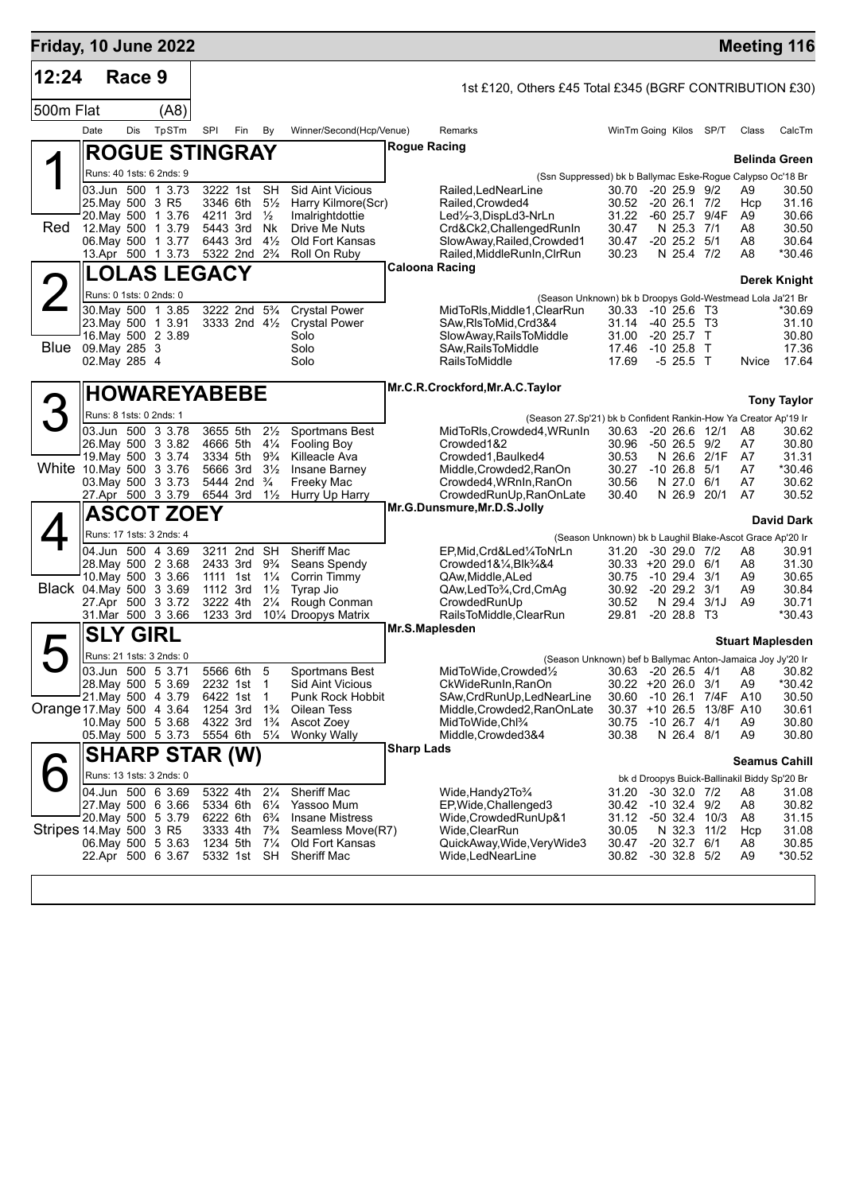| Friday, 10 June 2022     |                                |        |                                                                                                                        |                                  |                                                                                                                 |                                                                      |                                                                                                                      |                   |                                                                                                                                                                                           |                                                                           |                                                                                                          |               |                                              | <b>Meeting 116</b>                                                        |
|--------------------------|--------------------------------|--------|------------------------------------------------------------------------------------------------------------------------|----------------------------------|-----------------------------------------------------------------------------------------------------------------|----------------------------------------------------------------------|----------------------------------------------------------------------------------------------------------------------|-------------------|-------------------------------------------------------------------------------------------------------------------------------------------------------------------------------------------|---------------------------------------------------------------------------|----------------------------------------------------------------------------------------------------------|---------------|----------------------------------------------|---------------------------------------------------------------------------|
| 12:24                    |                                | Race 9 |                                                                                                                        |                                  |                                                                                                                 |                                                                      |                                                                                                                      |                   | 1st £120, Others £45 Total £345 (BGRF CONTRIBUTION £30)                                                                                                                                   |                                                                           |                                                                                                          |               |                                              |                                                                           |
| 500m Flat                |                                |        | (A8)                                                                                                                   |                                  |                                                                                                                 |                                                                      |                                                                                                                      |                   |                                                                                                                                                                                           |                                                                           |                                                                                                          |               |                                              |                                                                           |
|                          | Date                           | Dis    | TpSTm                                                                                                                  | SPI                              | Fin                                                                                                             | By                                                                   | Winner/Second(Hcp/Venue)                                                                                             |                   | Remarks                                                                                                                                                                                   | WinTm Going Kilos SP/T                                                    |                                                                                                          |               | Class                                        | CalcTm                                                                    |
|                          |                                |        | <b>ROGUE STINGRAY</b>                                                                                                  |                                  |                                                                                                                 |                                                                      |                                                                                                                      |                   | Rogue Racing                                                                                                                                                                              |                                                                           |                                                                                                          |               |                                              | <b>Belinda Green</b>                                                      |
|                          |                                |        | Runs: 40 1sts: 6 2nds: 9                                                                                               |                                  |                                                                                                                 |                                                                      |                                                                                                                      |                   | (Ssn Suppressed) bk b Ballymac Eske-Rogue Calypso Oc'18 Br                                                                                                                                |                                                                           |                                                                                                          |               |                                              |                                                                           |
| Red                      | 25. May 500 3 R5               |        | 03.Jun 500 1 3.73<br>20. May 500 1 3.76<br>12. May 500 1 3.79<br>06. May 500 1 3.77<br>13.Apr 500 1 3.73 5322 2nd 23/4 | 4211 3rd<br>5443 3rd<br>6443 3rd | 3222 1st<br>3346 6th                                                                                            | <b>SH</b><br>$5\frac{1}{2}$<br>$\frac{1}{2}$<br>Nk<br>$4\frac{1}{2}$ | <b>Sid Aint Vicious</b><br>Harry Kilmore(Scr)<br>Imalrightdottie<br>Drive Me Nuts<br>Old Fort Kansas<br>Roll On Ruby |                   | Railed, LedNearLine<br>Railed, Crowded4<br>Led1/2-3, DispLd3-NrLn<br>Crd&Ck2, Challenged RunIn<br>SlowAway, Railed, Crowded1<br>Railed, MiddleRunIn, CIrRun                               | 30.70<br>30.52<br>31.22<br>30.47<br>30.47<br>30.23                        | $-20$ 25.9 $9/2$<br>$-20$ 26.1 $7/2$<br>-60 25.7<br>N 25.3 7/1<br>$-20$ 25.2 $5/1$<br>N 25.4 7/2         | 9/4F          | A9<br>Hcp<br>A9<br>A8<br>A8<br>A8            | 30.50<br>31.16<br>30.66<br>30.50<br>30.64<br>*30.46                       |
|                          |                                |        | <b>LOLAS LEGACY</b>                                                                                                    |                                  |                                                                                                                 |                                                                      |                                                                                                                      |                   | <b>Caloona Racing</b>                                                                                                                                                                     |                                                                           |                                                                                                          |               |                                              | <b>Derek Knight</b>                                                       |
| $\angle$                 | Runs: 0 1sts: 0 2nds: 0        |        |                                                                                                                        |                                  |                                                                                                                 |                                                                      |                                                                                                                      |                   | (Season Unknown) bk b Droopys Gold-Westmead Lola Ja'21 Br                                                                                                                                 |                                                                           |                                                                                                          |               |                                              |                                                                           |
| Blue                     | 09. May 285 3<br>02. May 285 4 |        | 30. May 500 1 3.85<br>23. May 500 1 3.91<br>16. May 500 2 3.89                                                         |                                  | 3222 2nd 5 <sup>3</sup> / <sub>4</sub><br>3333 2nd 41/2                                                         |                                                                      | <b>Crystal Power</b><br><b>Crystal Power</b><br>Solo<br>Solo<br>Solo                                                 |                   | MidToRIs, Middle1, ClearRun<br>SAw, RIsToMid, Crd3&4<br>SlowAway, RailsToMiddle<br>SAw, Rails To Middle<br><b>RailsToMiddle</b>                                                           | 30.33 -10 25.6 T3<br>31.14 -40 25.5 T3<br>31.00<br>17.46<br>17.69         | $-20$ 25.7 T<br>$-1025.8$ T<br>$-5$ 25.5 T                                                               |               | Nvice                                        | *30.69<br>31.10<br>30.80<br>17.36<br>17.64                                |
|                          |                                |        | <b>HOWAREYABEBE</b>                                                                                                    |                                  |                                                                                                                 |                                                                      |                                                                                                                      |                   | Mr.C.R.Crockford, Mr.A.C. Taylor                                                                                                                                                          |                                                                           |                                                                                                          |               |                                              |                                                                           |
| 3                        | Runs: 8 1sts: 0 2nds: 1        |        |                                                                                                                        |                                  |                                                                                                                 |                                                                      |                                                                                                                      |                   |                                                                                                                                                                                           |                                                                           |                                                                                                          |               |                                              | <b>Tony Taylor</b>                                                        |
| White 10. May 500 3 3.76 |                                |        | 03.Jun 500 3 3.78<br>26. May 500 3 3.82<br>19. May 500 3 3.74                                                          | 5666 3rd                         | 3655 5th<br>4666 5th 41/4<br>3334 5th                                                                           | $2\frac{1}{2}$<br>$9\frac{3}{4}$<br>$3\frac{1}{2}$                   | Sportmans Best<br><b>Fooling Boy</b><br>Killeacle Ava<br>Insane Barney                                               |                   | (Season 27.Sp'21) bk b Confident Rankin-How Ya Creator Ap'19 Ir<br>MidToRIs, Crowded4, WRunIn<br>Crowded1&2<br>Crowded1, Baulked4<br>Middle, Crowded 2, RanOn                             | 30.63<br>30.96<br>30.53<br>30.27                                          | $-20$ 26.6 12/1<br>$-50$ 26.5 $9/2$<br>$-10$ 26.8 $5/1$                                                  | N 26.6 2/1F   | A8<br>A7<br>A7<br>A7                         | 30.62<br>30.80<br>31.31<br>*30.46                                         |
|                          |                                |        | 03. May 500 3 3.73<br>27.Apr 500 3 3.79                                                                                | 6544 3rd                         | 5444 2nd <sup>3</sup> / <sub>4</sub>                                                                            | $1\frac{1}{2}$                                                       | Freeky Mac<br>Hurry Up Harry                                                                                         |                   | Crowded4, WRnIn, RanOn<br>CrowdedRunUp, RanOnLate                                                                                                                                         | 30.56<br>30.40                                                            | N 27.0 6/1<br>N 26.9                                                                                     | 20/1          | A7<br>A7                                     | 30.62<br>30.52                                                            |
|                          |                                |        | <b>ASCOT ZOEY</b>                                                                                                      |                                  |                                                                                                                 |                                                                      |                                                                                                                      |                   | Mr.G.Dunsmure, Mr.D.S.Jolly                                                                                                                                                               |                                                                           |                                                                                                          |               |                                              | <b>David Dark</b>                                                         |
|                          |                                |        | Runs: 17 1sts: 3 2nds: 4                                                                                               |                                  |                                                                                                                 |                                                                      |                                                                                                                      |                   |                                                                                                                                                                                           | (Season Unknown) bk b Laughil Blake-Ascot Grace Ap'20 Ir                  |                                                                                                          |               |                                              |                                                                           |
| Black 04. May 500 3 3.69 |                                |        | 04.Jun 500 4 3.69<br>28. May 500 2 3.68<br>10 May 500 3 3.66<br>27.Apr 500 3 3.72<br>31.Mar 500 3 3.66                 | 1111 1st<br>1112 3rd<br>3222 4th | 3211 2nd SH<br>2433 3rd<br>1233 3rd                                                                             | 9¾<br>$1\frac{1}{4}$<br>$1\frac{1}{2}$<br>$2\frac{1}{4}$             | Sheriff Mac<br>Seans Spendy<br>Corrin Timmy<br>Tyrap Jio<br>Rough Conman<br>101⁄4 Droopys Matrix                     |                   | EP,Mid,Crd&Led¼ToNrLn<br>$Crowded1&\frac{1}{4}Blk\frac{3}{4}&4$<br>QAw, Middle, ALed<br>QAw,LedTo3/4,Crd,CmAq<br>CrowdedRunUp<br>RailsToMiddle, ClearRun                                  | 31.20<br>$30.33 + 20.29.0$ 6/1<br>30.75<br>30.92<br>30.52<br>29.81        | $-3029.07/2$<br>$-10$ 29.4 $3/1$<br>$-20$ 29.2 $3/1$<br>$-20$ 28.8 T <sub>3</sub>                        | N 29.4 3/1J   | A8<br>A8<br>A9<br>A9<br>A <sub>9</sub>       | 30.91<br>31.30<br>30.65<br>30.84<br>30.71<br>$*30.43$                     |
|                          | <b>SLY GIRL</b>                |        |                                                                                                                        |                                  |                                                                                                                 |                                                                      |                                                                                                                      |                   | Mr.S.Maplesden                                                                                                                                                                            |                                                                           |                                                                                                          |               |                                              | <b>Stuart Maplesden</b>                                                   |
|                          |                                |        | Runs: 21 1sts: 3 2nds: 0                                                                                               |                                  |                                                                                                                 |                                                                      |                                                                                                                      |                   | (Season Unknown) bef b Ballymac Anton-Jamaica Joy Jy'20 Ir                                                                                                                                |                                                                           |                                                                                                          |               |                                              |                                                                           |
| Orange 17 May 500 4 3.64 |                                |        | 03.Jun 500 5 3.71<br>28. May 500 5 3.69<br>21. May 500 4 3.79<br>10. May 500 5 3.68<br>05. May 500 5 3.73              | 1254 3rd<br>4322 3rd<br>5554 6th | 5566 6th<br>2232 1st 1<br>6422 1st 1                                                                            | 5<br>$1\frac{3}{4}$<br>$1\frac{3}{4}$<br>$5\frac{1}{4}$              | Sportmans Best<br>Sid Aint Vicious<br>Punk Rock Hobbit<br>Oilean Tess<br>Ascot Zoey<br><b>Wonky Wally</b>            |                   | MidToWide, Crowded <sup>1</sup> / <sub>2</sub><br>CkWideRunIn, RanOn<br>SAw, CrdRunUp, LedNearLine<br>Middle, Crowded2, RanOnLate<br>MidToWide,Chl <sup>3</sup> /4<br>Middle, Crowded 3&4 | 30.22 +20 26.0 3/1<br>30.60<br>30.37 +10 26.5 13/8F A10<br>30.75<br>30.38 | $-10$ 26.7 $4/1$<br>N 26.4 8/1                                                                           | -10 26.1 7/4F | A9<br>A10<br>A9<br>A9                        | 30.63 -20 26.5 4/1 A8 30.82<br>*30.42<br>30.50<br>30.61<br>30.80<br>30.80 |
|                          |                                |        | <b>SHARP STAR (W)</b>                                                                                                  |                                  |                                                                                                                 |                                                                      |                                                                                                                      | <b>Sharp Lads</b> |                                                                                                                                                                                           |                                                                           |                                                                                                          |               |                                              | <b>Seamus Cahill</b>                                                      |
|                          |                                |        | Runs: 13 1sts: 3 2nds: 0                                                                                               |                                  |                                                                                                                 |                                                                      |                                                                                                                      |                   |                                                                                                                                                                                           |                                                                           |                                                                                                          |               | bk d Droopys Buick-Ballinakil Biddy Sp'20 Br |                                                                           |
| Stripes 14 May 500 3 R5  |                                |        | 04.Jun 500 6 3.69<br>27. May 500 6 3.66<br>20. May 500 5 3.79<br>06. May 500 5 3.63<br>22.Apr 500 6 3.67               |                                  | 5322 4th 21/4<br>5334 6th 61/4<br>6222 6th 6 <sup>3</sup> / <sub>4</sub><br>3333 4th<br>1234 5th<br>5332 1st SH | $7\frac{3}{4}$<br>$7\frac{1}{4}$                                     | Sheriff Mac<br>Yassoo Mum<br><b>Insane Mistress</b><br>Seamless Move(R7)<br>Old Fort Kansas<br>Sheriff Mac           |                   | Wide, Handy 2To <sup>3</sup> / <sub>4</sub><br>EP, Wide, Challenged 3<br>Wide, Crowded RunUp&1<br>Wide, ClearRun<br>QuickAway, Wide, Very Wide3<br>Wide,LedNearLine                       | 31.20<br>30.42<br>31.12<br>30.05<br>30.47<br>30.82                        | -30 32.0 7/2<br>$-10$ 32.4 $9/2$<br>-50 32.4 10/3<br>N 32.3 11/2<br>$-20$ 32.7 $6/1$<br>$-30$ 32.8 $5/2$ |               | A8<br>A8<br>A8<br>Hcp<br>A8<br>A9            | 31.08<br>30.82<br>31.15<br>31.08<br>30.85<br>*30.52                       |
|                          |                                |        |                                                                                                                        |                                  |                                                                                                                 |                                                                      |                                                                                                                      |                   |                                                                                                                                                                                           |                                                                           |                                                                                                          |               |                                              |                                                                           |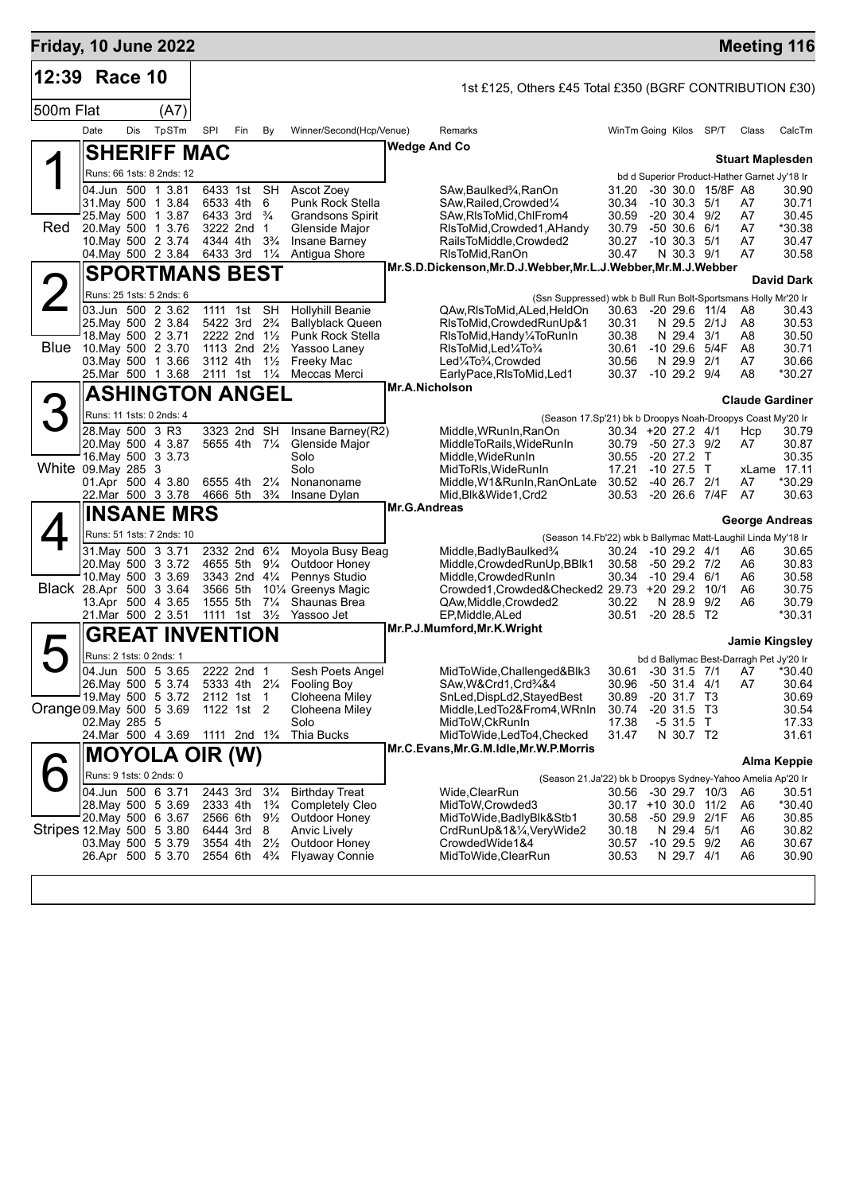| Friday, 10 June 2022      |                                          |         |       |      |                                                    |     |                                  |                                                 |                     |                                                                                                       |                              |                                      |                   |                                              | <b>Meeting 116</b>      |
|---------------------------|------------------------------------------|---------|-------|------|----------------------------------------------------|-----|----------------------------------|-------------------------------------------------|---------------------|-------------------------------------------------------------------------------------------------------|------------------------------|--------------------------------------|-------------------|----------------------------------------------|-------------------------|
| 12:39                     |                                          | Race 10 |       |      |                                                    |     |                                  |                                                 |                     | 1st £125, Others £45 Total £350 (BGRF CONTRIBUTION £30)                                               |                              |                                      |                   |                                              |                         |
| 500m Flat                 |                                          |         |       | (A7) |                                                    |     |                                  |                                                 |                     |                                                                                                       |                              |                                      |                   |                                              |                         |
|                           | Date                                     | Dis     | TpSTm |      | SPI                                                | Fin | By                               | Winner/Second(Hcp/Venue)                        |                     | Remarks                                                                                               | WinTm Going Kilos SP/T       |                                      |                   | Class                                        | CalcTm                  |
|                           |                                          |         |       |      |                                                    |     |                                  |                                                 | <b>Wedge And Co</b> |                                                                                                       |                              |                                      |                   |                                              |                         |
|                           |                                          |         |       |      | <b>SHERIFF MAC</b>                                 |     |                                  |                                                 |                     |                                                                                                       |                              |                                      |                   |                                              | <b>Stuart Maplesden</b> |
|                           | Runs: 66 1sts: 8 2nds: 12                |         |       |      |                                                    |     |                                  |                                                 |                     |                                                                                                       |                              |                                      |                   | bd d Superior Product-Hather Garnet Jy'18 Ir |                         |
|                           | 04.Jun 500 1 3.81<br>31 May 500 1 3.84   |         |       |      | 6433 1st SH<br>6533 4th                            |     | 6                                | Ascot Zoey<br>Punk Rock Stella                  |                     | SAw, Baulked <sup>3</sup> / <sub>4</sub> , RanOn<br>SAw, Railed, Crowded 1/4                          | 31.20<br>30.34               | $-10$ 30.3 $5/1$                     | -30 30.0 15/8F A8 | A7                                           | 30.90<br>30.71          |
|                           | 25. May 500 1 3.87                       |         |       |      | 6433 3rd $\frac{3}{4}$                             |     |                                  | <b>Grandsons Spirit</b>                         |                     | SAw, RIs To Mid, ChIFrom 4                                                                            | 30.59                        | $-20$ 30.4 $9/2$                     |                   | A7                                           | 30.45                   |
| Red                       | 20. May 500 1 3.76<br>10. May 500 2 3.74 |         |       |      | 3222 2nd 1<br>4344 4th                             |     | $3\frac{3}{4}$                   | Glenside Major<br>Insane Barney                 |                     | RIsToMid, Crowded1, AHandy<br>RailsToMiddle, Crowded2                                                 | 30.79<br>30.27               | $-50, 30.6, 6/1$<br>$-10$ 30.3 $5/1$ |                   | A7<br>A7                                     | *30.38<br>30.47         |
|                           | 04. May 500 2 3.84                       |         |       |      | 6433 3rd                                           |     | $1\frac{1}{4}$                   | Antigua Shore                                   |                     | RIsToMid, RanOn                                                                                       | 30.47                        | N 30.3 9/1                           |                   | A7                                           | 30.58                   |
|                           |                                          |         |       |      | <b>SPORTMANS BEST</b>                              |     |                                  |                                                 |                     | Mr.S.D.Dickenson, Mr.D.J.Webber, Mr.L.J.Webber, Mr.M.J.Webber                                         |                              |                                      |                   |                                              |                         |
|                           | Runs: 25 1sts: 5 2nds: 6                 |         |       |      |                                                    |     |                                  |                                                 |                     |                                                                                                       |                              |                                      |                   |                                              | <b>David Dark</b>       |
|                           | 03.Jun 500 2 3.62                        |         |       |      | 1111                                               | 1st | <b>SH</b>                        | <b>Hollyhill Beanie</b>                         |                     | (Ssn Suppressed) wbk b Bull Run Bolt-Sportsmans Holly Mr'20 Ir<br>QAw, RIs To Mid, ALed, HeldOn       | 30.63                        | $-20$ 29.6 $11/4$                    |                   | A8                                           | 30.43                   |
|                           | 25. May 500 2 3.84                       |         |       |      | 5422 3rd                                           |     | $2\frac{3}{4}$                   | <b>Ballyblack Queen</b>                         |                     | RIsToMid, Crowded RunUp&1                                                                             | 30.31                        | N 29.5 2/1J                          |                   | A8                                           | 30.53                   |
| Blue                      | 18. May 500 2 3.71<br>10. May 500 2 3.70 |         |       |      | 2222 2nd 11/2<br>1113 2nd 21/ <sub>2</sub>         |     |                                  | <b>Punk Rock Stella</b><br>Yassoo Laney         |                     | RIsToMid,Handy¼ToRunIn<br>RIsToMid, Led <sup>1</sup> / <sub>4</sub> To <sup>3</sup> / <sub>4</sub>    | 30.38<br>30.61               | N 29.4 3/1                           | -10 29.6 5/4F     | A8<br>A8                                     | 30.50<br>30.71          |
|                           | 03. May 500 1 3.66                       |         |       |      | 3112 4th                                           |     | $1\frac{1}{2}$                   | Freeky Mac                                      |                     | Led1/4To3/4, Crowded                                                                                  | 30.56                        | N 29.9 2/1                           |                   | A7                                           | 30.66                   |
|                           | 25.Mar 500 1 3.68                        |         |       |      | 2111 1st                                           |     | $1\frac{1}{4}$                   | Meccas Merci                                    |                     | EarlyPace, RIsToMid, Led1<br>Mr.A.Nicholson                                                           | 30.37                        | $-10$ 29.2 $9/4$                     |                   | A8                                           | *30.27                  |
|                           |                                          |         |       |      | <b>ASHINGTON ANGEL</b>                             |     |                                  |                                                 |                     |                                                                                                       |                              |                                      |                   |                                              | <b>Claude Gardiner</b>  |
|                           | Runs: 11 1sts: 0 2nds: 4                 |         |       |      |                                                    |     |                                  |                                                 |                     | (Season 17.Sp'21) bk b Droopys Noah-Droopys Coast My'20 Ir                                            |                              |                                      |                   |                                              |                         |
|                           | 28. May 500 3 R3<br>20. May 500 4 3.87   |         |       |      | 3323 2nd SH<br>5655 4th 71/4                       |     |                                  | Insane Barney(R2)<br>Glenside Major             |                     | Middle, WRunIn, RanOn<br>MiddleToRails, WideRunIn                                                     | 30.34 +20 27.2 4/1<br>30.79  | -50 27.3 9/2                         |                   | Hcp<br>A7                                    | 30.79<br>30.87          |
|                           | 16 May 500 3 3 73                        |         |       |      |                                                    |     |                                  | Solo                                            |                     | Middle, WideRunIn                                                                                     | 30.55                        | -20 27.2 T                           |                   |                                              | 30.35                   |
| White 09. May 285 3       |                                          |         |       |      |                                                    |     |                                  | Solo                                            |                     | MidToRIs, WideRunIn                                                                                   | 17.21                        | $-10$ 27.5 T                         |                   |                                              | xLame 17.11             |
|                           | 01.Apr 500 4 3.80<br>22.Mar 500 3 3.78   |         |       |      | 6555 4th<br>4666 5th                               |     | $2\frac{1}{4}$<br>$3\frac{3}{4}$ | Nonanoname<br>Insane Dylan                      |                     | Middle, W1&RunIn, RanOnLate<br>Mid, Blk&Wide1, Crd2                                                   | 30.52<br>30.53               | $-40$ 26.7 $2/1$                     | -20 26.6 7/4F A7  | A7                                           | *30.29<br>30.63         |
|                           | <b>INSANE MRS</b>                        |         |       |      |                                                    |     |                                  |                                                 | Mr.G.Andreas        |                                                                                                       |                              |                                      |                   |                                              |                         |
|                           | Runs: 51 1sts: 7 2nds: 10                |         |       |      |                                                    |     |                                  |                                                 |                     |                                                                                                       |                              |                                      |                   |                                              | <b>George Andreas</b>   |
|                           | 31.May 500 3 3.71                        |         |       |      | 2332 2nd 61/4                                      |     |                                  | Moyola Busy Beag                                |                     | (Season 14.Fb'22) wbk b Ballymac Matt-Laughil Linda My'18 Ir<br>Middle, Badly Baulked <sup>3</sup> /4 | 30.24 -10 29.2 4/1           |                                      |                   | A6                                           | 30.65                   |
|                           | 20. May 500 3 3.72                       |         |       |      | 4655 5th                                           |     | $9\frac{1}{4}$                   | Outdoor Honey                                   |                     | Middle, Crowded RunUp, BBlk1                                                                          | 30.58                        | $-50$ 29.2 $7/2$                     |                   | A6                                           | 30.83                   |
| Black 28.Apr 500 3 3.64   | 10. May 500 3 3.69                       |         |       |      | 3343 2nd $4\frac{1}{4}$<br>3566 5th                |     |                                  | Pennys Studio<br>101/4 Greenys Magic            |                     | Middle, Crowded RunIn                                                                                 | 30.34                        | -10 29.4 6/1                         |                   | A6                                           | 30.58                   |
|                           | 13.Apr 500 4 3.65                        |         |       |      | 1555 5th                                           |     | $7\frac{1}{4}$                   | Shaunas Brea                                    |                     | Crowded1, Crowded& Checked 2 29.73 + 20 29.2 10/1<br>QAw, Middle, Crowded2                            | 30.22                        | N 28.9 9/2                           |                   | A6<br>A6                                     | 30.75<br>30.79          |
|                           | 21.Mar 500 2 3.51                        |         |       |      | 1111 1st                                           |     | $3\frac{1}{2}$                   | Yassoo Jet                                      |                     | EP, Middle, ALed                                                                                      | 30.51                        | $-20$ 28.5 T <sub>2</sub>            |                   |                                              | *30.31                  |
|                           |                                          |         |       |      | GREAT INVENTION                                    |     |                                  |                                                 |                     | Mr.P.J.Mumford, Mr.K. Wright                                                                          |                              |                                      |                   |                                              | Jamie Kingsley          |
|                           | Runs: 2 1sts: 0 2nds: 1                  |         |       |      |                                                    |     |                                  |                                                 |                     |                                                                                                       |                              |                                      |                   | bd d Ballymac Best-Darragh Pet Jy'20 Ir      |                         |
|                           | 04.Jun 500 5 3.65                        |         |       |      | 2222 2nd                                           |     | $\overline{1}$                   | Sesh Poets Angel                                |                     | MidToWide, Challenged&Blk3                                                                            | 30.61                        | $-30$ 31.5 $7/1$                     |                   | A7                                           | 30.40°                  |
|                           | 26. May 500 5 3.74<br>19. May 500 5 3.72 |         |       |      | 5333 4th 21/4<br>2112 1st                          |     |                                  | <b>Fooling Boy</b><br>Cloheena Miley            |                     | SAw, W& Crd1, Crd3/4&4<br>SnLed, DispLd2, Stayed Best                                                 | 30.96<br>30.89               | $-50$ 31.4 4/1<br>$-20$ 31.7 T3      |                   | A7                                           | 30.64<br>30.69          |
| Orange 09. May 500 5 3.69 |                                          |         |       |      | 1122 1st 2                                         |     | -1                               | Cloheena Miley                                  |                     | Middle,LedTo2&From4,WRnIn                                                                             | 30.74                        | $-20$ 31.5 T3                        |                   |                                              | 30.54                   |
|                           | 02. May 285 5                            |         |       |      |                                                    |     |                                  | Solo                                            |                     | MidToW,CkRunIn                                                                                        | 17.38                        | $-531.5$ T                           |                   |                                              | 17.33                   |
|                           | 24.Mar 500 4 3.69                        |         |       |      | 1111 2nd 1 <sup>3</sup> / <sub>4</sub>             |     |                                  | Thia Bucks                                      |                     | MidToWide,LedTo4,Checked<br>Mr.C.Evans, Mr.G.M.Idle, Mr.W.P.Morris                                    | 31.47                        | N 30.7 T2                            |                   |                                              | 31.61                   |
|                           |                                          |         |       |      | <b>MOYOLA OIR (W)</b>                              |     |                                  |                                                 |                     |                                                                                                       |                              |                                      |                   |                                              | Alma Keppie             |
|                           | Runs: 9 1sts: 0 2nds: 0                  |         |       |      |                                                    |     |                                  |                                                 |                     | (Season 21.Ja'22) bk b Droopys Sydney-Yahoo Amelia Ap'20 Ir                                           |                              |                                      |                   |                                              |                         |
|                           | 04.Jun 500 6 3.71<br>28. May 500 5 3.69  |         |       |      | 2443 3rd<br>2333 4th                               |     | $3\frac{1}{4}$<br>$1\frac{3}{4}$ | <b>Birthday Treat</b><br><b>Completely Cleo</b> |                     | Wide, ClearRun<br>MidToW, Crowded3                                                                    | 30.56<br>30.17 +10 30.0 11/2 |                                      | -30 29.7 10/3     | A6<br>A6                                     | 30.51<br>*30.40         |
|                           | 20. May 500 6 3.67                       |         |       |      | 2566 6th                                           |     | $9\frac{1}{2}$                   | Outdoor Honey                                   |                     | MidToWide, BadlyBlk&Stb1                                                                              | 30.58                        |                                      | -50 29.9 2/1F     | A6                                           | 30.85                   |
| Stripes 12 May 500 5 3.80 |                                          |         |       |      | 6444 3rd                                           |     | 8                                | Anvic Lively                                    |                     | CrdRunUp&1&¼,VeryWide2                                                                                | 30.18                        | N 29.4 5/1                           |                   | A6                                           | 30.82                   |
|                           | 03. May 500 5 3.79<br>26.Apr 500 5 3.70  |         |       |      | 3554 4th<br>2554 6th 4 <sup>3</sup> / <sub>4</sub> |     | $2\frac{1}{2}$                   | Outdoor Honey<br><b>Flyaway Connie</b>          |                     | CrowdedWide1&4<br>MidToWide, ClearRun                                                                 | 30.57<br>30.53               | $-10$ 29.5 $9/2$<br>N 29.7 4/1       |                   | A6<br>A6                                     | 30.67<br>30.90          |
|                           |                                          |         |       |      |                                                    |     |                                  |                                                 |                     |                                                                                                       |                              |                                      |                   |                                              |                         |
|                           |                                          |         |       |      |                                                    |     |                                  |                                                 |                     |                                                                                                       |                              |                                      |                   |                                              |                         |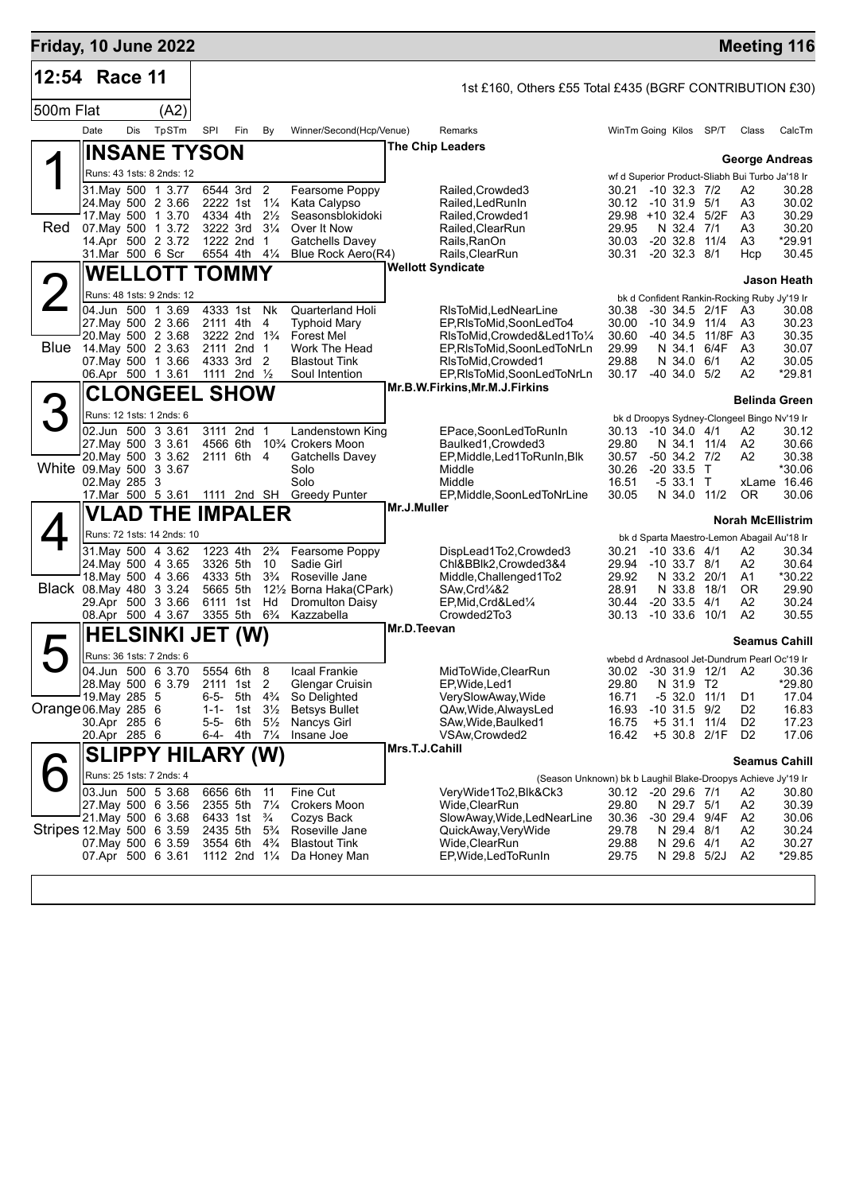| Friday, 10 June 2022      |                                         |     |                                                      |           |                                        |                                  |                                                               |                |                                                                                      |                |                                                                |        |                                  | <b>Meeting 116</b>       |
|---------------------------|-----------------------------------------|-----|------------------------------------------------------|-----------|----------------------------------------|----------------------------------|---------------------------------------------------------------|----------------|--------------------------------------------------------------------------------------|----------------|----------------------------------------------------------------|--------|----------------------------------|--------------------------|
| 12:54                     | Race 11                                 |     |                                                      |           |                                        |                                  |                                                               |                | 1st £160, Others £55 Total £435 (BGRF CONTRIBUTION £30)                              |                |                                                                |        |                                  |                          |
| 500m Flat                 |                                         |     | (A2)                                                 |           |                                        |                                  |                                                               |                |                                                                                      |                |                                                                |        |                                  |                          |
|                           | Date                                    | Dis | TpSTm                                                | SPI       | Fin                                    | By                               | Winner/Second(Hcp/Venue)                                      |                | Remarks                                                                              |                | WinTm Going Kilos                                              | SP/T   | Class                            | CalcTm                   |
|                           |                                         |     | <b>INSANE TYSON</b>                                  |           |                                        |                                  |                                                               |                | <b>The Chip Leaders</b>                                                              |                |                                                                |        |                                  |                          |
|                           |                                         |     | Runs: 43 1sts: 8 2nds: 12                            |           |                                        |                                  |                                                               |                |                                                                                      |                | wf d Superior Product-Sliabh Bui Turbo Ja'18 Ir                |        |                                  | <b>George Andreas</b>    |
|                           | 31 May 500 1 3.77                       |     |                                                      |           | 6544 3rd                               | $\overline{2}$                   | Fearsome Poppy                                                |                | Railed, Crowded 3                                                                    | 30.21          | $-10$ 32.3 $7/2$                                               |        | A2                               | 30.28                    |
|                           | 24. May 500 2 3.66                      |     |                                                      |           | 2222 1st                               | $1\frac{1}{4}$                   | Kata Calypso                                                  |                | Railed, Led Run In                                                                   | 30.12          | -10 31.9 5/1                                                   |        | A3                               | 30.02                    |
| Red                       | 17 May 500 1 3.70<br>07. May 500 1 3.72 |     |                                                      |           | 4334 4th<br>3222 3rd                   | $2\frac{1}{2}$<br>$3\frac{1}{4}$ | Seasonsblokidoki<br>Over It Now                               |                | Railed, Crowded1<br>Railed, ClearRun                                                 | 29.95          | 29.98 +10 32.4 5/2F<br>N 32.4 7/1                              |        | A3<br>A3                         | 30.29<br>30.20           |
|                           | 14.Apr 500 2 3.72                       |     |                                                      |           | 1222 2nd                               | $\mathbf 1$                      | <b>Gatchells Davey</b>                                        |                | Rails,RanOn                                                                          | 30.03          | $-20$ 32.8                                                     | 11/4   | A3                               | *29.91                   |
|                           | 31.Mar 500 6 Scr                        |     |                                                      |           | 6554 4th 41/4                          |                                  | Blue Rock Aero(R4)                                            |                | Rails,ClearRun<br><b>Wellott Syndicate</b>                                           | 30.31          | $-20$ 32.3 $8/1$                                               |        | Hcp                              | 30.45                    |
|                           |                                         |     | <b>WELLOTT TOMMY</b>                                 |           |                                        |                                  |                                                               |                |                                                                                      |                |                                                                |        |                                  | <b>Jason Heath</b>       |
|                           | 04.Jun 500 1 3.69                       |     | Runs: 48 1sts: 9 2nds: 12                            |           | 4333 1st Nk                            |                                  | <b>Quarterland Holi</b>                                       |                | RIsToMid,LedNearLine                                                                 | 30.38          | bk d Confident Rankin-Rocking Ruby Jy'19 Ir<br>-30 34.5 2/1F   |        | A3                               | 30.08                    |
|                           | 27. May 500 2 3.66                      |     |                                                      |           | 2111 4th 4                             |                                  | <b>Typhoid Mary</b>                                           |                | EP, RIsToMid, SoonLedTo4                                                             | 30.00          | $-10, 34.9, 11/4$                                              |        | A3                               | 30.23                    |
|                           | 20. May 500 2 3.68                      |     |                                                      |           | 3222 2nd 1 <sup>3</sup> / <sub>4</sub> |                                  | <b>Forest Mel</b>                                             |                | RIsToMid.Crowded&Led1To1/4                                                           | 30.60          | -40 34.5 11/8F A3                                              |        |                                  | 30.35                    |
| Blue                      | 14. May 500 2 3.63<br>07 May 500 1 3.66 |     |                                                      |           | 2111 2nd 1<br>4333 3rd 2               |                                  | Work The Head<br><b>Blastout Tink</b>                         |                | EP,RIsToMid,SoonLedToNrLn<br>RIsToMid, Crowded1                                      | 29.99<br>29.88 | N 34.1<br>N 34.0 6/1                                           | 6/4F   | A3<br>A2                         | 30.07<br>30.05           |
|                           | 06.Apr 500 1 3.61                       |     |                                                      |           | 1111 2nd $\frac{1}{2}$                 |                                  | Soul Intention                                                |                | EP, RIsToMid, SoonLedToNrLn                                                          | 30.17          | $-40, 34.0, 5/2$                                               |        | A <sub>2</sub>                   | *29.81                   |
|                           |                                         |     | <b>CLONGEEL SHOW</b>                                 |           |                                        |                                  |                                                               |                | Mr.B.W.Firkins, Mr.M.J.Firkins                                                       |                |                                                                |        |                                  | <b>Belinda Green</b>     |
|                           |                                         |     | Runs: 12 1sts: 1 2nds: 6                             |           |                                        |                                  |                                                               |                |                                                                                      |                | bk d Droopys Sydney-Clongeel Bingo Nv'19 Ir                    |        |                                  |                          |
|                           | 02.Jun 500 3 3.61                       |     |                                                      |           | 3111 2nd 1                             |                                  | Landenstown King                                              |                | EPace,SoonLedToRunIn                                                                 | 30.13          | $-10, 34.0, 4/1$                                               |        | A2                               | 30.12                    |
|                           | 27. May 500 3 3.61                      |     |                                                      |           | 4566 6th                               |                                  | 10 <sup>3</sup> / <sub>4</sub> Crokers Moon                   |                | Baulked1, Crowded3                                                                   | 29.80          | N 34.1 11/4                                                    |        | A2                               | 30.66                    |
| White 09. May 500 3 3.67  | 20. May 500 3 3.62                      |     |                                                      |           | 2111 6th 4                             |                                  | Gatchells Davey<br>Solo                                       |                | EP, Middle, Led 1 To Run In, Blk<br>Middle                                           | 30.57<br>30.26 | -50 34.2 7/2<br>$-20, 33.5$                                    | $\top$ | A2                               | 30.38<br>*30.06          |
|                           | 02. May 285 3                           |     |                                                      |           |                                        |                                  | Solo                                                          |                | Middle                                                                               | 16.51          | $-533.1$ T                                                     |        |                                  | xLame 16.46              |
|                           | 17. Mar 500 5 3.61 1111 2nd SH          |     |                                                      |           |                                        |                                  | <b>Greedy Punter</b>                                          | Mr.J.Muller    | EP, Middle, SoonLedToNrLine                                                          | 30.05          | N 34.0 11/2                                                    |        | <b>OR</b>                        | 30.06                    |
|                           |                                         |     | <b>VLAD THE IMPALER</b>                              |           |                                        |                                  |                                                               |                |                                                                                      |                |                                                                |        |                                  | <b>Norah McEllistrim</b> |
|                           | 31. May 500 4 3.62                      |     | Runs: 72 1sts: 14 2nds: 10                           |           | 1223 4th                               | $2\frac{3}{4}$                   | Fearsome Poppy                                                |                | DispLead1To2,Crowded3                                                                | 30.21          | bk d Sparta Maestro-Lemon Abagail Au'18 Ir<br>$-10$ 33.6 $4/1$ |        | A2                               | 30.34                    |
|                           | 24. May 500 4 3.65                      |     |                                                      |           | 3326 5th                               | 10                               | Sadie Girl                                                    |                | Chl&BBlk2,Crowded3&4                                                                 |                | 29.94 -10 33.7 8/1                                             |        | A2                               | 30.64                    |
|                           | 18. May 500 4 3.66                      |     |                                                      |           | 4333 5th                               | $3\frac{3}{4}$                   | Roseville Jane                                                |                | Middle, Challenged1To2                                                               | 29.92          | N 33.2 20/1                                                    |        | A1                               | *30.22                   |
| Black 08. May 480 3 3.24  | 29.Apr 500 3 3.66                       |     |                                                      |           | 5665 5th<br>6111 1st                   | Hd                               | 121/ <sub>2</sub> Borna Haka(CPark)<br><b>Dromulton Daisy</b> |                | SAw, Crd <sup>1</sup> / <sub>4</sub> &2<br>EP, Mid, Crd&Led1/4                       | 28.91<br>30.44 | N 33.8<br>$-20$ 33.5 $4/1$                                     | 18/1   | <b>OR</b><br>A2                  | 29.90<br>30.24           |
|                           | 08.Apr 500 4 3.67                       |     |                                                      |           | 3355 5th                               | $6\frac{3}{4}$                   | Kazzabella                                                    |                | Crowded2To3                                                                          | 30.13          | $-10$ 33.6 $10/1$                                              |        | A2                               | 30.55                    |
|                           |                                         |     | <b>HELSINKI JET (W)</b>                              |           |                                        |                                  |                                                               | Mr.D.Teevan    |                                                                                      |                |                                                                |        |                                  | Seamus Cahill            |
|                           |                                         |     | Runs: 36 1sts: 7 2nds: 6                             |           |                                        |                                  |                                                               |                |                                                                                      |                | wbebd d Ardnasool Jet-Dundrum Pearl Oc'19 Ir                   |        |                                  |                          |
|                           | 04.Jun 500 6 3.70                       |     |                                                      |           | 5554 6th                               | 8                                | Icaal Frankie                                                 |                | MidToWide, ClearRun                                                                  |                | 30.02 -30 31.9 12/1 A2                                         |        |                                  | 30.36                    |
|                           | 28. May 500 6 3.79<br>19. May 285 5     |     |                                                      | 6-5-      | 2111 1st 2<br>5th                      | $4\frac{3}{4}$                   | Glengar Cruisin<br>So Delighted                               |                | EP,Wide,Led1<br>VerySlowAway, Wide                                                   | 29.80<br>16.71 | N 31.9 T2<br>$-5$ 32.0 11/1                                    |        | D1                               | *29.80<br>17.04          |
| Orange 06.May 285 6       |                                         |     |                                                      | $1 - 1 -$ | 1st                                    | $3\frac{1}{2}$                   | <b>Betsys Bullet</b>                                          |                | QAw, Wide, AlwaysLed                                                                 | 16.93          | $-10$ 31.5 $9/2$                                               |        | D <sub>2</sub>                   | 16.83                    |
|                           | 30.Apr 285 6<br>20.Apr 285 6            |     |                                                      | 5-5-      | 6th<br>6-4- 4th                        | $5\frac{1}{2}$<br>$7\frac{1}{4}$ | Nancys Girl<br>Insane Joe                                     |                | SAw,Wide,Baulked1<br>VSAw, Crowded 2                                                 | 16.75<br>16.42 | $+5$ 31.1<br>+5 30.8 2/1F                                      | 11/4   | D <sub>2</sub><br>D <sub>2</sub> | 17.23<br>17.06           |
|                           |                                         |     |                                                      |           |                                        |                                  |                                                               | Mrs.T.J.Cahill |                                                                                      |                |                                                                |        |                                  |                          |
|                           |                                         |     | <b>SLIPPY HILARY (W)</b><br>Runs: 25 1sts: 7 2nds: 4 |           |                                        |                                  |                                                               |                |                                                                                      |                |                                                                |        |                                  | <b>Seamus Cahill</b>     |
|                           | 03.Jun 500 5 3.68                       |     |                                                      |           | 6656 6th                               | 11                               | Fine Cut                                                      |                | (Season Unknown) bk b Laughil Blake-Droopys Achieve Jy'19 Ir<br>VeryWide1To2,Blk&Ck3 |                | 30.12 -20 29.6 7/1                                             |        | A2                               | 30.80                    |
|                           | 27. May 500 6 3.56                      |     |                                                      |           | 2355 5th                               | $7\frac{1}{4}$                   | <b>Crokers Moon</b>                                           |                | Wide,ClearRun                                                                        | 29.80          | N 29.7 5/1                                                     |        | A2                               | 30.39                    |
|                           | 21.May 500 6 3.68                       |     |                                                      |           | 6433 1st                               | $\frac{3}{4}$                    | Cozys Back                                                    |                | SlowAway, Wide, LedNearLine                                                          | 30.36          | -30 29.4 9/4F                                                  |        | A2                               | 30.06                    |
| Stripes 12 May 500 6 3.59 | 07 May 500 6 3.59                       |     |                                                      |           | 2435 5th<br>3554 6th                   | $5\frac{3}{4}$<br>$4\frac{3}{4}$ | Roseville Jane<br><b>Blastout Tink</b>                        |                | QuickAway,VeryWide<br>Wide,ClearRun                                                  | 29.78<br>29.88 | N 29.4 8/1<br>N 29.6 4/1                                       |        | A <sub>2</sub><br>A2             | 30.24<br>30.27           |
|                           | 07.Apr 500 6 3.61                       |     |                                                      |           | 1112 2nd $1\frac{1}{4}$                |                                  | Da Honey Man                                                  |                | EP, Wide, Led To Run In                                                              | 29.75          | N 29.8 5/2J                                                    |        | A <sub>2</sub>                   | *29.85                   |
|                           |                                         |     |                                                      |           |                                        |                                  |                                                               |                |                                                                                      |                |                                                                |        |                                  |                          |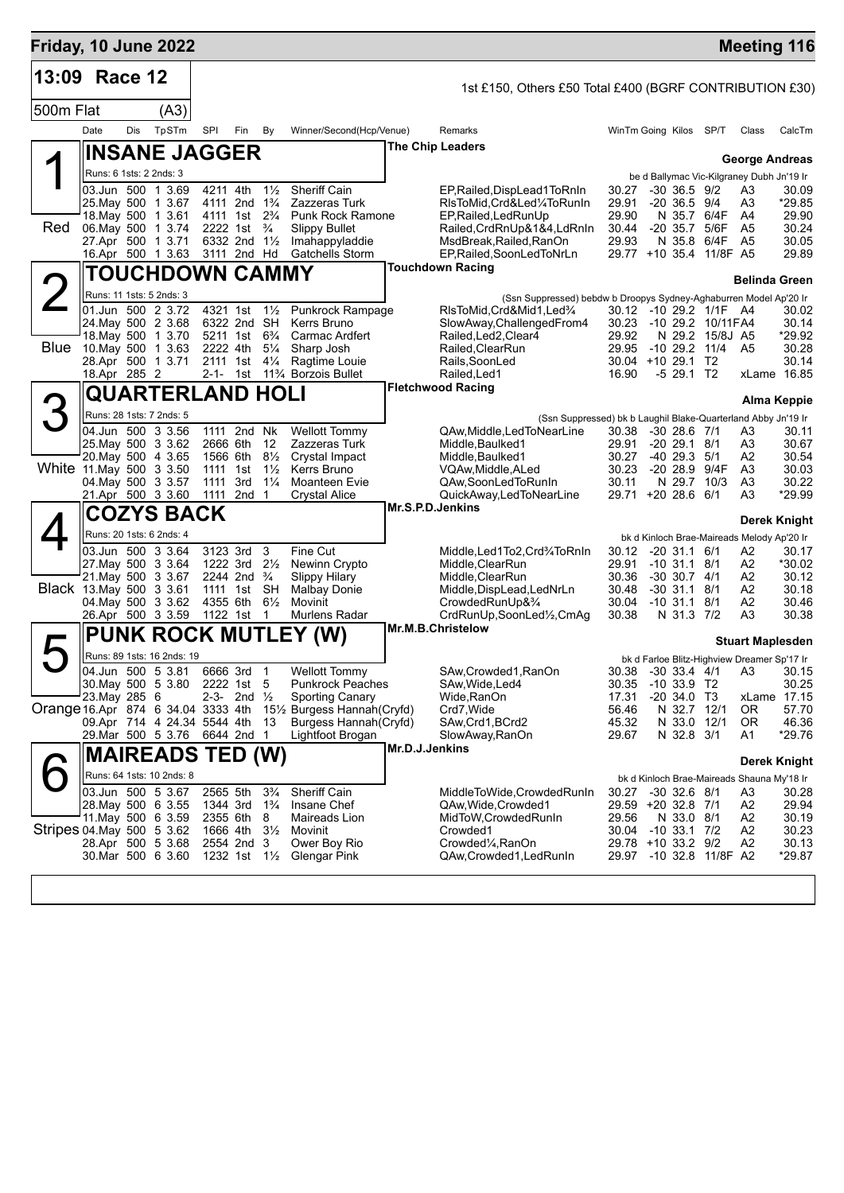| Friday, 10 June 2022               |                         |     |                                               |                      |                                                    |                                           |                                                     |                |                                                                   |                |                                                                  |                          | <b>Meeting 116</b>      |                 |
|------------------------------------|-------------------------|-----|-----------------------------------------------|----------------------|----------------------------------------------------|-------------------------------------------|-----------------------------------------------------|----------------|-------------------------------------------------------------------|----------------|------------------------------------------------------------------|--------------------------|-------------------------|-----------------|
| 13:09                              | Race 12                 |     |                                               |                      |                                                    |                                           |                                                     |                | 1st £150, Others £50 Total £400 (BGRF CONTRIBUTION £30)           |                |                                                                  |                          |                         |                 |
| 500m Flat                          |                         |     | (A3)                                          |                      |                                                    |                                           |                                                     |                |                                                                   |                |                                                                  |                          |                         |                 |
|                                    | Date                    | Dis | TpSTm                                         | SPI                  | Fin                                                | By                                        | Winner/Second(Hcp/Venue)                            |                | Remarks                                                           |                | WinTm Going Kilos SP/T                                           |                          | Class                   | CalcTm          |
|                                    |                         |     | <b>INSANE JAGGER</b>                          |                      |                                                    |                                           |                                                     |                | The Chip Leaders                                                  |                |                                                                  |                          |                         |                 |
|                                    |                         |     |                                               |                      |                                                    |                                           |                                                     |                |                                                                   |                |                                                                  |                          | <b>George Andreas</b>   |                 |
|                                    | Runs: 6 1sts: 2 2nds: 3 |     | 03.Jun 500 1 3.69                             |                      | 4211 4th                                           | $1\frac{1}{2}$                            | <b>Sheriff Cain</b>                                 |                | EP, Railed, DispLead1ToRnIn                                       | 30.27          | be d Ballymac Vic-Kilgraney Dubh Jn'19 Ir<br>$-30$ 36.5 $9/2$    |                          | A3                      | 30.09           |
|                                    |                         |     | 25. May 500 1 3.67                            |                      | 4111 2nd 1 <sup>3</sup> / <sub>4</sub>             |                                           | Zazzeras Turk                                       |                | RIsToMid.Crd&Led¼ToRunIn                                          | 29.91          | $-20, 36.5, 9/4$                                                 |                          | A3                      | *29.85          |
| Red                                |                         |     | 18. May 500 1 3.61<br>06. May 500 1 3.74      |                      | 4111 1st 2 <sup>3</sup> / <sub>4</sub><br>2222 1st | $\frac{3}{4}$                             | <b>Punk Rock Ramone</b><br><b>Slippy Bullet</b>     |                | EP, Railed, Led Run Up<br>Railed, CrdRnUp&1&4, LdRnIn             | 29.90<br>30.44 | -20 35.7 5/6F                                                    | N 35.7 6/4F              | A4<br>- A5              | 29.90<br>30.24  |
|                                    |                         |     | 27.Apr 500 1 3.71                             |                      | 6332 2nd $1\frac{1}{2}$                            |                                           | Imahappyladdie                                      |                | MsdBreak, Railed, RanOn                                           | 29.93          |                                                                  | N 35.8 6/4F A5           |                         | 30.05           |
|                                    |                         |     | 16.Apr 500 1 3.63                             |                      | 3111 2nd Hd                                        |                                           | <b>Gatchells Storm</b>                              |                | EP, Railed, SoonLedToNrLn                                         |                | 29.77 +10 35.4 11/8F A5                                          |                          |                         | 29.89           |
|                                    |                         |     | <b>TOUCHDOWN CAMMY</b>                        |                      |                                                    |                                           |                                                     |                | <b>Touchdown Racing</b>                                           |                |                                                                  |                          | <b>Belinda Green</b>    |                 |
|                                    |                         |     | Runs: 11 1sts: 5 2nds: 3                      |                      |                                                    |                                           |                                                     |                | (Ssn Suppressed) bebdw b Droopys Sydney-Aghaburren Model Ap'20 Ir |                |                                                                  |                          |                         |                 |
|                                    |                         |     | 01.Jun 500 2 3.72<br>24. May 500 2 3.68       |                      | 4321 1st<br>6322 2nd SH                            | $1\frac{1}{2}$                            | Punkrock Rampage<br>Kerrs Bruno                     |                | RIsToMid, Crd&Mid1, Led%<br>SlowAway, ChallengedFrom4             |                | 30.12 -10 29.2 1/1F A4<br>30.23 -10 29.2 10/11 FA4               |                          |                         | 30.02<br>30.14  |
|                                    |                         |     | 18. May 500 1 3.70                            |                      | 5211 1st 6 <sup>3</sup> / <sub>4</sub>             |                                           | Carmac Ardfert                                      |                | Railed, Led2, Clear4                                              | 29.92          |                                                                  | N 29.2 15/8J A5          |                         | *29.92          |
|                                    |                         |     | Blue 10 May 500 1 3.63<br>28.Apr 500 1 3.71   | 2222 4th<br>2111 1st |                                                    | $5\frac{1}{4}$<br>$4\frac{1}{4}$          | Sharp Josh<br>Ragtime Louie                         |                | Railed.ClearRun<br>Rails, SoonLed                                 | 29.95          | -10 29.2 11/4 A5<br>30.04 +10 29.1 T2                            |                          |                         | 30.28<br>30.14  |
|                                    | 18.Apr 285 2            |     |                                               |                      | 2-1- 1st                                           |                                           | 11% Borzois Bullet                                  |                | Railed, Led1                                                      | 16.90          |                                                                  | $-5$ 29.1 T <sub>2</sub> | xLame 16.85             |                 |
|                                    |                         |     | <b>QUARTERLAND HOLI</b>                       |                      |                                                    |                                           |                                                     |                | <b>Fletchwood Racing</b>                                          |                |                                                                  |                          | Alma Keppie             |                 |
|                                    |                         |     | Runs: 28 1sts: 7 2nds: 5                      |                      |                                                    |                                           |                                                     |                | (Ssn Suppressed) bk b Laughil Blake-Quarterland Abby Jn'19 Ir     |                |                                                                  |                          |                         |                 |
|                                    |                         |     | 04.Jun 500 3 3.56                             | 1111                 | 2nd Nk                                             |                                           | <b>Wellott Tommy</b>                                |                | QAw, Middle, Led To Near Line                                     | 30.38          | $-30$ 28.6 $7/1$                                                 |                          | A3                      | 30.11           |
|                                    |                         |     | 25. May 500 3 3.62<br>20. May 500 4 3.65      |                      | 2666 6th<br>1566 6th                               | 12<br>$8\frac{1}{2}$                      | Zazzeras Turk<br>Crystal Impact                     |                | Middle, Baulked 1<br>Middle, Baulked 1                            | 29.91<br>30.27 | $-20$ 29.1 $8/1$<br>$-40$ 29.3 $5/1$                             |                          | A3<br>A2                | 30.67<br>30.54  |
| White 11.May 500 3 3.50            |                         |     |                                               |                      | 1111 1st                                           | $1\frac{1}{2}$                            | Kerrs Bruno                                         |                | VQAw,Middle,ALed                                                  | 30.23          | -20 28.9 9/4F                                                    |                          | A3                      | 30.03           |
|                                    |                         |     | 04 May 500 3 3.57<br>21.Apr 500 3 3.60        | 1111<br>1111         | 3rd<br>2nd                                         | $1\frac{1}{4}$<br>$\overline{\mathbf{1}}$ | Moanteen Evie<br>Crystal Alice                      |                | QAw,SoonLedToRunIn<br>QuickAway,LedToNearLine                     | 30.11          | 29.71 +20 28.6 6/1                                               | N 29.7 10/3              | A3<br>A <sub>3</sub>    | 30.22<br>*29.99 |
|                                    |                         |     | <b>COZYS BACK</b>                             |                      |                                                    |                                           |                                                     |                | Mr.S.P.D.Jenkins                                                  |                |                                                                  |                          |                         |                 |
|                                    |                         |     |                                               |                      |                                                    |                                           |                                                     |                |                                                                   |                |                                                                  |                          | Derek Knight            |                 |
|                                    |                         |     | Runs: 20 1sts: 6 2nds: 4<br>03.Jun 500 3 3.64 |                      | 3123 3rd                                           | 3                                         | Fine Cut                                            |                | Middle, Led1To2, Crd3/4ToRnIn                                     |                | bk d Kinloch Brae-Maireads Melody Ap'20 Ir<br>30.12 -20 31.1 6/1 |                          | A2                      | 30.17           |
|                                    |                         |     | 27. May 500 3 3.64                            |                      | 1222 3rd $2\frac{1}{2}$                            |                                           | Newinn Crypto                                       |                | Middle, ClearRun                                                  | 29.91          | $-10$ 31.1 8/1                                                   |                          | A2                      | *30.02          |
| Black 13. May 500 3 3.61           |                         |     | 21. May 500 3 3.67                            |                      | 2244 2nd $\frac{3}{4}$<br>1111 1st SH              |                                           | <b>Slippy Hilary</b><br>Malbay Donie                |                | Middle, ClearRun<br>Middle, DispLead, LedNrLn                     | 30.48          | 30.36 -30 30.7 4/1<br>$-30$ 31.1 8/1                             |                          | A2<br>A2                | 30.12<br>30.18  |
|                                    |                         |     | 04. May 500 3 3.62                            |                      | 4355 6th 61/ <sub>2</sub>                          |                                           | Movinit                                             |                | CrowdedRunUp& <sup>3</sup> /4                                     | 30.04          | $-10$ 31.1 8/1                                                   |                          | A2                      | 30.46           |
|                                    |                         |     | 26.Apr 500 3 3.59                             |                      | 1122 1st                                           | - 1                                       | Murlens Radar                                       |                | CrdRunUp,SoonLed1/2,CmAq<br>Mr.M.B.Christelow                     | 30.38          |                                                                  | N 31.3 7/2               | A3                      | 30.38           |
|                                    |                         |     |                                               |                      |                                                    |                                           | <b>PUNK ROCK MUTLEY (W)</b>                         |                |                                                                   |                |                                                                  |                          | <b>Stuart Maplesden</b> |                 |
|                                    |                         |     | Runs: 89 1sts: 16 2nds: 19                    |                      |                                                    |                                           |                                                     |                |                                                                   |                | bk d Farloe Blitz-Highview Dreamer Sp'17 Ir                      |                          |                         |                 |
|                                    |                         |     | 04.Jun 500 5 3.81<br>30. May 500 5 3.80       | 6666 3rd 1           | 2222 1st 5                                         |                                           | <b>Wellott Tommy</b><br><b>Punkrock Peaches</b>     |                | SAw, Crowded 1, RanOn<br>SAw,Wide,Led4                            | 30.35          | 30.38 -30 33.4 4/1 A3 30.15<br>$-1033.9$ T2                      |                          |                         | 30.25           |
|                                    | 23. May 285 6           |     |                                               |                      | 2-3- 2nd $\frac{1}{2}$                             |                                           | <b>Sporting Canary</b>                              |                | Wide,RanOn                                                        | 17.31          | $-20, 34.0, T3$                                                  |                          | xLame 17.15             |                 |
| Orange 16.Apr 874 6 34.04 3333 4th |                         |     | 09.Apr 714 4 24.34 5544 4th                   |                      |                                                    | -13                                       | 15½ Burgess Hannah(Cryfd)<br>Burgess Hannah (Cryfd) |                | Crd7, Wide<br>SAw, Crd1, BCrd2                                    | 56.46<br>45.32 | N 33.0                                                           | N 32.7 12/1<br>12/1      | 0R<br>0R                | 57.70<br>46.36  |
|                                    |                         |     | 29. Mar 500 5 3.76 6644 2nd 1                 |                      |                                                    |                                           | Lightfoot Brogan                                    |                | SlowAway, RanOn                                                   | 29.67          |                                                                  | N 32.8 3/1               | A1                      | *29.76          |
|                                    |                         |     | <b>MAIREADS TED (W)</b>                       |                      |                                                    |                                           |                                                     | Mr.D.J.Jenkins |                                                                   |                |                                                                  |                          |                         |                 |
|                                    |                         |     | Runs: 64 1sts: 10 2nds: 8                     |                      |                                                    |                                           |                                                     |                |                                                                   |                | bk d Kinloch Brae-Maireads Shauna My'18 Ir                       |                          |                         | Derek Knight    |
|                                    |                         |     | 03.Jun 500 5 3.67                             | 2565 5th             |                                                    | $3\frac{3}{4}$                            | <b>Sheriff Cain</b>                                 |                | MiddleToWide,CrowdedRunIn                                         | 30.27          | $-30$ 32.6 $8/1$                                                 |                          | A3                      | 30.28           |
|                                    |                         |     | 28. May 500 6 3.55<br>11 May 500 6 3.59       | 2355 6th             | 1344 3rd                                           | $1\frac{3}{4}$                            | Insane Chef                                         |                | QAw, Wide, Crowded 1                                              |                | 29.59 +20 32.8 7/1                                               | N 33.0 8/1               | A2<br>A2                | 29.94<br>30.19  |
| Stripes 04 May 500 5 3.62          |                         |     |                                               |                      | 1666 4th 3½                                        | 8                                         | Maireads Lion<br>Movinit                            |                | MidToW, Crowded Run In<br>Crowded1                                | 29.56          | 30.04 -10 33.1 7/2                                               |                          | A2                      | 30.23           |
|                                    |                         |     | 28.Apr 500 5 3.68                             |                      | 2554 2nd 3                                         |                                           | Ower Boy Rio                                        |                | Crowded <sup>1</sup> / <sub>4</sub> , RanOn                       |                | 29.78 +10 33.2 9/2                                               |                          | A2                      | 30.13           |
|                                    |                         |     | 30.Mar 500 6 3.60                             |                      | 1232 1st 11/2                                      |                                           | Glengar Pink                                        |                | QAw,Crowded1,LedRunIn                                             | 29.97          | -10 32.8 11/8F A2                                                |                          |                         | *29.87          |
|                                    |                         |     |                                               |                      |                                                    |                                           |                                                     |                |                                                                   |                |                                                                  |                          |                         |                 |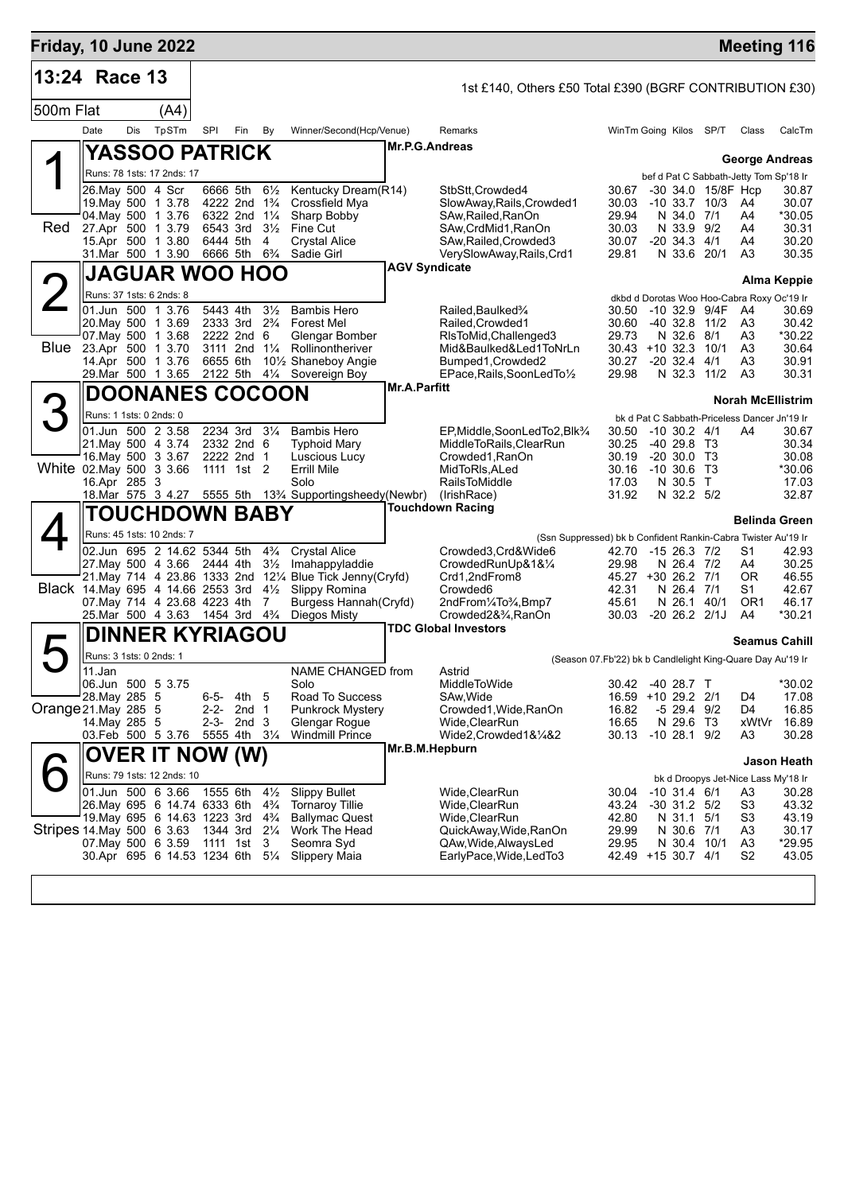| Friday, 10 June 2022               |                                                                                                             |     |                                                                                                                                                              |                      |                                                                     |                                                                           |                                                                                                                                                                 |                      |                                                                                                                                                                                                  |                                                                 |          |                                                                                                       |                                             |                                                                                                 | <b>Meeting 116</b>                                  |
|------------------------------------|-------------------------------------------------------------------------------------------------------------|-----|--------------------------------------------------------------------------------------------------------------------------------------------------------------|----------------------|---------------------------------------------------------------------|---------------------------------------------------------------------------|-----------------------------------------------------------------------------------------------------------------------------------------------------------------|----------------------|--------------------------------------------------------------------------------------------------------------------------------------------------------------------------------------------------|-----------------------------------------------------------------|----------|-------------------------------------------------------------------------------------------------------|---------------------------------------------|-------------------------------------------------------------------------------------------------|-----------------------------------------------------|
| 13:24 Race 13                      |                                                                                                             |     |                                                                                                                                                              |                      |                                                                     |                                                                           |                                                                                                                                                                 |                      | 1st £140, Others £50 Total £390 (BGRF CONTRIBUTION £30)                                                                                                                                          |                                                                 |          |                                                                                                       |                                             |                                                                                                 |                                                     |
| 500m Flat                          |                                                                                                             |     | (A4)                                                                                                                                                         |                      |                                                                     |                                                                           |                                                                                                                                                                 |                      |                                                                                                                                                                                                  |                                                                 |          |                                                                                                       |                                             |                                                                                                 |                                                     |
|                                    | Date                                                                                                        | Dis | TpSTm                                                                                                                                                        | SPI                  | Fin                                                                 | By                                                                        | Winner/Second(Hcp/Venue)                                                                                                                                        |                      | Remarks                                                                                                                                                                                          | WinTm Going Kilos SP/T                                          |          |                                                                                                       |                                             | Class                                                                                           | CalcTm                                              |
|                                    |                                                                                                             |     | YASSOO PATRICK                                                                                                                                               |                      |                                                                     |                                                                           |                                                                                                                                                                 | Mr.P.G.Andreas       |                                                                                                                                                                                                  |                                                                 |          |                                                                                                       |                                             | <b>George Andreas</b>                                                                           |                                                     |
|                                    |                                                                                                             |     | Runs: 78 1sts: 17 2nds: 17                                                                                                                                   |                      |                                                                     |                                                                           |                                                                                                                                                                 |                      |                                                                                                                                                                                                  |                                                                 |          |                                                                                                       |                                             | bef d Pat C Sabbath-Jetty Tom Sp'18 Ir                                                          |                                                     |
| Red                                | 26. May 500 4 Scr<br>19. May 500 1 3.78<br>04 May 500 1 3.76<br>27.Apr 500 1 3.79<br>15.Apr 500 1 3.80      |     |                                                                                                                                                              | 6543 3rd<br>6444 5th | 6666 5th<br>4222 2nd 1 <sup>3</sup> / <sub>4</sub><br>6322 2nd 11/4 | $6\frac{1}{2}$<br>$3\frac{1}{2}$<br>4                                     | Kentucky Dream(R14)<br>Crossfield Mya<br>Sharp Bobby<br>Fine Cut<br><b>Crystal Alice</b>                                                                        |                      | StbStt, Crowded4<br>SlowAway, Rails, Crowded1<br>SAw, Railed, RanOn<br>SAw, CrdMid1, RanOn<br>SAw, Railed, Crowded3                                                                              | 30.67<br>30.03<br>29.94<br>30.03<br>30.07                       |          | N 34.0 7/1<br>N 33.9 9/2<br>$-20, 34.3, 4/1$                                                          | -30 34.0 15/8F Hcp<br>$-10$ 33.7 $10/3$     | A4<br>A4<br>A4<br>A4                                                                            | 30.87<br>30.07<br>*30.05<br>30.31<br>30.20          |
|                                    |                                                                                                             |     | 31.Mar 500 1 3.90                                                                                                                                            |                      | 6666 5th 6 <sup>3</sup> / <sub>4</sub>                              |                                                                           | Sadie Girl                                                                                                                                                      |                      | VerySlowAway,Rails,Crd1                                                                                                                                                                          | 29.81                                                           |          | N 33.6 20/1                                                                                           |                                             | A3                                                                                              | 30.35                                               |
|                                    |                                                                                                             |     | <b>JAGUAR WOO HOO</b>                                                                                                                                        |                      |                                                                     |                                                                           |                                                                                                                                                                 | <b>AGV Syndicate</b> |                                                                                                                                                                                                  |                                                                 |          |                                                                                                       |                                             |                                                                                                 | Alma Keppie                                         |
|                                    | Runs: 37 1sts: 6 2nds: 8                                                                                    |     |                                                                                                                                                              |                      |                                                                     |                                                                           |                                                                                                                                                                 |                      |                                                                                                                                                                                                  |                                                                 |          |                                                                                                       |                                             | dkbd d Dorotas Woo Hoo-Cabra Roxy Oc'19 Ir                                                      |                                                     |
|                                    | 01.Jun 500 1 3.76<br>20. May 500 1 3.69<br>07 May 500 1 3.68<br>Blue 23.Apr 500 1 3.70<br>14.Apr 500 1 3.76 |     |                                                                                                                                                              | 5443 4th<br>6655 6th | 2333 3rd<br>2222 2nd 6<br>3111 2nd                                  | $3\frac{1}{2}$<br>$2\frac{3}{4}$<br>$1\frac{1}{4}$                        | <b>Bambis Hero</b><br><b>Forest Mel</b><br>Glengar Bomber<br>Rollinontheriver<br>101/ <sub>2</sub> Shaneboy Angie                                               |                      | Railed, Baulked <sup>3</sup> /4<br>Railed, Crowded1<br>RIsToMid, Challenged 3<br>Mid&Baulked&Led1ToNrLn<br>Bumped1, Crowded2                                                                     | 30.50<br>30.60<br>29.73<br>$30.43 + 10.32.3$<br>30.27           |          | $-40.32.8$<br>N 32.6<br>$-20$ 32.4                                                                    | -10 32.9 9/4F<br>11/2<br>8/1<br>10/1<br>4/1 | A4<br>A <sub>3</sub><br>A3<br>A <sub>3</sub><br>A3                                              | 30.69<br>30.42<br>*30.22<br>30.64<br>30.91          |
|                                    | 29. Mar 500 1 3.65                                                                                          |     |                                                                                                                                                              | 2122 5th             |                                                                     |                                                                           | 41⁄4 Sovereign Boy                                                                                                                                              | <b>Mr.A.Parfitt</b>  | EPace, Rails, SoonLedTo1/2                                                                                                                                                                       | 29.98                                                           |          |                                                                                                       | N 32.3 11/2                                 | A3                                                                                              | 30.31                                               |
|                                    |                                                                                                             |     | <b>DOONANES COCOON</b>                                                                                                                                       |                      |                                                                     |                                                                           |                                                                                                                                                                 |                      |                                                                                                                                                                                                  |                                                                 |          |                                                                                                       |                                             | <b>Norah McEllistrim</b>                                                                        |                                                     |
| White 02 May 500 3 3.66            | Runs: 1 1sts: 0 2nds: 0<br>01.Jun 500 2 3.58<br>21. May 500 4 3.74<br>16. May 500 3 3.67<br>16.Apr 285 3    |     |                                                                                                                                                              |                      | 2234 3rd<br>2332 2nd 6<br>2222 2nd 1<br>1111 1st 2                  | $3\frac{1}{4}$                                                            | <b>Bambis Hero</b><br><b>Typhoid Mary</b><br>Luscious Lucy<br>Errill Mile<br>Solo<br>18. Mar 575 3 4.27 5555 5th 13% Supportingsheedy (Newbr)                   |                      | EP.Middle,SoonLedTo2,Blk3/4<br>MiddleToRails, ClearRun<br>Crowded1, RanOn<br>MidToRIs, ALed<br><b>RailsToMiddle</b><br>(IrishRace)                                                               | 30.50<br>30.25<br>30.19<br>30.16<br>17.03<br>31.92              | -10 30.6 | $-10$ 30.2 $4/1$<br>$-40, 29.8$ T <sub>3</sub><br>$-20,30.0$ T <sub>3</sub><br>N 30.5 T<br>N 32.2 5/2 | T3                                          | bk d Pat C Sabbath-Priceless Dancer Jn'19 Ir<br>A4                                              | 30.67<br>30.34<br>30.08<br>*30.06<br>17.03<br>32.87 |
|                                    |                                                                                                             |     | TOUCHDOWN BABY                                                                                                                                               |                      |                                                                     |                                                                           |                                                                                                                                                                 |                      | <b>Touchdown Racing</b>                                                                                                                                                                          |                                                                 |          |                                                                                                       |                                             | <b>Belinda Green</b>                                                                            |                                                     |
| Black 14. May 695 4 14.66 2553 3rd |                                                                                                             |     | Runs: 45 1sts: 10 2nds: 7<br>02.Jun 695 2 14.62 5344 5th<br>27 May 500 4 3.66<br>07. May 714 4 23.68 4223 4th<br>25.Mar 500 4 3.63                           | 2444 4th<br>1454 3rd |                                                                     | $4\frac{3}{4}$<br>$3\frac{1}{2}$<br>$4\frac{1}{2}$<br>7<br>$4\frac{3}{4}$ | <b>Crystal Alice</b><br>Imahappyladdie<br>21. May 714 4 23.86 1333 2nd 121/4 Blue Tick Jenny (Cryfd)<br>Slippy Romina<br>Burgess Hannah (Cryfd)<br>Diegos Misty |                      | (Ssn Suppressed) bk b Confident Rankin-Cabra Twister Au'19 Ir<br>Crowded3,Crd&Wide6<br>CrowdedRunUp&1&1/4<br>Crd1,2ndFrom8<br>Crowded <sub>6</sub><br>2ndFrom1/4To3/4,Bmp7<br>Crowded2&34, RanOn | 42.70<br>29.98<br>45.27 +30 26.2 7/1<br>42.31<br>45.61<br>30.03 |          | $-1526.37/2$<br>N 26.4 7/2<br>N 26.4<br>N 26.1 40/1<br>$-20$ 26.2 $2/1J$                              | 7/1                                         | S1<br>A4<br>0R<br>S1<br>OR1<br>A4                                                               | 42.93<br>30.25<br>46.55<br>42.67<br>46.17<br>*30.21 |
|                                    |                                                                                                             |     | <b>DINNER KYRIAGOU</b>                                                                                                                                       |                      |                                                                     |                                                                           |                                                                                                                                                                 |                      | <b>TDC Global Investors</b>                                                                                                                                                                      |                                                                 |          |                                                                                                       |                                             | <b>Seamus Cahill</b>                                                                            |                                                     |
|                                    | Runs: 3 1sts: 0 2nds: 1                                                                                     |     |                                                                                                                                                              |                      |                                                                     |                                                                           |                                                                                                                                                                 |                      |                                                                                                                                                                                                  | (Season 07. Fb'22) bk b Candlelight King-Quare Day Au'19 Ir     |          |                                                                                                       |                                             |                                                                                                 |                                                     |
| Orange 21.May 285 5                | 11.Jan<br>06.Jun 500 5 3.75<br>28. May 285 5<br>14. May 285 5<br>03. Feb 500 5 3.76                         |     |                                                                                                                                                              | 2-2-<br>$2 - 3 -$    | 6-5- 4th<br>2nd <sub>1</sub><br>2nd 3<br>5555 4th 31/4              | 5                                                                         | NAME CHANGED from<br>Solo<br>Road To Success<br><b>Punkrock Mystery</b><br>Glengar Rogue<br><b>Windmill Prince</b>                                              |                      | Astrid<br>MiddleToWide<br>SAw, Wide<br>Crowded1, Wide, RanOn<br>Wide,ClearRun<br>Wide2,Crowded1&1/4&2                                                                                            | 30.42<br>16.59 +10 29.2 2/1<br>16.82<br>16.65<br>30.13          |          | -40 28.7 T<br>-5 29.4 9/2<br>N 29.6 T3<br>$-10$ 28.1 $9/2$                                            |                                             | D4<br>D4<br>xWtVr<br>A3                                                                         | *30.02<br>17.08<br>16.85<br>16.89<br>30.28          |
|                                    |                                                                                                             |     | <b>OVER IT NOW (W)</b>                                                                                                                                       |                      |                                                                     |                                                                           |                                                                                                                                                                 | Mr.B.M.Hepburn       |                                                                                                                                                                                                  |                                                                 |          |                                                                                                       |                                             |                                                                                                 | <b>Jason Heath</b>                                  |
| Stripes 14 May 500 6 3.63          | 01.Jun 500 6 3.66<br>07 May 500 6 3.59                                                                      |     | Runs: 79 1sts: 12 2nds: 10<br>26. May 695 6 14.74 6333 6th<br>19. May 695 6 14.63 1223 3rd 4 <sup>3</sup> / <sub>4</sub><br>30.Apr 695 6 14.53 1234 6th 51/4 | 1555 6th<br>1111 1st | 1344 3rd 21/4                                                       | $4\frac{1}{2}$<br>$4\frac{3}{4}$<br>3                                     | <b>Slippy Bullet</b><br><b>Tornaroy Tillie</b><br><b>Ballymac Quest</b><br>Work The Head<br>Seomra Syd<br>Slippery Maia                                         |                      | Wide, ClearRun<br>Wide,ClearRun<br>Wide, ClearRun<br>QuickAway, Wide, RanOn<br>QAw, Wide, Always Led<br>EarlyPace, Wide, LedTo3                                                                  | 30.04<br>43.24<br>42.80<br>29.99<br>29.95<br>42.49 +15 30.7 4/1 |          | $-10$ 31.4 $6/1$<br>$-30$ 31.2 $5/2$<br>N 31.1 5/1<br>N 30.6 7/1<br>N 30.4 10/1                       |                                             | bk d Droopys Jet-Nice Lass My'18 Ir<br>A3<br>S3<br>S <sub>3</sub><br>A3<br>A3<br>S <sub>2</sub> | 30.28<br>43.32<br>43.19<br>30.17<br>*29.95<br>43.05 |
|                                    |                                                                                                             |     |                                                                                                                                                              |                      |                                                                     |                                                                           |                                                                                                                                                                 |                      |                                                                                                                                                                                                  |                                                                 |          |                                                                                                       |                                             |                                                                                                 |                                                     |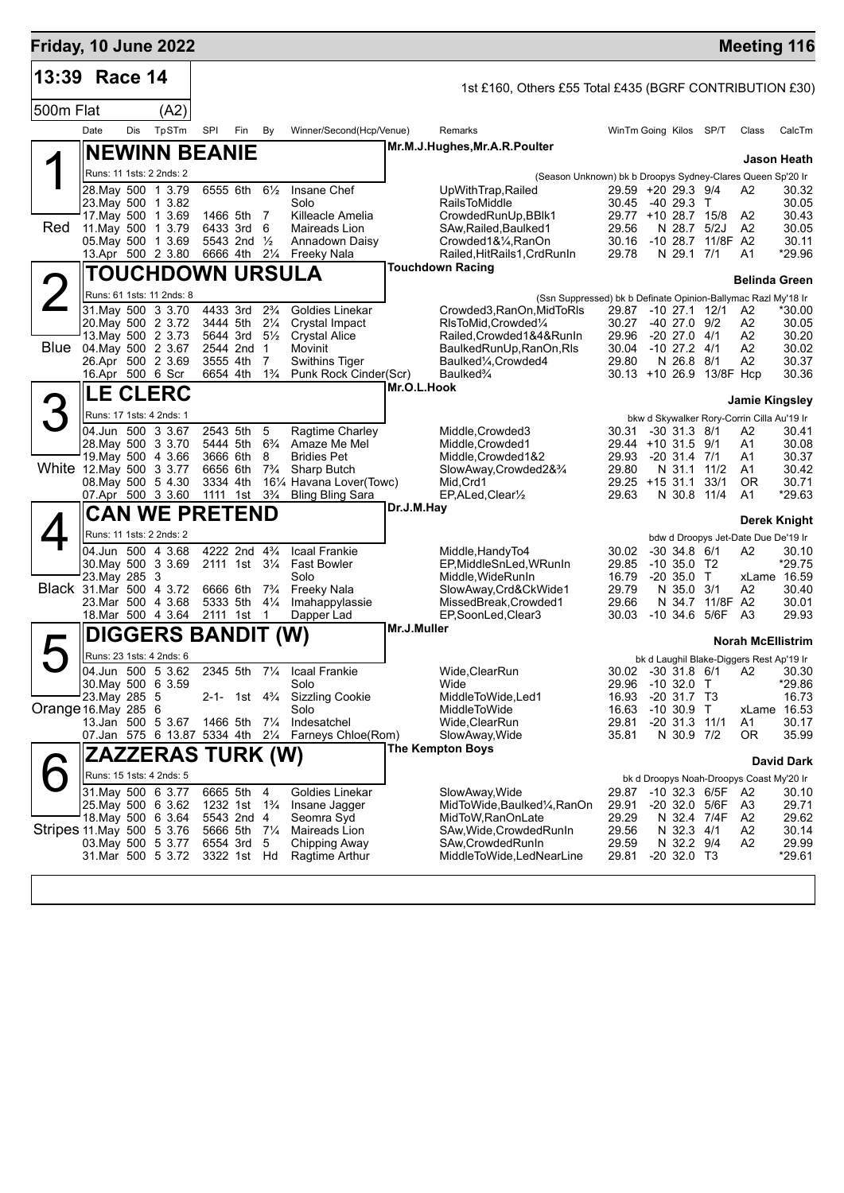| Friday, 10 June 2022      |                        |     |                                          |          |                                                      |                                  |                                                                                     |             |                                                                                       |                |                                                         |                 | <b>Meeting 116</b>       |                   |
|---------------------------|------------------------|-----|------------------------------------------|----------|------------------------------------------------------|----------------------------------|-------------------------------------------------------------------------------------|-------------|---------------------------------------------------------------------------------------|----------------|---------------------------------------------------------|-----------------|--------------------------|-------------------|
| 13:39                     | Race 14                |     |                                          |          |                                                      |                                  |                                                                                     |             | 1st £160, Others £55 Total £435 (BGRF CONTRIBUTION £30)                               |                |                                                         |                 |                          |                   |
| 500m Flat                 |                        |     | (A2)                                     |          |                                                      |                                  |                                                                                     |             |                                                                                       |                |                                                         |                 |                          |                   |
|                           | Date                   | Dis | TpSTm                                    | SPI      | Fin                                                  | By                               | Winner/Second(Hcp/Venue)                                                            |             | Remarks                                                                               |                | WinTm Going Kilos SP/T                                  |                 | Class                    | CalcTm            |
|                           |                        |     | <b>NEWINN BEANIE</b>                     |          |                                                      |                                  |                                                                                     |             | Mr.M.J.Hughes, Mr.A.R.Poulter                                                         |                |                                                         |                 |                          |                   |
|                           |                        |     | Runs: 11 1sts: 2 2nds: 2                 |          |                                                      |                                  |                                                                                     |             |                                                                                       |                |                                                         |                 |                          | Jason Heath       |
|                           |                        |     | 28. May 500 1 3.79                       |          | 6555 6th                                             | $6\frac{1}{2}$                   | Insane Chef                                                                         |             | (Season Unknown) bk b Droopys Sydney-Clares Queen Sp'20 Ir<br>UpWithTrap, Railed      |                | 29.59 +20 29.3 9/4                                      |                 | A2                       | 30.32             |
|                           |                        |     | 23. May 500 1 3.82                       |          |                                                      |                                  | Solo                                                                                |             | <b>RailsToMiddle</b>                                                                  | 30.45          | -40 29.3 T                                              |                 |                          | 30.05             |
| Red                       |                        |     | 17 May 500 1 3.69<br>11. May 500 1 3.79  |          | 1466 5th 7<br>6433 3rd 6                             |                                  | Killeacle Amelia<br>Maireads Lion                                                   |             | CrowdedRunUp, BBlk1<br>SAw, Railed, Baulked1                                          | 29.56          | 29.77 +10 28.7 15/8<br>N 28.7 5/2J                      |                 | A2<br>A <sub>2</sub>     | 30.43<br>30.05    |
|                           |                        |     | 05. May 500 1 3.69                       |          | 5543 2nd 1/2                                         |                                  | Annadown Daisy                                                                      |             | Crowded1&1/4, RanOn                                                                   | 30.16          | -10 28.7 11/8F A2                                       |                 |                          | 30.11             |
|                           |                        |     | 13.Apr 500 2 3.80                        |          | 6666 4th 21/4                                        |                                  | Freeky Nala                                                                         |             | Railed, HitRails1, CrdRunIn                                                           | 29.78          | N 29.1 7/1                                              |                 | A1                       | *29.96            |
|                           |                        |     | TOUCHDOWN URSULA                         |          |                                                      |                                  |                                                                                     |             | <b>Touchdown Racing</b>                                                               |                |                                                         |                 | <b>Belinda Green</b>     |                   |
|                           |                        |     | Runs: 61 1sts: 11 2nds: 8                |          |                                                      |                                  |                                                                                     |             | (Ssn Suppressed) bk b Definate Opinion-Ballymac Razl My'18 Ir                         |                |                                                         |                 |                          |                   |
|                           |                        |     | 31. May 500 3 3.70                       | 4433 3rd |                                                      | $2\frac{3}{4}$                   | Goldies Linekar                                                                     |             | Crowded3, RanOn, MidToRIs                                                             | 29.87          | $-10$ 27.1 12/1                                         |                 | A2                       | *30.00            |
|                           |                        |     | 20. May 500 2 3.72<br>13 May 500 2 3.73  |          | 3444 5th<br>5644 3rd                                 | $2\frac{1}{4}$<br>$5\frac{1}{2}$ | Crystal Impact<br><b>Crystal Alice</b>                                              |             | RIsToMid, Crowded1/4<br>Railed, Crowded 1&4&RunIn                                     | 30.27<br>29.96 | $-40$ 27.0 $9/2$<br>$-20$ 27.0 $4/1$                    |                 | A2<br>A2                 | 30.05<br>30.20    |
|                           | Blue 04 May 500 2 3.67 |     |                                          |          | 2544 2nd                                             | $\overline{1}$                   | Movinit                                                                             |             | BaulkedRunUp, RanOn, RIs                                                              | 30.04          | $-10$ 27.2 $4/1$                                        |                 | A2                       | 30.02             |
|                           | 16.Apr 500 6 Scr       |     | 26.Apr 500 2 3.69                        | 3555 4th | 6654 4th                                             | 7<br>$1\frac{3}{4}$              | <b>Swithins Tiger</b><br>Punk Rock Cinder(Scr)                                      |             | Baulked <sup>1</sup> / <sub>4</sub> , Crowded4<br>Baulked <sup>3</sup> / <sub>4</sub> | 29.80          | N 26.8 8/1<br>30.13 +10 26.9 13/8F Hcp                  |                 | A2                       | 30.37<br>30.36    |
|                           |                        |     |                                          |          |                                                      |                                  |                                                                                     | Mr.O.L.Hook |                                                                                       |                |                                                         |                 |                          |                   |
|                           |                        |     | <b>LE CLERC</b>                          |          |                                                      |                                  |                                                                                     |             |                                                                                       |                |                                                         |                 | <b>Jamie Kingsley</b>    |                   |
|                           |                        |     | Runs: 17 1sts: 4 2nds: 1                 |          |                                                      |                                  |                                                                                     |             |                                                                                       |                | bkw d Skywalker Rory-Corrin Cilla Au'19 Ir              |                 |                          |                   |
|                           |                        |     | 04.Jun 500 3 3.67<br>28. May 500 3 3.70  |          | 2543 5th                                             | 5                                | Ragtime Charley<br>5444 5th 6 <sup>3</sup> / <sub>4</sub> Amaze Me Mel              |             | Middle, Crowded3<br>Middle, Crowded1                                                  | 30.31          | $-30$ 31.3 $8/1$<br>29.44 +10 31.5 9/1                  |                 | А2<br>A1                 | 30.41<br>30.08    |
|                           |                        |     | 19. May 500 4 3.66                       |          | 3666 6th                                             | 8                                | <b>Bridies Pet</b>                                                                  |             | Middle, Crowded 1&2                                                                   | 29.93          | $-20$ 31.4 $7/1$                                        |                 | A1                       | 30.37             |
| White 12. May 500 3 3.77  |                        |     |                                          | 6656 6th |                                                      | $7\frac{3}{4}$                   | Sharp Butch                                                                         |             | SlowAway,Crowded2&3/4                                                                 | 29.80          | N 31.1                                                  | 11/2            | A1                       | 30.42             |
|                           |                        |     | 08. May 500 5 4.30<br>07.Apr 500 3 3.60  | 3334 4th |                                                      |                                  | 161/4 Havana Lover(Towc)<br>1111 1st 3 <sup>3</sup> / <sub>4</sub> Bling Bling Sara |             | Mid, Crd1<br>EP, ALed, Clear <sup>1/2</sup>                                           | 29.63          | $29.25 + 15.31.1$<br>N 30.8                             | 33/1<br>11/4    | <b>OR</b><br>A1          | 30.71<br>*29.63   |
|                           |                        |     | <b>CAN WE PRETEND</b>                    |          |                                                      |                                  |                                                                                     | Dr.J.M.Hay  |                                                                                       |                |                                                         |                 |                          |                   |
|                           |                        |     | Runs: 11 1sts: 2 2nds: 2                 |          |                                                      |                                  |                                                                                     |             |                                                                                       |                |                                                         |                 |                          | Derek Knight      |
|                           |                        |     | 04.Jun 500 4 3.68                        |          | 4222 2nd 43/4                                        |                                  | Icaal Frankie                                                                       |             | Middle, Handy To4                                                                     | 30.02          | bdw d Droopys Jet-Date Due De'19 Ir<br>$-30$ 34.8 $6/1$ |                 | A2                       | 30.10             |
|                           |                        |     | 30. May 500 3 3.69                       |          | 2111 1st 31/4                                        |                                  | <b>Fast Bowler</b>                                                                  |             | EP, Middle SnLed, WRunIn                                                              | 29.85          | $-10,35.0$ T <sub>2</sub>                               |                 |                          | *29.75            |
| Black 31 Mar 500 4 3.72   | 23. May 285 3          |     |                                          |          |                                                      |                                  | Solo                                                                                |             | Middle, WideRunIn                                                                     | 16.79          | $-20,35.0$ T                                            |                 |                          | xLame 16.59       |
|                           |                        |     | 23. Mar 500 4 3.68                       | 6666 6th | 5333 5th                                             | $7\frac{3}{4}$<br>$4\frac{1}{4}$ | Freeky Nala<br>Imahappylassie                                                       |             | SlowAway,Crd&CkWide1<br>MissedBreak, Crowded1                                         | 29.79<br>29.66 | N 35.0 3/1                                              | N 34.7 11/8F A2 | A2                       | 30.40<br>30.01    |
|                           |                        |     | 18. Mar 500 4 3.64                       | 2111 1st |                                                      | $\overline{1}$                   | Dapper Lad                                                                          |             | EP,SoonLed,Clear3                                                                     | 30.03          | $-10$ 34.6 5/6F                                         |                 | A3                       | 29.93             |
|                           |                        |     | DIGGERS BANDIT (W)                       |          |                                                      |                                  |                                                                                     | Mr.J.Muller |                                                                                       |                |                                                         |                 | <b>Norah McEllistrim</b> |                   |
|                           |                        |     | Runs: 23 1sts: 4 2nds: 6                 |          |                                                      |                                  |                                                                                     |             |                                                                                       |                | bk d Laughil Blake-Diggers Rest Ap'19 Ir                |                 |                          |                   |
|                           |                        |     | 04.Jun 500 5 3.62                        |          | 2345 5th                                             |                                  | 71/4 Icaal Frankie                                                                  |             | Wide, Clear Run                                                                       |                | 30.02 -30 31.8 6/1 A2 30.30                             |                 |                          |                   |
|                           | 23. May 285 5          |     | 30. May 500 6 3.59                       |          |                                                      |                                  | Solo<br>2-1- 1st 4 <sup>3</sup> / <sub>4</sub> Sizzling Cookie                      |             | Wide<br>MiddleToWide,Led1                                                             | 16.93          | 29.96 -10 32.0 T<br>$-20$ 31.7 T3                       |                 |                          | *29.86<br>16.73   |
| Orange 16. May 285 6      |                        |     |                                          |          |                                                      |                                  | Solo                                                                                |             | MiddleToWide                                                                          | 16.63          | $-10,30.9$ T                                            |                 |                          | xLame 16.53       |
|                           |                        |     | 13.Jan 500 5 3.67                        |          | 1466 5th 71/4                                        |                                  | Indesatchel                                                                         |             | Wide,ClearRun                                                                         | 29.81          | $-20$ 31.3 11/1                                         |                 | A1                       | 30.17             |
|                           |                        |     |                                          |          |                                                      |                                  | 07. Jan 575 6 13.87 5334 4th 21/4 Farneys Chloe (Rom)                               |             | SlowAway, Wide<br>The Kempton Boys                                                    | 35.81          | N 30.9 7/2                                              |                 | 0R                       | 35.99             |
|                           |                        |     | ZAZZERAS TURK (W)                        |          |                                                      |                                  |                                                                                     |             |                                                                                       |                |                                                         |                 |                          | <b>David Dark</b> |
|                           |                        |     | Runs: 15 1sts: 4 2nds: 5                 |          |                                                      |                                  |                                                                                     |             |                                                                                       |                | bk d Droopys Noah-Droopys Coast My'20 Ir                |                 |                          |                   |
|                           |                        |     | 31 May 500 6 3.77                        |          | 6665 5th                                             | 4                                | Goldies Linekar                                                                     |             | SlowAway, Wide                                                                        | 29.87          | -10 32.3 6/5F                                           |                 | A2                       | 30.10             |
|                           |                        |     | 25. May 500 6 3.62<br>18. May 500 6 3.64 |          | 1232 1st 1 <sup>3</sup> / <sub>4</sub><br>5543 2nd 4 |                                  | Insane Jagger<br>Seomra Syd                                                         |             | MidToWide, Baulked1/4, RanOn<br>MidToW, RanOnLate                                     | 29.91<br>29.29 | -20 32.0 5/6F<br>N 32.4 7/4F                            |                 | A3<br>A2                 | 29.71<br>29.62    |
| Stripes 11 May 500 5 3 76 |                        |     |                                          |          | 5666 5th 71/4                                        |                                  | Maireads Lion                                                                       |             | SAw, Wide, Crowded RunIn                                                              | 29.56          | N 32.3 4/1                                              |                 | A2                       | 30.14             |
|                           |                        |     | 03. May 500 5 3.77<br>31.Mar 500 5 3.72  |          | 6554 3rd<br>3322 1st Hd                              | 5                                | Chipping Away<br>Ragtime Arthur                                                     |             | SAw, Crowded Run In<br>MiddleToWide,LedNearLine                                       | 29.59<br>29.81 | N 32.2 9/4<br>$-20$ 32.0 T3                             |                 | A2                       | 29.99<br>*29.61   |
|                           |                        |     |                                          |          |                                                      |                                  |                                                                                     |             |                                                                                       |                |                                                         |                 |                          |                   |
|                           |                        |     |                                          |          |                                                      |                                  |                                                                                     |             |                                                                                       |                |                                                         |                 |                          |                   |
|                           |                        |     |                                          |          |                                                      |                                  |                                                                                     |             |                                                                                       |                |                                                         |                 |                          |                   |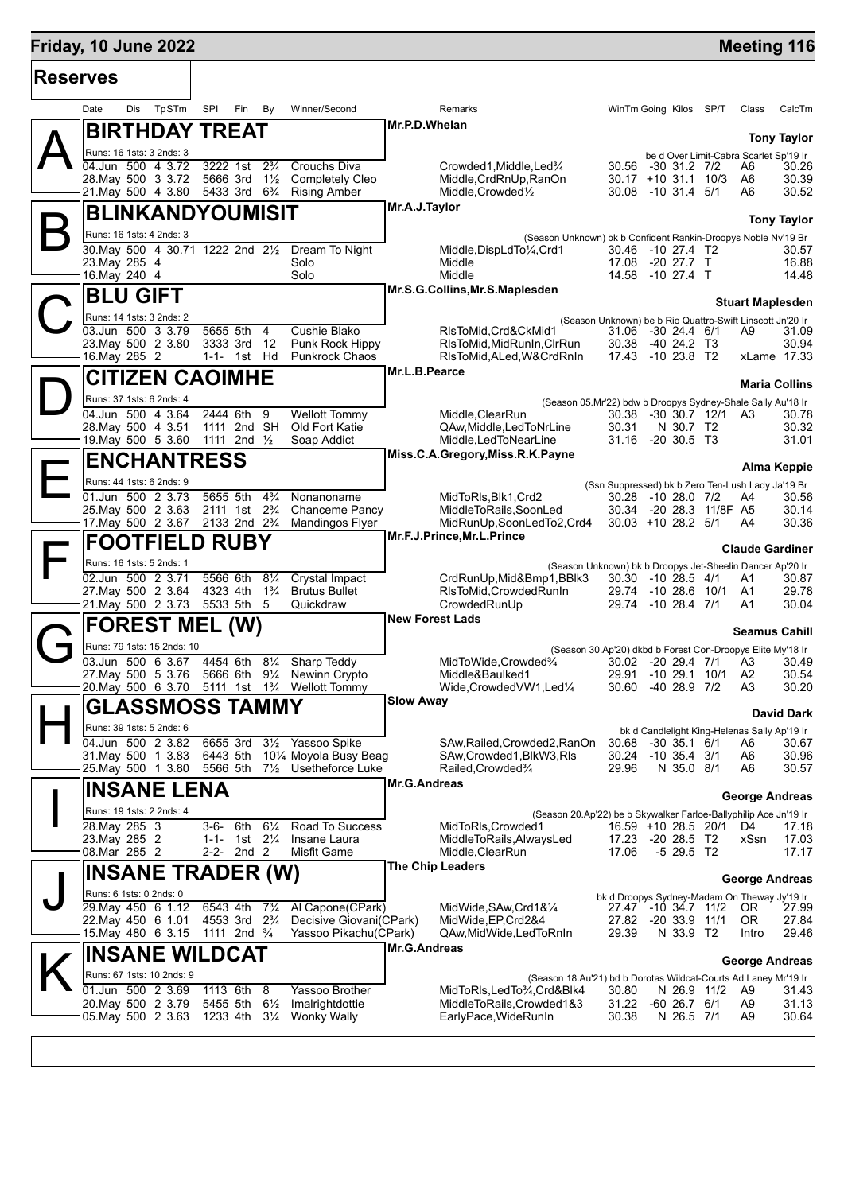## **Friday, 10 June 2022 Meeting 116 Reserves** Date Dis TpSTm SPI Fin By Winner/Second Remarks WinTm Going Kilos SP/T Class CalcTm  $\mathsf{A}\Vert$ **BIRTHDAY TREAT** Runs: 16 1sts: 3 2nds: 3 **Tony Taylor** be d Over Limit-Cabra Scarlet Sp'19 Ir<br>-30 31.2 7/2 A6 30.26 **Mr.P.D.Whelan** 04.Jun 500 4 3.72 3222 1st 2¾ Crouchs Diva<br>
28.May 500 3 3.72 5666 3rd 1½ Completely Cleo Middle,CrdRnUp,RanOn 30.17 +10 31.1 10/3 A6 30.39 28.May 500 3 3.72 5666 3rd 1½ Completely Cleo Middle,CrdRnUp,RanOn 30.17 +10 31.1 10/3 A6 30.39 21.May 500 4 3.80  $\mathsf{B}\Vert$ **BLINKANDYOUMISIT** Runs: 16 1sts: 4 2nds: 3 **Tony Taylor** (Season Unknown) bk b Confident Rankin-Droopys Noble Nv'19 Br **Mr.A.J.Taylor**  $\frac{30.57}{30.57}$ <br>30.95 4  $\frac{30.71}{23.57}$  30.57  $\frac{30.57}{23.57}$  30.57  $\frac{30.46}{20.27}$   $\frac{4}{30.47}$   $\frac{30.46}{20.27}$   $\frac{4}{30.57}$   $\frac{30.57}{20.88}$ 23.May 500 4 30.71 1222 2nd 2<sup>1/2</sup> Dream To Night Middle,DispLdTo<sup>1</sup>/4,Crd1 30.46 -10 27.4 T2 30.57<br>23.May 285 4 Solo Middle 17.08 -20 27.7 T 16.88<br>16.May 240 4 Solo Middle 14.58 -10 27.4 T 14.48 14.58 -10 27.4 T  $\mathbf{C}^{\parallel}_{\mathbb{S}}$ **BLU GIFT** Runs: 14 1sts: 3 2nds: 2 **Stuart Maplesden** (Season Unknown) be b Rio Quattro-Swift Linscott Jn'20 Ir **Mr.S.G.Collins,Mr.S.Maplesden** 03.Jun 500 3 3.79 5655 5th 4 Cushie Blako RIsToMid,Crd&CkMid1 31.06 -30 24.4 6/1 A9 31.09<br>23.May 500 2 3.80 3333 3rd 12 Punk Rock Hippy RIsToMid,MidRunIn,ClrRun 30.38 -40 24.2 T3 30.94 23.May 500 2 3.80 3333 3rd 12 Punk Rock Hippy RlsToMid,MidRunIn,ClrRun 30.38 -40 24.2 T3 30.94 RIsToMid,ALed,W&CrdRnIn  $\mathbf{D}$ **CITIZEN CAOIMHE** Runs: 37 1sts: 6 2nds: 4 **Maria Collins** (Season 05.Mr'22) bdw b Droopys Sydney-Shale Sally Au'18 Ir **Mr.L.B.Pearce** 04.Jun 500 4 3.64 2444 6th 9 Wellott Tommy Middle,ClearRun 30.38 -30 30.7 12/1<br>28.May 500 4 3.51 1111 2nd SH Old Fort Katie GAw.Middle,LedToNrLine 30.31 N 30.7 T2 28.May 500 4 3.51 1111 2nd SH Old Fort Katie QAw,Middle,LedToNrLine 30.31 N 30.7 T2 30.32 1111 2nd 1/<sub>2</sub> Soap Addict Middle,LedToNearLine 31.16 -20 30.5 T3 31.01 E **ENCHANTRESS** Runs: 44 1sts: 6 2nds: 9 **Alma Keppie** (Ssn Suppressed) bk b Zero Ten-Lush Lady Ja'19 Br **Miss.C.A.Gregory,Miss.R.K.Payne** 01.Jun 500 2 3.73 5655 5th 4¾ Nonanoname MidToRls,Blk1,Crd2 30.28 -10 28.0 7/2 A4 30.56 25.May 500 2 3.63 2111 1st 2¾ Chanceme Pancy MiddleToRails,SoonLed 30.34 -20 28.3 11/8F A5<br>17.May 500 2 3.67 2133 2nd 2¾ Mandingos Flyer MidRunUp,SoonLedTo2,Crd4 30.03 +10 28.2 5/1 A4 2133 2nd 2<sup>3</sup>/<sub>4</sub> Mandingos Flyer MidRunUp,SoonLedTo2,Crd4 30.03 +10 28.2 5/1 A4 30.36  $\mathsf{F}\vert$ **FOOTFIELD RUBY** Runs: 16 1sts: 5 2nds: 1 **Claude Gardiner** (Season Unknown) bk b Droopys Jet-Sheelin Dancer Ap'20 Ir **Mr.F.J.Prince,Mr.L.Prince** 02.Jun 500 2 3.71 5566 6th 8¼ Crystal Impact CrdRunUp,Mid&Bmp1,BBlk3 30.30 -10 28.5 4/1 A1 30.87 27.May 500 2 3.64 4323 4th 1¾ Brutus Bullet RlsToMid,CrowdedRunIn 29.74 -10 28.6 10/1 A1 29.78 21.May 500 2 3.73 5533 5th 5 Quickdraw CrowdedRunUp 29.74 -10 28.4 7/1 A1 30.04  $G_{\frac{p}{2}}^{\mathbb{I}}$ **FOREST MEL (W)** Runs: 79 1sts: 15 2nds: 10 **Seamus Cahill** (Season 30.Ap'20) dkbd b Forest Con-Droopys Elite My'18 Ir **New Forest Lads**  $\frac{03. \text{Jun } 500 \text{ } 6 \text{ } 3.67 \text{ } 4454 \text{ } 6 \text{th } 8\%$  Sharp Teddy MidToWide,Crowded¾  $\frac{03. \text{Jun } 500 \text{ } 6 \text{ } 3.7\%$   $\frac{0.02}{0.91}$   $\frac{0.02}{0.91}$   $\frac{0.02}{0.91}$   $\frac{0.02}{0.91}$   $\frac{0.02}{0.91}$   $\frac{0.02}{0.91}$   $\frac$ 27.May 500 5 3.76 5666 6th 9¼ Newinn Crypto Middle&Baulked1 29.91 -10 29.1 10/1 A2 30.54 Wellott Tommy Wide,CrowdedVW1,Led¼ H **GLASSMOSS TAMMY** Runs: 39 1sts: 5 2nds: 6 **David Dark** bk d Candlelight King-Helenas Sally Ap'19 Ir **Slow Away**  $\overline{04.$ Jun 500 2 3.82 6655 3rd 3½ Yassoo Spike SAw,Railed,Crowded2,RanOn 30.68 -30 35.1 6/1 A6 30.67<br>31.Mav 500 1 3.83 6443 5th 10¼ Movola Busv Beag SAw.Crowded1.BlkW3.Rls 30.24 -10 35.4 3/1 A6 31.May 500 1 3.83 6443 5th 10¼ Moyola Busy Beag SAw,Crowded1,BlkW3,Rls 30.24 -10 35.4 3/1 A6 30.96 71/<sub>2</sub> Usetheforce Luke Railed,Crowded¾ 29.96 N 35.0 8/1 I **INSANE LENA** Runs: 19 1sts: 2 2nds: 4 **George Andreas** (Season 20.Ap'22) be b Skywalker Farloe-Ballyphilip Ace Jn'19 Ir **Mr.G.Andreas** 28.May 285 3 3-6- 6th 6¼ Road To Success MidToRls,Crowded1 16.59 +10 28.5 20/1 D4 17.18 23.May 285 2 1-1- 1st 2¼ Insane Laura MiddleToRails,AlwaysLed 17.23 -20 28.5 T2 xSsn 17.03 Middle.ClearRun 17.06 -5 29.5 T2 17.17 J **INSANE TRADER (W)** Runs: 6 1sts: 0 2nds: 0 **George Andreas** bk d Droopys Sydney-Madam On Theway Jy'19 Ir **The Chip Leaders** 29.May 450 6 1.12 6543 4th 7<sup>3</sup>/4 Al Capone(CPark) MidWide,SAw,Crd1&<sup>1</sup>/4 27.47 -10 34.7 11/2<br>22.May 450 6 1.01 4553 3rd 2<sup>3</sup>/4 Decisive Giovani(CPark) MidWide,EP,Crd2&4 27.82 -20 33.9 11/1 22.May 450 6 1.01 4553 3rd 2¾ Decisive Giovani(CPark) MidWide,EP,Crd2&4 27.82 -20 33.9 11/1 OR 27.84 15.May 480 6 3.15 1111 2nd ¾ Yassoo Pikachu(CPark) QAw,MidWide,LedToRnIn 29.39 N 33.9 T2 Intro 29.46  $\mathsf{K}\Vert$ **INSANE WILDCAT** Runs: 67 1sts: 10 2nds: 9 **George Andreas** (Season 18.Au'21) bd b Dorotas Wildcat-Courts Ad Laney Mr'19 Ir **Mr.G.Andreas**  $\overline{01.$ Jun 500 2 3.69 1113 6th 8 Yassoo Brother MidToRls,LedTo¾,Crd&Blk4  $\overline{0}$  30.80 N 26.9 11/2 A9 31.02 -60 26.7 6/1 A9 20.May 500 2 3.79 5455 5th 6½ Imalrightdottie MiddleToRails,Crowded1&3 31.22 -60 26.7 6/1 A9 31.13 05.May 500 2 3.63 1233 4th 3¼ Wonky Wally EarlyPace,WideRunIn 30.38 N 26.5 7/1 A9 30.64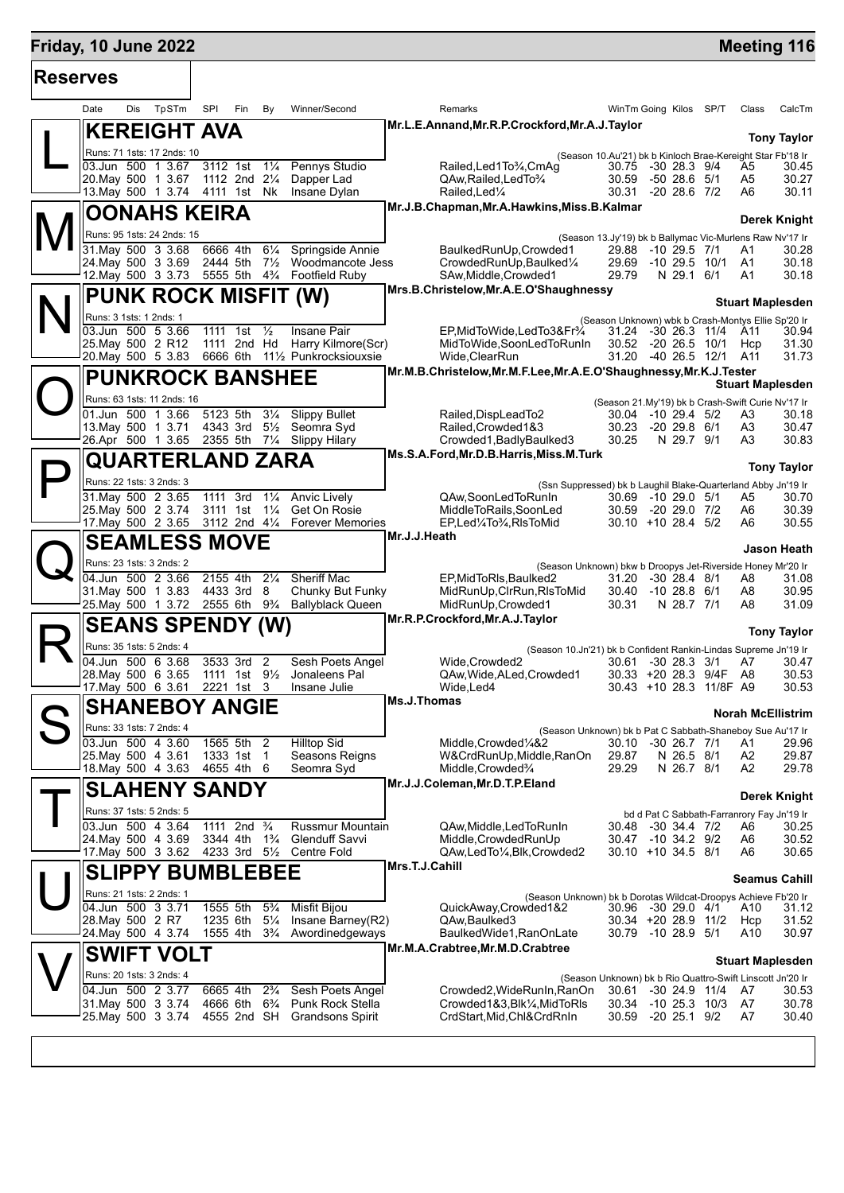## **Friday, 10 June 2022 Meeting 116 Reserves** Τ **KEREIGHT AVA**

| יטטי |                                                          |      |                                         |                                  |                                                                          |                |                                                                                                         |                                            |                          |                   |                                                           |                          |
|------|----------------------------------------------------------|------|-----------------------------------------|----------------------------------|--------------------------------------------------------------------------|----------------|---------------------------------------------------------------------------------------------------------|--------------------------------------------|--------------------------|-------------------|-----------------------------------------------------------|--------------------------|
| Date | TpSTm<br>Dis                                             | SPI  | Fin                                     | By                               | Winner/Second                                                            |                | Remarks                                                                                                 | WinTm Going Kilos SP/T                     |                          |                   | Class                                                     | CalcTm                   |
|      | <b>KEREIGHT AVA</b>                                      |      |                                         |                                  |                                                                          |                | Mr.L.E.Annand, Mr.R.P.Crockford, Mr.A.J.Taylor                                                          |                                            |                          |                   |                                                           |                          |
|      | Runs: 71 1sts: 17 2nds: 10                               |      |                                         |                                  |                                                                          |                |                                                                                                         |                                            |                          |                   |                                                           | <b>Tony Taylor</b>       |
|      | 03.Jun 500 1 3.67                                        |      | 3112 1st                                | $1\frac{1}{4}$                   | Pennys Studio                                                            |                | (Season 10.Au'21) bk b Kinloch Brae-Kereight Star Fb'18 Ir<br>Railed, Led 1 To 3/4, Cm Ag               | 30.75 -30 28.3 9/4                         |                          |                   | A5                                                        | 30.45                    |
|      | 20. May 500 1 3.67                                       |      | 1112 2nd 21/4                           |                                  | Dapper Lad                                                               |                | QAw, Railed, Led To 3/4                                                                                 | 30.59                                      | $-5028.651$              |                   | A5                                                        | 30.27                    |
|      | 13. May 500 1 3.74 4111 1st Nk                           |      |                                         |                                  | Insane Dylan                                                             |                | Railed, Led <sup>1</sup> / <sub>4</sub><br>Mr.J.B.Chapman,Mr.A.Hawkins,Miss.B.Kalmar                    | 30.31                                      | -20 28.6 7/2             |                   | A6                                                        | 30.11                    |
|      | <b>OONAHS KEIRA</b>                                      |      |                                         |                                  |                                                                          |                |                                                                                                         |                                            |                          |                   |                                                           | <b>Derek Knight</b>      |
|      | Runs: 95 1sts: 24 2nds: 15                               |      |                                         |                                  |                                                                          |                | (Season 13.Jy'19) bk b Ballymac Vic-Murlens Raw Nv'17 Ir                                                |                                            |                          |                   |                                                           |                          |
|      | $31$ . May $500$ $3$ $3.68$<br>24. May 500 3 3.69        |      | 6666 4th<br>2444 5th 71/2               | $6\frac{1}{4}$                   | Springside Annie<br>Woodmancote Jess                                     |                | BaulkedRunUp, Crowded1<br>CrowdedRunUp, Baulked1/4                                                      | 29.88 -10 29.5 7/1<br>29.69                |                          | -10 29.5 10/1     | A1<br>A <sub>1</sub>                                      | 30.28<br>30.18           |
|      |                                                          |      |                                         |                                  | 12. May 500 3 3.73 5555 5th 4 <sup>3</sup> / <sub>4</sub> Footfield Ruby |                | SAw, Middle, Crowded1                                                                                   | 29.79                                      | N 29.1 6/1               |                   | A1                                                        | 30.18                    |
|      | <b>PUNK ROCK MISFIT (W)</b>                              |      |                                         |                                  |                                                                          |                | Mrs.B.Christelow, Mr.A.E.O'Shaughnessy                                                                  |                                            |                          |                   |                                                           |                          |
|      | Runs: 3 1sts: 1 2nds: 1                                  |      |                                         |                                  |                                                                          |                |                                                                                                         |                                            |                          |                   |                                                           | <b>Stuart Maplesden</b>  |
|      | 03.Jun 500 5 3.66                                        |      | 1111 1st 1/ <sub>2</sub>                |                                  | Insane Pair                                                              |                | EP, MidToWide, LedTo 3& Fr <sup>3</sup> / <sub>4</sub>                                                  | 31.24 -30 26.3 11/4                        |                          |                   | (Season Unknown) wbk b Crash-Montys Ellie Sp'20 Ir<br>A11 | 30.94                    |
|      | 25. May 500 2 R12<br>20. May 500 5 3.83                  |      | 1111 2nd Hd                             |                                  | Harry Kilmore(Scr)<br>6666 6th 111/2 Punkrocksiouxsie                    |                | MidToWide,SoonLedToRunIn<br>Wide, Clear Run                                                             | 30.52 -20 26.5 10/1<br>31.20 -40 26.5 12/1 |                          |                   | Hcp<br>A11                                                | 31.30<br>31.73           |
|      |                                                          |      |                                         |                                  |                                                                          |                | Mr.M.B.Christelow,Mr.M.F.Lee,Mr.A.E.O'Shaughnessy,Mr.K.J.Tester                                         |                                            |                          |                   |                                                           |                          |
|      | <b>PUNKROCK BANSHEE</b>                                  |      |                                         |                                  |                                                                          |                |                                                                                                         |                                            |                          |                   |                                                           | <b>Stuart Maplesden</b>  |
|      | Runs: 63 1sts: 11 2nds: 16<br>01.Jun 500 1 3.66 5123 5th |      |                                         |                                  |                                                                          |                |                                                                                                         |                                            |                          |                   | (Season 21.My'19) bk b Crash-Swift Curie Nv'17 Ir         |                          |
|      | 13. May 500 1 3.71                                       |      | 4343 3rd                                | $3\frac{1}{4}$                   | <b>Slippy Bullet</b><br>5½ Seomra Syd                                    |                | Railed, DispLead To2<br>Railed, Crowded 1&3                                                             | 30.04 -10 29.4 5/2<br>30.23 -20 29.8 6/1   |                          |                   | A3<br>A3                                                  | 30.18<br>30.47           |
|      | 26.Apr 500 1 3.65                                        |      |                                         |                                  | 2355 5th 71/4 Slippy Hilary                                              |                | Crowded1, Badly Baulked3                                                                                | 30.25                                      | N 29.7 9/1               |                   | A3                                                        | 30.83                    |
|      | <b>QUARTERLAND ZARA</b>                                  |      |                                         |                                  |                                                                          |                | Ms.S.A.Ford, Mr.D.B.Harris, Miss.M.Turk                                                                 |                                            |                          |                   |                                                           | <b>Tony Taylor</b>       |
|      | Runs: 22 1sts: 3 2nds: 3                                 |      |                                         |                                  |                                                                          |                | (Ssn Suppressed) bk b Laughil Blake-Quarterland Abby Jn'19 Ir                                           |                                            |                          |                   |                                                           |                          |
|      | 31. May 500 2 3.65                                       | 1111 | 3rd                                     | $1\frac{1}{4}$                   | Anvic Lively                                                             |                | QAw,SoonLedToRunIn                                                                                      | 30.69 -10 29.0 5/1                         |                          |                   | A5                                                        | 30.70                    |
|      | 25. May 500 2 3.74<br>17.May 500 2 3.65                  |      | 3111 1st 11/4                           |                                  | Get On Rosie<br>3112 2nd 41/4 Forever Memories                           |                | MiddleToRails, SoonLed<br>EP, Led <sup>1</sup> / <sub>4</sub> To <sup>3</sup> / <sub>4</sub> , RIsToMid | 30.59 -20 29.0 7/2<br>$30.10 + 1028.45/2$  |                          |                   | A6<br>A6                                                  | 30.39<br>30.55           |
|      | <b>SEAMLESS MOVE</b>                                     |      |                                         |                                  |                                                                          | Mr.J.J.Heath   |                                                                                                         |                                            |                          |                   |                                                           |                          |
|      |                                                          |      |                                         |                                  |                                                                          |                |                                                                                                         |                                            |                          |                   |                                                           | Jason Heath              |
|      | Runs: 23 1sts: 3 2nds: 2<br>04.Jun 500 2 3.66            |      | 2155 4th                                | $2\frac{1}{4}$                   | <b>Sheriff Mac</b>                                                       |                | (Season Unknown) bkw b Droopys Jet-Riverside Honey Mr'20 Ir<br>EP, MidToRIs, Baulked2                   | 31.20                                      | $-30$ 28.4 $8/1$         |                   | A8                                                        | 31.08                    |
|      | 31. May 500 1 3.83                                       |      | 4433 3rd                                | - 8                              | Chunky But Funky                                                         |                | MidRunUp, CIrRun, RIsToMid                                                                              | 30.40                                      | $-1028.86/1$             |                   | A8                                                        | 30.95                    |
|      | 25. May 500 1 3.72 2555 6th 93/4                         |      |                                         |                                  | <b>Ballyblack Queen</b>                                                  |                | MidRunUp, Crowded1<br>Mr.R.P.Crockford, Mr.A.J.Taylor                                                   | 30.31                                      | N 28.7 7/1               |                   | A8                                                        | 31.09                    |
|      | <b>SEANS SPENDY (W)</b>                                  |      |                                         |                                  |                                                                          |                |                                                                                                         |                                            |                          |                   |                                                           | <b>Tony Taylor</b>       |
|      | Runs: 35 1sts: 5 2nds: 4                                 |      |                                         |                                  |                                                                          |                | (Season 10.Jn'21) bk b Confident Rankin-Lindas Supreme Jn'19 Ir                                         |                                            |                          |                   |                                                           |                          |
|      | 04.Jun 500 6 3.68<br>28. May 500 6 3.65                  |      | 3533 3rd 2<br>1111 1st 91/ <sub>2</sub> |                                  | Sesh Poets Angel<br>Jonaleens Pal                                        |                | Wide, Crowded2<br>QAw,Wide,ALed,Crowded1                                                                | 30.61<br>30.33 +20 28.3 9/4F               | $-30$ 28.3 $3/1$         |                   | A7<br>- A8                                                | 30.47<br>30.53           |
|      | 17.May 500 6 3.61                                        |      | 2221 1st 3                              |                                  | Insane Julie                                                             |                | Wide, Led4                                                                                              | 30.43 +10 28.3 11/8F A9                    |                          |                   |                                                           | 30.53                    |
|      | <b>SHANEBOY ANGIE</b>                                    |      |                                         |                                  |                                                                          | Ms.J.Thomas    |                                                                                                         |                                            |                          |                   |                                                           |                          |
|      | Runs: 33 1sts: 7 2nds: 4                                 |      |                                         |                                  |                                                                          |                | (Season Unknown) bk b Pat C Sabbath-Shaneboy Sue Au'17 Ir                                               |                                            |                          |                   |                                                           | <b>Norah McEllistrim</b> |
|      | 03.Jun 500 4 3.60                                        |      | 1565 5th 2                              |                                  | <b>Hilltop Sid</b>                                                       |                | Middle, Crowded <sup>1</sup> /4&2                                                                       | 30.10                                      | -30 26.7 7/1             |                   | A1                                                        | 29.96                    |
|      | 25. May 500 4 3.61<br>18. May 500 4 3.63                 |      | 1333 1st 1<br>4655 4th 6                |                                  | Seasons Reigns<br>Seomra Syd                                             |                | W&CrdRunUp, Middle, RanOn<br>Middle, Crowded%                                                           | 29.87<br>29.29                             | N 26.5 8/1<br>N 26.7 8/1 |                   | A2<br>A2                                                  | 29.87<br>29.78           |
|      |                                                          |      |                                         |                                  |                                                                          |                | Mr.J.J.Coleman, Mr.D.T.P.Eland                                                                          |                                            |                          |                   |                                                           |                          |
|      | <b>SLAHENY SANDY</b>                                     |      |                                         |                                  |                                                                          |                |                                                                                                         |                                            |                          |                   |                                                           | <b>Derek Knight</b>      |
|      | Runs: 37 1sts: 5 2nds: 5<br>03.Jun 500 4 3.64            |      | 1111 2nd                                | $\frac{3}{4}$                    | <b>Russmur Mountain</b>                                                  |                | QAw, Middle, Led To Run In                                                                              | 30.48                                      | -30 34.4 7/2             |                   | bd d Pat C Sabbath-Farranrory Fay Jn'19 Ir<br>A6          | 30.25                    |
|      | 24. May 500 4 3.69                                       |      | 3344 4th                                | $1\frac{3}{4}$                   | <b>Glenduff Savvi</b>                                                    |                | Middle, Crowded RunUp                                                                                   | 30.47 -10 34.2 9/2                         |                          |                   | A6                                                        | 30.52                    |
|      | 17. May 500 3 3.62                                       |      | 4233 3rd                                |                                  | 5½ Centre Fold                                                           |                | QAw,LedTo1/4,Blk,Crowded2                                                                               | 30.10 +10 34.5 8/1                         |                          |                   | A6                                                        | 30.65                    |
|      | <b>SLIPPY BUMBLEBEE</b>                                  |      |                                         |                                  |                                                                          | Mrs.T.J.Cahill |                                                                                                         |                                            |                          |                   |                                                           | <b>Seamus Cahill</b>     |
|      | Runs: 21 1sts: 2 2nds: 1                                 |      |                                         |                                  |                                                                          |                | (Season Unknown) bk b Dorotas Wildcat-Droopys Achieve Fb'20 Ir                                          |                                            |                          |                   |                                                           |                          |
|      | 04.Jun 500 3 3.71                                        |      | 1555 5th                                | $5\frac{3}{4}$                   | Misfit Bijou                                                             |                | QuickAway,Crowded1&2                                                                                    | 30.96 -30 29.0 4/1                         |                          |                   | A10                                                       | 31.12                    |
|      | 28. May 500 2 R7<br>24. May 500 4 3.74                   |      | 1235 6th<br>1555 4th                    | $5\frac{1}{4}$<br>$3\frac{3}{4}$ | Insane Barney(R2)<br>Awordinedgeways                                     |                | QAw, Baulked 3<br>BaulkedWide1, RanOnLate                                                               | 30.34 +20 28.9 11/2<br>30.79 -10 28.9 5/1  |                          |                   | Hcp<br>A10                                                | 31.52<br>30.97           |
|      | <b>SWIFT VOLT</b>                                        |      |                                         |                                  |                                                                          |                | Mr.M.A.Crabtree, Mr.M.D.Crabtree                                                                        |                                            |                          |                   |                                                           |                          |
|      | Runs: 20 1sts: 3 2nds: 4                                 |      |                                         |                                  |                                                                          |                |                                                                                                         |                                            |                          |                   |                                                           | <b>Stuart Maplesden</b>  |
|      | 04.Jun 500 2 3.77                                        |      | 6665 4th                                | $2\frac{3}{4}$                   | Sesh Poets Angel                                                         |                | (Season Unknown) bk b Rio Quattro-Swift Linscott Jn'20 Ir<br>Crowded2, WideRunIn, RanOn                 | 30.61                                      |                          | -30 24.9 11/4     | A7                                                        | 30.53                    |
|      | 31. May 500 3 3.74                                       |      | 4666 6th 6 <sup>3</sup> / <sub>4</sub>  |                                  | Punk Rock Stella                                                         |                | Crowded1&3,Blk1/4,MidToRIs                                                                              | 30.34                                      |                          | $-10$ 25.3 $10/3$ | A7                                                        | 30.78                    |
|      | 25. May 500 3 3.74                                       |      |                                         |                                  | 4555 2nd SH Grandsons Spirit                                             |                | CrdStart, Mid, Chl&CrdRnIn                                                                              | 30.59                                      | $-20$ 25.1 $9/2$         |                   | A7                                                        | 30.40                    |
|      |                                                          |      |                                         |                                  |                                                                          |                |                                                                                                         |                                            |                          |                   |                                                           |                          |